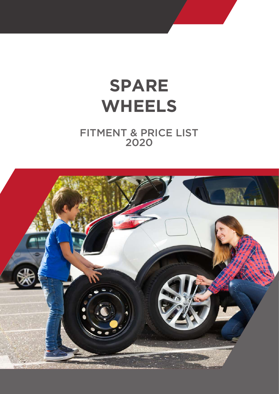# **SPARE WHEELS**

# FITMENT & PRICE LIST 2020

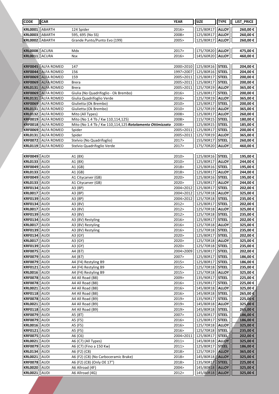| <b>CODE</b>                      | <b>CAR</b>                 |                                                          | <b>YEAR</b>    | <b>SIZE</b>            | <b>TYPE</b>                  | LIST_PRICE         |
|----------------------------------|----------------------------|----------------------------------------------------------|----------------|------------------------|------------------------------|--------------------|
| <b>KRL0001</b>                   | ABARTH                     | 124 Spider                                               | 2016>          | 125/80R17              | <b>ALLOY</b>                 | 260,00€            |
| <b>KRL0003</b>                   | ABARTH                     | 595, 695 (No SS)                                         | 2008>          | 125/80R17              | <b>ALLOY</b>                 | 260,00€            |
| <b>KRL0002</b>                   | <b>ABARTH</b>              | Grande Punto/Punto Evo (199)                             | 2005>          | 125/80R17              | <b>ALLOY</b>                 | 260,00€            |
|                                  |                            |                                                          |                |                        |                              |                    |
| KRL0008 ACURA                    |                            | Mdx                                                      | 2017>          | 175/70R20              | <b>ALLOY</b>                 | 475,00€            |
| <b>KRL0011</b>                   | ACURA                      | <b>Nsx</b>                                               | 2016>          | 145/60R20              | <b>ALLOY</b>                 | 460,00€            |
|                                  |                            |                                                          |                |                        |                              |                    |
| <b>KRF0045</b>                   | <b>ALFA ROMEO</b>          | 147                                                      | 2000>2010      | 125/80R16              | <b>STEEL</b>                 | 204,00€            |
| <b>KRF0044</b>                   | <b>ALFA ROMEO</b>          | 156                                                      | 1997>2007      | 125/80R16              | <b>STEEL</b>                 | 204,00€            |
| <b>KRF0069</b>                   | <b>ALFA ROMEO</b>          | 159                                                      | 2005>2011      | 125/80R17              | <b>STEEL</b>                 | 200,00€            |
| <b>KRF0069</b>                   | <b>ALFA ROMEO</b>          | <b>Brera</b>                                             | 2005>2011      | 125/80R17              | <b>STEEL</b>                 | 200,00€            |
| <b>KRL0131</b>                   | <b>ALFA ROMEO</b>          | <b>Brera</b>                                             | 2005>2011      | 125/70R19              | <b>ALLOY</b>                 | 365,00€            |
| <b>KRF0069</b>                   | <b>ALFA ROMEO</b>          | Giulia (No Quadrifoglio - Ok Brembo)                     | 2016>          | 125/80R17              | <b>STEEL</b>                 | 200,00€            |
| <b>KRL0131</b>                   | <b>ALFA ROMEO</b>          | Giulia Quadrifoglio Verde                                | 2016>          | 125/70R19              | <b>ALLOY</b>                 | 365,00€            |
| <b>KRF0069</b>                   | ALFA ROMEO                 | Giulietta (Ok Brembo)                                    | 2010>          | 125/80R17              | <b>STEEL</b>                 | 200,00€            |
| <b>KRL0131</b>                   | <b>ALFA ROMEO</b>          | Giulietta (Ok Brembo)                                    | 2010>          | 125/70R19              | <b>ALLOY</b>                 | 365,00€            |
| <b>KRL0132</b>                   | <b>ALFA ROMEO</b>          | Mito (All Types)                                         | 2008>          | 125/80R17              | <b>ALLOY</b>                 | 260,00€            |
| <b>KRF0019</b>                   | <b>ALFA ROMEO</b>          | Mito (No 1.4 Tb / Kw 110,114,125)                        | 2008>          | 115/70R15              | <b>STEEL</b>                 | 180,00€            |
| <b>KRF0018</b>                   | <b>ALFA ROMEO</b>          | Mito (No 1.4 Tb / Kw 110,114,125 Rotolamento Ottimizzato | 2008>          | 125/80R15              | <b>STEEL</b>                 | 185,00€            |
| <b>KRF0069</b>                   | ALFA ROMEO                 | Spider                                                   | 2005>2011      | 125/80R17              | <b>STEEL</b>                 | 200,00€            |
| <b>KRL0131</b>                   | <b>ALFA ROMEO</b>          | Spider                                                   | 2005>2011      | 125/70R19              | <b>ALLOY</b>                 | 365,00€            |
| <b>KRF0072</b>                   | <b>ALFA ROMEO</b>          | Stelvio (No Quadrifoglio)                                | 2017>          | 155/90R17              | <b>STEEL</b>                 | 260,00€            |
| <b>KRL0119</b>                   | <b>ALFA ROMEO</b>          | Stelvio Quadrifoglio Verde                               | 2017>          | 175/70R20              | <b>ALLOY</b>                 | 460,00€            |
|                                  | AUDI                       |                                                          |                |                        | <b>STEEL</b>                 |                    |
| <b>KRF0049</b><br><b>KRL0133</b> | AUDI                       | A1 (8X)<br>A1 (8X)                                       | 2010><br>2010> | 125/80R16<br>125/80R17 | <b>ALLOY</b>                 | 195,00€            |
| <b>KRF0049</b>                   | AUDI                       | A1(GB)                                                   | 2018>          | 125/80R16              | <b>STEEL</b>                 | 244,00€<br>195,00€ |
| <b>KRL0133</b>                   | AUDI                       | A1(GB)                                                   | 2018>          | 125/80R17              | <b>ALLOY</b>                 | 244,00€            |
| <b>KRF0049</b>                   | AUDI                       | A1 Citycarver (GB)                                       | 2020>          | 125/80R16              | <b>STEEL</b>                 | 195,00€            |
| <b>KRL0133</b>                   | AUDI                       | A1 Citycarver (GB)                                       | 2020>          | 125/80R17              | <b>ALLOY</b>                 | 244,00€            |
| <b>KRF0134</b>                   | AUDI                       | A3 (8P)                                                  | 2004>2012      | 125/80R17              | <b>STEEL</b>                 | 202,00€            |
| <b>KRL0017</b>                   | AUDI                       | A3 (8P)                                                  | 2004>2012      | 125/70R18              | <b>ALLOY</b>                 | 325,00€            |
| <b>KRF0139</b>                   | AUDI                       | A3 (8P)                                                  | 2004>2012      | 125/70R18              | <b>STEEL</b>                 | 235,00€            |
| <b>KRF0134</b>                   | AUDI                       | A3 (8V)                                                  | 2012>          | 125/80R17              | <b>STEEL</b>                 | 202,00€            |
| <b>KRL0017</b>                   | AUDI                       | A3 (8V)                                                  | 2012>          | 125/70R18              | <b>ALLOY</b>                 | 325,00€            |
| <b>KRF0139</b>                   | AUDI                       | A3 (8V)                                                  | 2012>          | 125/70R18              | <b>STEEL</b>                 | 235,00€            |
| <b>KRF0134</b>                   | AUDI                       | A3 (8V) Restyling                                        | 2016>          | 125/80R17              | <b>STEEL</b>                 | 202,00€            |
| <b>KRL0017</b>                   | AUDI                       | A3 (8V) Restyling                                        | 2016>          | 125/70R18              | <b>ALLOY</b>                 | 325,00€            |
| <b>KRF0139 AUDI</b>              |                            | A3 (8V) Restyling                                        | 2016>          | 125/70R18   STEEL      |                              | 235,00€            |
| <b>KRF0134</b>                   | <b>AUDI</b>                | A3 (GY)                                                  | 2020>          | 125/80R17              | <b>STEEL</b>                 | 202,00€            |
| <b>KRL0017</b>                   | <b>AUDI</b>                | A3 (GY)                                                  | 2020>          | 125/70R18              | <b>ALLOY</b>                 | 325,00€            |
| <b>KRF0139</b>                   | <b>AUDI</b>                | A3 (GY)                                                  | 2020>          | 125/70R18              | <b>STEEL</b>                 | 235,00€            |
| <b>KRF0075</b>                   | <b>AUDI</b>                | A4 (B7)                                                  | 2004>2009      | 125/80R17              | <b>STEEL</b>                 | 202,00 €           |
| <b>KRF0079</b>                   | <b>AUDI</b>                | A4 (B7)                                                  | 2007>          | 125/80R17              | <b>STEEL</b>                 | 186,00€            |
| <b>KRF0079</b>                   | <b>AUDI</b>                | A4 (F4) Restyling B9                                     | 2015>          | 125/80R17              | <b>STEEL</b>                 | 186,00€            |
| <b>KRF0121</b>                   | AUDI                       | A4 (F4) Restyling B9                                     | 2015>          | 125/70R18              | <b>STEEL</b>                 | 235,00€            |
| <b>KRL0016</b>                   | AUDI                       | A4 (F4) Restyling B9                                     | 2015>          | 125/70R18              | <b>ALLOY</b>                 | 325,00€            |
| <b>KRF0078</b>                   | <b>AUDI</b>                | A4 All Road (B8)                                         | 2009>          | 135/90R17              | <b>STEEL</b>                 | 225,00€            |
| <b>KRF0078</b>                   | <b>AUDI</b>                | A4 All Road (B8)                                         | 2016>          | 135/90R17              | <b>STEEL</b>                 | 225,00€            |
| <b>KRL0021</b>                   | <b>AUDI</b>                | A4 All Road (B8)                                         | 2016>          | 145/80R18              | <b>ALLOY</b>                 | 325,00€            |
| <b>KRF0118</b>                   | AUDI                       | A4 All Road (B8)                                         | 2016>          | 145/80R18              | <b>STEEL</b>                 | 265,00€            |
| <b>KRF0078</b>                   | AUDI                       | A4 All Road (B9)                                         | 2019>          | 135/90R17              | <b>STEEL</b>                 | 225,00€            |
| <b>KRL0021</b>                   | AUDI                       | A4 All Road (B9)                                         | 2019>          | 145/80R18              | <b>ALLOY</b>                 | 325,00€            |
| <b>KRF0118</b>                   | AUDI                       | A4 All Road (B9)                                         | 2019>          | 145/80R18              | <b>STEEL</b>                 | 265,00€            |
| <b>KRF0079</b>                   | AUDI                       | A5 (8T)                                                  | 2007>          | 125/80R17              | <b>STEEL</b>                 | 186,00€            |
| <b>KRF0079</b>                   | <b>AUDI</b>                | A5 (F5)                                                  | 2016>          | 125/80R17              | <b>STEEL</b>                 | 186,00€            |
| <b>KRL0016</b>                   | AUDI                       | A5 (F5)                                                  | 2016>          | 125/70R18              | <b>ALLOY</b>                 | 325,00€            |
| KRF0121                          | <b>AUDI</b>                | A5 (F5)                                                  | 2016>          | 125/70R18              | <b>STEEL</b>                 | 235,00€            |
| <b>KRF0075</b>                   | AUDI                       | A6 (C6)                                                  | 2004>2011      | 125/80R17              | <b>STEEL</b>                 | 202,00€            |
| <b>KRL0021</b>                   | <b>AUDI</b>                | A6 (C7) (All Types)                                      | 2011>          | 145/80R18              | <b>ALLOY</b>                 | 325,00€            |
| <b>KRF0079</b><br><b>KRL0134</b> | <b>AUDI</b><br><b>AUDI</b> | A6 (C7) (Fino a 150 Kw)<br>A6 (F2) (C8)                  | 2011><br>2018> | 125/80R17<br>125/70R19 | <b>STEEL</b><br><b>ALLOY</b> | 186,00€<br>365,00€ |
| <b>KRL0021</b>                   | AUDI                       | A6 (F2) (C8) (No Carboceramic Brake)                     | 2018>          | 145/80R18              | <b>ALLOY</b>                 | 325,00€            |
| <b>KRF0078</b>                   | <b>AUDI</b>                | A6 (F2) (C8) (Only OE 17")                               | 2018>          | 135/90R17              | <b>STEEL</b>                 | 225,00€            |
| <b>KRL0020</b>                   | <b>AUDI</b>                | A6 Allroad (4F)                                          | 2004>          | 145/80R18              | <b>ALLOY</b>                 | 325,00 €           |
| <b>KRL0021</b>                   | <b>AUDI</b>                | A6 Allroad (4G)                                          | 2012>          | 145/80R18              | <b>ALLOY</b>                 | 325,00 €           |
|                                  |                            |                                                          |                |                        |                              |                    |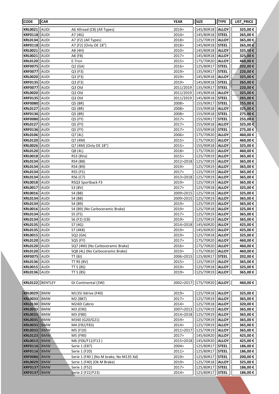| <b>CODE</b>                      | CAR          |                                        | <b>YEAR</b>            | <b>SIZE</b>              | <b>TYPE</b>                  | LIST_PRICE           |
|----------------------------------|--------------|----------------------------------------|------------------------|--------------------------|------------------------------|----------------------|
| <b>KRL0021</b>                   | AUDI         | A6 Allroad (C8) (All Types)            | 2019>                  | 145/80R18                | <b>ALLOY</b>                 | 325,00€              |
| <b>KRF0118</b>                   | AUDI         | A7 (4G)                                | 2010>                  | 145/80R18                | <b>STEEL</b>                 | 265,00€              |
| <b>KRL0134</b>                   | AUDI         | A7 (F2) (All Types)                    | 2018>                  | 125/70R19                | <b>ALLOY</b>                 | 365,00€              |
| <b>KRF0118</b>                   | AUDI         | A7 (F2) (Only OE 18")                  | 2018>                  | 145/80R18                | <b>STEEL</b>                 | 265,00€              |
| <b>KRL0021</b>                   | AUDI         | A8 (4H)                                | 2010>                  | 145/80R18                | <b>ALLOY</b>                 | 325,00€              |
| <b>KRL0021</b>                   | AUDI         | A8 (F8)                                | 2017>                  | 145/80R18                | <b>ALLOY</b>                 | 325,00€              |
| <b>KRL0120</b>                   | AUDI         | E-Tron                                 | 2015>                  | 175/70R20                | <b>ALLOY</b>                 | 460,00€              |
| <b>KRF0075</b>                   | AUDI         | Q2(GA)                                 | 2016>                  | 125/80R17                | <b>STEEL</b>                 | 202,00€              |
| <b>KRF0077</b>                   | AUDI         | Q3 (F3)                                | 2019>                  | 135/90R17                | <b>STEEL</b>                 | 220,00€              |
| <b>KRL0020</b>                   | AUDI         | Q3 (F3)                                | 2019>                  | 145/80R18                | <b>ALLOY</b>                 | 325,00€              |
| <b>KRF0135</b>                   | AUDI         | Q3 (F3)                                | 2019>                  | 145/80R18                | <b>STEEL</b>                 | 265,00€              |
| <b>KRF0077</b>                   | AUDI         | Q3 Old                                 | 2011/2019              | 135/90R17                | <b>STEEL</b>                 | 220,00€              |
| <b>KRL0020</b>                   | AUDI         | Q3 Old                                 | 2011/2019              | 145/80R18                | <b>ALLOY</b>                 | 325,00€              |
| <b>KRF0135</b>                   | AUDI         | Q3 Old                                 | 2011/2019              | 145/80R18                | <b>STEEL</b>                 | 265,00€              |
| <b>KRF0080</b>                   | AUDI         | Q5 (8R)                                | 2008>                  | 155/90R17                | <b>STEEL</b>                 | 255,00€              |
| <b>KRL0127</b>                   | AUDI         | Q5 (8R)                                | 2008>                  | 155/90R18                | <b>ALLOY</b>                 | 325,00€              |
| <b>KRF0136</b>                   | AUDI<br>AUDI | Q5 (8R)<br>Q5 (FY)                     | 2008><br>2017>         | 155/90R18                | <b>STEEL</b><br><b>STEEL</b> | 275,00€              |
| <b>KRF0080</b><br><b>KRL0127</b> | AUDI         | Q5 (FY)                                | 2017>                  | 155/90R17<br>155/90R18   | <b>ALLOY</b>                 | 255,00€<br>325,00€   |
| <b>KRF0136</b>                   | AUDI         | Q5 (FY)                                | 2017>                  | 155/90R18                | <b>STEEL</b>                 | 275,00€              |
| <b>KRL0106</b>                   | AUDI         | Q7 (4L)                                | 2006>                  | 175/70R20                | <b>ALLOY</b>                 | 460,00€              |
| <b>KRL0120</b>                   | AUDI         | Q7 (4M)                                | 2015>                  | 175/70R20                | <b>ALLOY</b>                 | 460,00€              |
| <b>KRL0026</b>                   | AUDI         | Q7 (4M) (Only OE 18")                  | 2015>                  | 155/90R18                | <b>ALLOY</b>                 | 325,00€              |
| <b>KRL0120</b>                   | AUDI         | Q8 (4L)                                | 2018>                  | 175/70R20                | <b>ALLOY</b>                 | 460,00€              |
| <b>KRL0018</b>                   | AUDI         | RS3 (8Va)                              | 2015>                  | 125/70R19                | <b>ALLOY</b>                 | 365,00€              |
| <b>KRL0134</b>                   | AUDI         | RS4 (B8)                               | 2012>2018              | 125/70R19                | <b>ALLOY</b>                 | 365,00€              |
| <b>KRL0134</b>                   | AUDI         | RS4 (B9)                               | 2019>                  | 125/70R19                | <b>ALLOY</b>                 | 365,00€              |
| <b>KRL0134</b>                   | AUDI         | RS5 (F5)                               | 2017>                  | 125/70R19                | <b>ALLOY</b>                 | 365,00€              |
| <b>KRL0134</b>                   | AUDI         | RS6 (C7)                               | 2013>2018              | 125/70R19                | <b>ALLOY</b>                 | 365,00€              |
| <b>KRL0018</b>                   | AUDI         | RSQ3 Sportback F3                      | 2019>                  | 125/70R19                | <b>ALLOY</b>                 | 365,00€              |
| <b>KRL0017</b>                   | AUDI         | S3 (8V)                                | 2017>                  | 125/70R18                | <b>ALLOY</b>                 | 325,00€              |
| <b>KRL0016</b>                   | AUDI         | S4 (B8)                                | 2009>2015              | 125/70R18                | <b>ALLOY</b>                 | 325,00 €             |
| <b>KRL0134</b>                   | AUDI         | S4 (B8)                                | 2009>2015              | 125/70R19                | <b>ALLOY</b>                 | 365,00€              |
| <b>KRL0134</b>                   | AUDI         | S4 (B9)                                | 2019>                  | 125/70R19                | <b>ALLOY</b>                 | 365,00€              |
| <b>KRL0016</b>                   | AUDI         | S4 (B9) (No Carboceramic Brake)        | 2019>                  | 125/70R18                | <b>ALLOY</b>                 | 325,00€              |
| <b>KRL0134</b><br><b>KRL0134</b> | AUDI<br>AUDI | S5 (F5)                                | 2017>                  | 125/70R19                | <b>ALLOY</b>                 | 365,00€              |
| <b>KRL0135</b>                   | <b>AUDI</b>  | S6 (F2) (C8)                           | 2019><br>2014>2018     | 125/70R19<br>145/60R20   | <b>ALLOY</b><br><b>ALLOY</b> | 365,00€              |
| <b>KRL0135</b>   AUDI            |              | S7 (4G)<br>S7 (4K8)                    | 2019>                  | 145/60R20   <b>ALLOY</b> |                              | 425,00 €<br>425,00 € |
| KRL0015 AUDI                     |              | SQ2(GA)                                | 2019>                  | 125/70R18                | <b>ALLOY</b>                 | 325,00 €             |
| <b>KRL0120</b>                   | <b>AUDI</b>  | SQ5 (FY)                               | 2017>                  | 175/70R20                | <b>ALLOY</b>                 | 460,00€              |
| <b>KRL0120</b>                   | AUDI         | SQ7 (4M) (No Carboceramic Brake)       | 2016>                  | 175/70R20                | <b>ALLOY</b>                 | 460,00 €             |
| <b>KRL0120</b>                   | AUDI         | SQ8 (4L) (No Carboceramic Brake)       | 2019>                  | 175/70R20                | <b>ALLOY</b>                 | 460,00€              |
| <b>KRF0075</b>                   | AUDI         | TT(8J)                                 | 2006>2015              | 125/80R17                | <b>STEEL</b>                 | 202,00 €             |
| KRL0136                          | <b>AUDI</b>  | <b>TT RS (8V)</b>                      | 2015>                  | 125/70R19                | <b>ALLOY</b>                 | 365,00€              |
| <b>KRL0015</b>                   | <b>AUDI</b>  | TT $S(8S)$                             | 2019>                  | 125/70R18                | <b>ALLOY</b>                 | 325,00 €             |
| <b>KRL0136</b>                   | AUDI         | <b>TT S (8S)</b>                       | 2019>                  | 125/70R19                | <b>ALLOY</b>                 | 365,00 €             |
|                                  |              |                                        |                        |                          |                              |                      |
| KRL0122  BENTLEY                 |              | Gt Continental (3W)                    | 2002>2017              | 175/70R20 ALLOY          |                              | 460,00 €             |
|                                  |              |                                        |                        |                          |                              |                      |
| <b>KRL0029</b>                   | <b>BMW</b>   | M135I Xdrive (F40)                     | 2019>                  | 125/70R18                | <b>ALLOY</b>                 | 325,00€              |
| <b>KRL0033</b>                   | <b>BMW</b>   | M2 (B87)                               | 2017>                  | 125/70R19                | <b>ALLOY</b>                 | 365,00€              |
| <b>KRL0130</b>                   | <b>BMW</b>   | M240I Cabrio                           | 2014 >                 | 125/70R18                | <b>ALLOY</b>                 | 320,00€              |
| <b>KRL0033</b><br><b>KRL0033</b> | BMW<br> BMW  | M3 (E90)<br>M3 (F80)                   | 2007>2013<br>2014>2018 | 125/70R19<br>125/70R19   | <b>ALLOY</b><br><b>ALLOY</b> | 365,00 €<br>365,00€  |
| <b>KRL0035</b>                   | <b>BMW</b>   | M340 (G20/G21)                         | 2019>                  | 125/70R19                | <b>ALLOY</b>                 | 365,00€              |
| <b>KRL0033</b>                   | <b>BMW</b>   | M4 (F82/F83)                           | 2014 >                 | 125/70R19                | <b>ALLOY</b>                 | 365,00 €             |
| <b>KRL0033</b>                   | <b>BMW</b>   | M5 (F10)                               | 2011>2017              | 125/70R19                | <b>ALLOY</b>                 | 365,00€              |
| <b>KRL0123</b>                   | <b>BMW</b>   | M5 (F90)                               | 2017>                  | 145/60R20                | <b>ALLOY</b>                 | 425,00 €             |
| <b>KRL0013</b>                   | <b>BMW</b>   | M6 (F06/F12/F13)                       | 2015>2018              | 145/60R20                | <b>ALLOY</b>                 | 425,00€              |
| <b>KRF0116</b>                   | <b>BMW</b>   | Serie 1 (E87)                          | 2004>                  | 125/80R17                | <b>STEEL</b>                 | 186,00€              |
| <b>KRF0116</b>                   | <b>BMW</b>   | Serie 1 (F20)                          | 2011>                  | 125/80R17                | <b>STEEL</b>                 | 186,00€              |
| <b>KRF0086</b>                   | <b>BMW</b>   | Serie 1 (F40) (No M brake, No M135 Xd) | 2019>                  | 125/80R17                | <b>STEEL</b>                 | 200,00 €             |
| <b>KRL0029</b>                   | <b>BMW</b>   | Serie 1 (F40) (Ok M Brake)             | 2019>                  | 125/70R18                | <b>ALLOY</b>                 | 325,00€              |
| <b>KRF0137</b>                   | <b>BMW</b>   | Serie 1 (F52)                          | 2017>                  | 125/80R17                | <b>STEEL</b>                 | 186,00 €             |
| <b>KRF0137</b>                   | <b>BMW</b>   | Serie 2 (F22/F23)                      | 2014>                  | 125/80R17                | <b>STEEL</b>                 | 186,00 €             |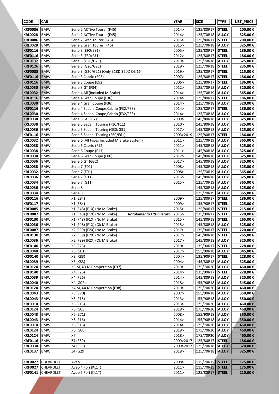| <b>CODE</b>                      | <b>CAR</b>               |                                                                      | <b>YEAR</b>    | <b>SIZE</b>            | <b>TYPE</b>                  | <b>LIST PRICE</b>  |
|----------------------------------|--------------------------|----------------------------------------------------------------------|----------------|------------------------|------------------------------|--------------------|
| <b>KRF0086</b>                   | BMW                      | Serie 2 ACTive Tourer (F45)                                          | 2014>          | 125/80R17              | <b>STEEL</b>                 | 200,00€            |
| <b>KRL0028</b>                   | <b>BMW</b>               | Serie 2 ACTive Tourer (F45)                                          | 2014>          | 125/70R18              | <b>ALLOY</b>                 | 325,00€            |
| <b>KRF0086</b>                   | <b>BMW</b>               | Serie 2 Gran Tourer (F46)                                            | 2015>          | 125/80R17              | <b>STEEL</b>                 | 200,00€            |
| <b>KRL0028</b>                   | BMW                      | Serie 2 Gran Tourer (F46)                                            | 2015>          | 125/70R18              | <b>ALLOY</b>                 | 325,00€            |
| <b>KRF0116</b>                   | <b>BMW</b>               | Serie 3 (E90/E91)                                                    | 2005>          | 125/80R17              | <b>STEEL</b>                 | 186,00€            |
| <b>KRF0116</b>                   | <b>BMW</b>               | Serie 3 (F30/F31)                                                    | 2012>          | 125/80R17              | <b>STEEL</b>                 | 186,00€            |
| <b>KRL0137</b>                   | <b>BMW</b>               | Serie 3 (G20/G21)                                                    | 2019>          | 125/70R18              | <b>ALLOY</b>                 | 325,00€            |
| <b>KRF0126</b>                   | <b>BMW</b>               | Serie 3 (G20/G21)                                                    | 2019>          | 125/70R18              | <b>STEEL</b>                 | 235,00€            |
| <b>KRF0085</b>                   | <b>BMW</b>               | Serie 3 (G20/G21) (Only 318D,320D OE 16")                            | 2019>          | 125/80R17              | <b>STEEL</b>                 | 215,00€            |
| <b>KRF0116</b>                   | <b>BMW</b>               | Serie 3 Cabrio (E93)                                                 | 2007>          | 125/80R17              | <b>STEEL</b>                 | 186,00€            |
| <b>KRF0116</b>                   | BMW                      | Serie 3 Coupe (E92)                                                  | 2006>          | 125/80R17              | <b>STEEL</b>                 | 186,00€            |
| <b>KRL0030</b>                   | <b>BMW</b>               | Serie 3 GT (F34)                                                     | 2012>          | 125/70R18              | <b>ALLOY</b>                 | 320,00€            |
| <b>KRL0032</b>                   | <b>BMW</b>               | Serie 4 All (Included M Brake)                                       | 2014>          | 125/70R19              | <b>ALLOY</b>                 | 365,00€            |
| <b>KRF0116</b>                   | <b>BMW</b>               | Serie 4 Gran Coupe (F36)                                             | 2014>          | 125/80R17              | <b>STEEL</b>                 | 186,00€            |
| <b>KRL0030</b>                   | BMW                      | Serie 4 Gran Coupe (F36)                                             | 2014>          | 125/70R18              | <b>ALLOY</b>                 | 320,00€            |
| <b>KRF0116</b>                   | BMW                      | Serie 4, Sedan, Coupe, Cabrio (F32/F33)                              | 2014>          | 125/80R17              | <b>STEEL</b>                 | 186,00€            |
| <b>KRL0030</b>                   | BMW                      | Serie 4, Sedan, Coupe, Cabrio (F32/F33)                              | 2014>          | 125/70R18              | <b>ALLOY</b>                 | 320,00€            |
| <b>KRL0038</b>                   | <b>BMW</b>               | Serie 5 Gt (F07)                                                     | 2009>          | 145/80R18              | <b>ALLOY</b>                 | 325,00€            |
| <b>KRL0038</b><br><b>KRL0036</b> | <b>BMW</b><br><b>BMW</b> | Serie 5 Sedan, Touring (F10/F11)                                     | 2010><br>2017> | 145/80R18<br>145/80R18 | <b>ALLOY</b><br><b>ALLOY</b> | 325,00€<br>325,00€ |
| <b>KRF0116</b>                   | BMW                      | Serie 5 Sedan, Touring (G30/G31)<br>Serie 5 Sedan; Touring (E60/E61) | 2003>2019      | 125/80R17              | <b>STEEL</b>                 | 186,00€            |
| <b>KRL0032</b>                   | <b>BMW</b>               | Serie 6 (All types Included M Brake System)                          | 2011>          | 125/70R19              | <b>ALLOY</b>                 | 365,00€            |
| <b>KRL0038</b>                   | <b>BMW</b>               | Serie 6 Cabrio (F12)                                                 | 2011>          | 145/80R18              | <b>ALLOY</b>                 | 325,00€            |
| <b>KRL0038</b>                   | BMW                      | Serie 6 Coupe (F13)                                                  | 2011>          | 145/80R18              | <b>ALLOY</b>                 | 325,00€            |
| <b>KRL0038</b>                   | BMW                      | Serie 6 Gran Coupe (F06)                                             | 2012>          | 145/80R18              | <b>ALLOY</b>                 | 325,00€            |
| <b>KRL0036</b>                   | <b>BMW</b>               | Serie 6 GT (G32)                                                     | 2017>          | 145/80R18              | <b>ALLOY</b>                 | 325,00€            |
| <b>KRL0038</b>                   | <b>BMW</b>               | Serie 7 (F01)                                                        | 2008>          | 145/80R18              | <b>ALLOY</b>                 | 325,00€            |
| <b>KRL0032</b>                   | <b>BMW</b>               | Serie 7 (F01)                                                        | 2008>          | 125/70R19              | <b>ALLOY</b>                 | 365,00€            |
| <b>KRL0036</b>                   | BMW                      | Serie 7 (G11)                                                        | 2015>          | 145/80R18              | <b>ALLOY</b>                 | 325,00€            |
| <b>KRL0034</b>                   | <b>BMW</b>               | Serie 7 (G11)                                                        | 2015>          | 125/70R19              | <b>ALLOY</b>                 | 365,00€            |
| <b>KRL0036</b>                   | <b>BMW</b>               | Serie 8                                                              |                | 145/80R18              | <b>ALLOY</b>                 | 325,00€            |
| <b>KRL0034</b>                   | BMW                      | Serie 8                                                              |                | 125/70R19              | <b>ALLOY</b>                 | 365,00€            |
| <b>KRF0116</b>                   | BMW                      | X1 (E84)                                                             | 2009>          | 125/80R17              | <b>STEEL</b>                 | 186,00€            |
| <b>KRF0117</b>                   | BMW                      | X1 (E84)                                                             | 2009>          | 135/90R17              | <b>STEEL</b>                 | 225,00€            |
| <b>KRF0085</b>                   | <b>BMW</b>               | X1 (F48) (F1X) (No M Brake)                                          | 2015>          | 125/80R17              | <b>STEEL</b>                 | 215,00€            |
| <b>KRF0087</b>                   | <b>BMW</b>               | X1 (F48) (F1X) (No M Brake)<br>Rotolamento Ottimizzato               | 2015>          | 135/90R17              | <b>STEEL</b>                 | 220,00€            |
| <b>KRF0130</b>                   | BMW                      | X1 (F48) (F1X) (No M Brake)                                          | 2015>          | 145/80R18              | <b>STEEL</b>                 | 265,00€            |
| <b>KRL0036</b>                   | BMW                      | X1 (F48) (F1X) (Ok M Brake)                                          | 2015>          | 145/80R18              | <b>ALLOY</b>                 | 325,00€            |
| <b>KRF0087</b>   BMW             |                          | X2 (F39) (F2X) (No M Brake)                                          | 2017>          | 135/90R17              | <b>STEEL</b>                 | 220,00 €           |
| <b>KRF0130</b>                   | <b>BMW</b>               | X2 (F39) (F2X) (No M Brake)                                          | 2017>          | 145/80R18              | <b>STEEL</b>                 | 265,00€            |
| <b>KRL0036</b>                   | BMW                      | X2 (F39) (F2X) (Ok M Brake)                                          | 2017>          | 145/80R18              | <b>ALLOY</b>                 | 325,00€            |
| <b>KRF0140</b>                   | BMW                      | X3 (F25)                                                             | 2010>          | 135/90R17              | <b>STEEL</b>                 | 228,00€            |
| <b>KRL0040</b>                   | <b>BMW</b>               | X3 (G01)                                                             | 2017>          | 155/90R18              | <b>ALLOY</b>                 | 345,00€            |
| <b>KRF0140</b><br><b>KRL0039</b> | <b>BMW</b><br><b>BMW</b> | X3 (X83)<br>X3 (X83)                                                 | 2004><br>2004> | 135/90R17<br>145/80R18 | <b>STEEL</b><br><b>ALLOY</b> | 228,00€<br>325,00€ |
|                                  |                          |                                                                      | 2019>          |                        |                              |                    |
| <b>KRL0124</b><br><b>KRF0140</b> | BMW<br><b>BMW</b>        | X3 M, X3 M Competition (F97)<br>X4 (F26)                             | 2014>          | 175/70R20<br>135/90R17 | <b>ALLOY</b><br><b>STEEL</b> | 460,00€<br>228,00€ |
| <b>KRL0039</b>                   | <b>BMW</b>               | X4 (F26)                                                             | 2014>          | 145/80R18              | <b>ALLOY</b>                 | 325,00€            |
| <b>KRL0040</b>                   | BMW                      | X4 (G02)                                                             | 2018>          | 155/90R18              | <b>ALLOY</b>                 | 345,00€            |
| <b>KRL0124</b>                   | BMW                      | X4 M, X4 M Competition (F98)                                         | 2019>          | 175/70R20              | <b>ALLOY</b>                 | 460,00 €           |
| <b>KRL0043</b>                   | BMW                      | X5 (E70)                                                             | 2007>          | 155/90R18              | <b>ALLOY</b>                 | 350,00€            |
| <b>KRL0043</b>                   | <b>BMW</b>               | X5 (F15)                                                             | 2013>          | 155/90R18              | <b>ALLOY</b>                 | 350,00€            |
| <b>KRL0010</b>                   | <b>BMW</b>               | X5 (F15)                                                             | 2013>          | 175/70R20              | <b>ALLOY</b>                 | 460,00€            |
| <b>KRL0124</b>                   | <b>BMW</b>               | X5 (G05)                                                             | 2018>          | 175/70R20              | <b>ALLOY</b>                 | 460,00€            |
| <b>KRL0043</b>                   | BMW                      | X6 (E71)                                                             | 2008>          | 155/90R18              | <b>ALLOY</b>                 | 350,00€            |
| <b>KRL0043</b>                   | <b>BMW</b>               | X6 (F16)                                                             | 2014>          | 155/90R18              | <b>ALLOY</b>                 | 350,00€            |
| <b>KRL0010</b>                   | BMW                      | X6 (F16)                                                             | 2014>          | 175/70R20              | <b>ALLOY</b>                 | 460,00 €           |
| <b>KRL0124</b>                   | <b>BMW</b>               | X6 (G06)                                                             | 2019>          | 175/70R20              | <b>ALLOY</b>                 | 460,00€            |
| <b>KRL0124</b>                   | BMW                      | X7                                                                   | 2018>          | 175/70R20              | <b>ALLOY</b>                 | 460,00€            |
| <b>KRF0116</b>                   | <b>BMW</b>               | Z4 (E89)                                                             | 2009>2017      | 125/80R17              | <b>STEEL</b>                 | 186,00€            |
| <b>KRL0030</b>                   | <b>BMW</b>               | Z4 (E89)                                                             | 2009>2017      | 125/70R18              | <b>ALLOY</b>                 | 320,00€            |
| <b>KRL0137</b>                   | BMW                      | Z4 (G29)                                                             | 2018>          | 125/70R18              | <b>ALLOY</b>                 | 325,00 €           |
|                                  |                          |                                                                      |                |                        |                              |                    |
| <b>KRF0027</b>                   | <b>CHEVROLET</b>         | Aveo                                                                 | 2008>          | 115/70R15              | <b>STEEL</b>                 | 175,00€            |
| <b>KRF0027</b>                   | <b>CHEVROLET</b>         | Aveo 4 Fori (KL1T)                                                   | 2011>          | 115/70R15              | <b>STEEL</b>                 | 175,00 €           |
| <b>KRF0141</b>                   | <b>CHEVROLET</b>         | Aveo 5 Fori (KL1T)                                                   | 2011>          | 125/80R17              | <b>STEEL</b>                 | 210,00€            |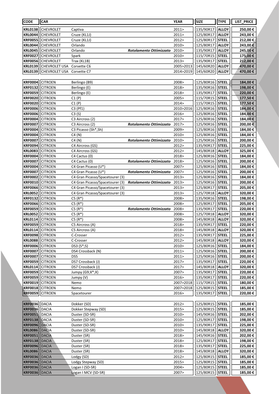| <b>CODE</b>                      | CAR                              |                                        |                               | <b>YEAR</b>    | <b>SIZE</b>            | <b>TYPE</b>                  | LIST_PRICE          |
|----------------------------------|----------------------------------|----------------------------------------|-------------------------------|----------------|------------------------|------------------------------|---------------------|
| <b>KRL0138</b>                   | <b>CHEVROLET</b>                 | Captiva                                |                               | 2011>          | 135/90R17              | <b>ALLOY</b>                 | 250,00€             |
| <b>KRL0044</b>                   | CHEVROLET                        | Cruze (KL1J)                           |                               | 2011           | 125/80R17              | <b>ALLOY</b>                 | 243,00€             |
| <b>KRF0055</b>                   | <b>CHEVROLET</b>                 | Cruze (KL1J)                           |                               | 2012>          | 125/80R17              | <b>STEEL</b>                 | 212,00€             |
| <b>KRL0044</b>                   | <b>CHEVROLET</b>                 | Orlando                                |                               | 2010>          | 125/80R17              | <b>ALLOY</b>                 | 243,00€             |
| <b>KRL0045</b>                   | <b>CHEVROLET</b>                 | Orlando                                | Rotolamento Ottimizzato       | 2010>          | 135/90R17              | <b>ALLOY</b>                 | 245,00€             |
| <b>KRF0027</b>                   | <b>CHEVROLET</b>                 | Spark                                  |                               | 2010>          | 115/70R15              | <b>STEEL</b>                 | 175,00€             |
| <b>KRF0056</b>                   | <b>CHEVROLET</b>                 | Trax (KL1B)                            |                               | 2013>          | 135/90R17              | <b>STEEL</b>                 | 212,00€             |
| <b>KRL0139</b>                   | CHEVROLET USA                    | Corvette C6                            |                               | 2005>2013      | 145/60R20              | <b>ALLOY</b>                 | 470,00€             |
| <b>KRL0139</b>                   | CHEVROLET USA                    | Corvette C7                            |                               | 2014>2019      | 145/60R20              | <b>ALLOY</b>                 | 470,00€             |
|                                  |                                  |                                        |                               |                |                        |                              |                     |
| <b>KRF0004</b>                   | <b>CITROEN</b>                   | Berlingo (B9)                          |                               | 2008>          | 125/80R16              | <b>STEEL</b>                 | 184,00€             |
| <b>KRF0132</b>                   | <b>CITROEN</b>                   | Berlingo (E)                           |                               | 2018>          | 135/90R16              | <b>STEEL</b>                 | 198,00€             |
| <b>KRF0059</b>                   | <b>CITROEN</b>                   | Berlingo (E)                           |                               | 2018>          | 135/90R17              | <b>STEEL</b>                 | 220,00€             |
| <b>KRF0020</b>                   | <b>CITROEN</b>                   | C1(P)                                  |                               | 2005>          | 115/70R15              | <b>STEEL</b>                 | 177,50€             |
| <b>KRF0020</b>                   | <b>CITROEN</b>                   | C1(P)                                  |                               | 2014>          | 115/70R15              | <b>STEEL</b>                 | 177,50€             |
| <b>KRF0006</b>                   | <b>CITROEN</b>                   | $C3$ (Pf1)                             |                               | 2010>2016      | 125/80R16              | <b>STEEL</b>                 | 184,00€             |
| <b>KRF0006</b>                   | <b>CITROEN</b>                   | C3(S)                                  |                               | 2016>          | 125/80R16              | <b>STEEL</b>                 | 184,00€             |
| <b>KRF0004</b>                   | <b>CITROEN</b>                   | C3 Aircross (2)                        |                               | 2017>          | 125/80R16              | <b>STEEL</b>                 | 184,00€             |
| <b>KRF0007</b><br><b>KRF0004</b> | <b>CITROEN</b><br><b>CITROEN</b> | C3 Aircross (2)<br>C3 Picasso (Sh*,Sh) | Rotolamento Ottimizzato       | 2017><br>2009> | 125/90R16<br>125/80R16 | <b>STEEL</b><br><b>STEEL</b> | 200,00 €<br>184,00€ |
| <b>KRF0004</b>                   | <b>CITROEN</b>                   | C4(N)                                  |                               | 2010>          | 125/80R16              | <b>STEEL</b>                 | 184,00€             |
| <b>KRF0007</b>                   | <b>CITROEN</b>                   | C4(N)                                  | Rotolamento Ottimizzato       | 2010>          | 125/90R16              | <b>STEEL</b>                 | 200,00€             |
| <b>KRF0094</b>                   | <b>CITROEN</b>                   | C4 Aircross (GS)                       |                               | 2012>          | 135/90R17              | <b>STEEL</b>                 | 225,00€             |
| <b>KRL0083</b>                   | <b>CITROEN</b>                   | C4 Aircross (GS)                       |                               | 2012>          | 145/80R18              | <b>ALLOY</b>                 | 325,00€             |
| <b>KRF0004</b>                   | <b>CITROEN</b>                   | C4 Cactus (0)                          |                               | 2018>          | 125/80R16              | <b>STEEL</b>                 | 184,00€             |
| <b>KRF0007</b>                   | <b>CITROEN</b>                   | C4 Cactus (0)                          | Rotolamento Ottimizzato 2018> |                | 125/90R16              | <b>STEEL</b>                 | 200,00€             |
| <b>KRF0004</b>                   | <b>CITROEN</b>                   | C4 Gran Picasso (U*)                   |                               | 2007>          | 125/80R16              | <b>STEEL</b>                 | 184,00€             |
| <b>KRF0007</b>                   | <b>CITROEN</b>                   | C4 Gran Picasso (U*)                   | Rotolamento Ottimizzato 2007> |                | 125/90R16              | <b>STEEL</b>                 | 200,00€             |
| <b>KRF0002</b>                   | <b>CITROEN</b>                   | C4 Gran Picasso/Spacetourer (3)        |                               | 2013>          | 125/80R16              | <b>STEEL</b>                 | 184,00€             |
| <b>KRF0010</b>                   | <b>CITROEN</b>                   | C4 Gran Picasso/Spacetourer (3)        | Rotolamento Ottimizzato       | 2013>          | 125/90R16              | <b>STEEL</b>                 | 200,00€             |
| <b>KRF0066</b>                   | <b>CITROEN</b>                   | C4 Gran Picasso/Spacetourer (3)        |                               | 2013>          | 125/80R17              | <b>STEEL</b>                 | 205,00€             |
| <b>KRL0052</b>                   | <b>CITROEN</b>                   | C4 Gran Picasso/Spacetourer (3)        |                               | 2013>          | 125/70R18              | <b>ALLOY</b>                 | 320,00€             |
| <b>KRF0132</b>                   | <b>CITROEN</b>                   | $C5(R^*)$                              |                               | 2008>          | 135/90R16              | <b>STEEL</b>                 | 198,00€             |
| <b>KRF0066</b>                   | <b>CITROEN</b>                   | $C5(R*)$                               |                               | 2008>          | 125/80R17              | <b>STEEL</b>                 | 205,00€             |
| <b>KRF0059</b>                   | <b>CITROEN</b>                   | $C5(R^*)$                              | Rotolamento Ottimizzato       | 2008>          | 135/90R17              | <b>STEEL</b>                 | 220,00€             |
| <b>KRL0052</b>                   | <b>CITROEN</b>                   | $C5(R^*)$                              |                               | 2008>          | 125/70R18              | <b>ALLOY</b>                 | 320,00€             |
| <b>KRL0114</b>                   | <b>CITROEN</b>                   | $C5(R*)$                               |                               | 2008>          | 145/80R18              | <b>ALLOY</b>                 | 320,00€             |
| <b>KRF0059</b>                   | <b>CITROEN</b>                   | C5 Aircross (A)                        |                               | 2018>          | 135/90R17              | <b>STEEL</b>                 | 220,00€             |
| KRL0114   CITROEN                |                                  | C5 Aircross (A)                        |                               | 2018>          | 145/80R18              | <b>ALLOY</b>                 | 320,00€             |
| <b>KRF0098</b><br><b>KRL0088</b> | <b>CITROEN</b>                   | C-Crosser                              |                               | 2012><br>2012> | 135/90R17<br>145/80R18 | <b>STEEL</b>                 | 225,00€<br>320,00€  |
| <b>KRF0006</b>                   | <b>CITROEN</b><br><b>CITROEN</b> | C-Crosser<br>DS3 (S*;S)                |                               | 2010>          | 125/80R16              | <b>ALLOY</b><br><b>STEEL</b> | 184,00 €            |
| <b>KRF0007</b>                   | <b>CITROEN</b>                   | DS4 Crossback (N)                      |                               | 2011>          | 125/90R16              | <b>STEEL</b>                 | 200,00€             |
| <b>KRF0007</b>                   | <b>CITROEN</b>                   | DS5                                    |                               | 2011>          | 125/90R16              | <b>STEEL</b>                 | 200,00€             |
| <b>KRF0059</b>                   | <b>CITROEN</b>                   | DS7 Crossback (J)                      |                               | 2017>          | 135/90R17              | <b>STEEL</b>                 | 220,00€             |
| <b>KRL0114</b>                   | <b>CITROEN</b>                   | DS7 Crossback (J)                      |                               | 2017>          | 145/80R18              | <b>ALLOY</b>                 | 320,00€             |
| <b>KRF0059</b>                   | <b>CITROEN</b>                   | Jumpy (G9;X*;X)                        |                               | 2007>          | 135/90R17              | <b>STEEL</b>                 | 220,00€             |
| <b>KRF0059</b>                   | <b>CITROEN</b>                   | Jumpy (V)                              |                               | 2016>          | 135/90R17              | <b>STEEL</b>                 | 220,00 €            |
| <b>KRF0019</b>                   | <b>CITROEN</b>                   | Nemo                                   |                               | 2007>2018      | 115/70R15              | <b>STEEL</b>                 | 180,00€             |
| <b>KRF0018</b>                   | <b>CITROEN</b>                   | Nemo                                   |                               | 2007>2018      | 125/80R15              | <b>STEEL</b>                 | 185,00 €            |
| <b>KRF0059</b>                   | <b>CITROEN</b>                   | Spacetourer                            |                               | 2016>          | 135/90R17              | <b>STEEL</b>                 | 220,00 €            |
|                                  |                                  |                                        |                               |                |                        |                              |                     |
| <b>KRF0036</b>                   | DACIA                            | Dokker (SD)                            |                               | 2012>          | 125/80R15              | <b>STEEL</b>                 | 185,00€             |
| <b>KRF0036</b>                   | DACIA                            | Dokker Stepway (SD)                    |                               | 2015>          | 125/80R15              | <b>STEEL</b>                 | 185,00€             |
| <b>KRF0051</b>                   | DACIA                            | Duster (SD-SR)                         |                               | 2010>          | 145/90R16              | <b>STEEL</b>                 | 202,00€             |
| <b>KRF0138</b>                   | DACIA                            | Duster (SD-SR)                         |                               | 2010>          | 125/80R17              | <b>STEEL</b>                 | 198,00€             |
| <b>KRF0096</b>                   | DACIA                            | Duster (SD-SR)                         |                               | 2010>          | 135/90R17              | <b>STEEL</b>                 | 225,00 €            |
| <b>KRL0086</b>                   | DACIA                            | Duster (SD-SR)                         |                               | 2010>          | 145/80R18              | <b>ALLOY</b>                 | 320,00€             |
| <b>KRF0051</b>                   | <b>DACIA</b>                     | Duster (SR)                            |                               | 2018>          | 145/90R16              | <b>STEEL</b>                 | 202,00 €            |
| <b>KRF0138</b><br><b>KRF0096</b> | <b>DACIA</b><br>DACIA            | Duster (SR)<br>Duster (SR)             |                               | 2018><br>2018> | 125/80R17<br>135/90R17 | <b>STEEL</b><br><b>STEEL</b> | 198,00€<br>225,00 € |
| <b>KRL0086</b>                   | DACIA                            | Duster (SR)                            |                               | 2018>          | 145/80R18              | <b>ALLOY</b>                 | 320,00€             |
| <b>KRF0036</b>                   | DACIA                            | Lodgy (SD)                             |                               | 2012>          | 125/80R15              | <b>STEEL</b>                 | 185,00€             |
| <b>KRF0036</b>                   | DACIA                            | Lodgy Stepway (SD)                     |                               | 2015>          | 125/80R15              | <b>STEEL</b>                 | 185,00€             |
| <b>KRF0036</b>                   | <b>DACIA</b>                     | Logan I (SD-SR)                        |                               | 2004>          | 125/80R15              | <b>STEEL</b>                 | 185,00 €            |
| <b>KRF0036</b>                   | DACIA                            | Logan I MCV (SD-SR)                    |                               | 2007>          | 125/80R15              | <b>STEEL</b>                 | 185,00 €            |
|                                  |                                  |                                        |                               |                |                        |                              |                     |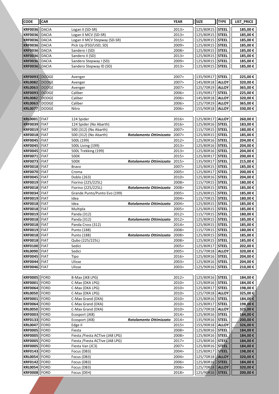| <b>CODE</b>                      | <b>CAR</b>                 |                                     |                         | <b>YEAR</b>    | <b>SIZE</b>            | <b>TYPE</b>                  | LIST_PRICE          |
|----------------------------------|----------------------------|-------------------------------------|-------------------------|----------------|------------------------|------------------------------|---------------------|
| <b>KRF0036</b>                   | DACIA                      | Logan II (SD-SR)                    |                         | 2013>          | 125/80R15              | <b>STEEL</b>                 | 185,00€             |
| <b>KRF0036</b>                   | DACIA                      | Logan II MCV (SD-SR)                |                         | 2013>          | 125/80R15              | <b>STEEL</b>                 | 185,00€             |
| <b>KRF0036</b>                   | DACIA                      | Logan II MCV Stepway (SD-SR)        |                         | 2015>          | 125/80R15              | <b>STEEL</b>                 | 185,00€             |
| <b>KRF0036</b>                   | DACIA                      | Pick Up (FSD/USD; SD)               |                         | 2009>          | 125/80R15              | <b>STEEL</b>                 | 185,00€             |
| <b>KRF0036</b>                   | <b>DACIA</b>               | Sandero I (SD)                      |                         | 2008>          | 125/80R15              | <b>STEEL</b>                 | 185,00€             |
| <b>KRF0036</b>                   | DACIA                      | Sandero II (SD)                     |                         | 2013>          | 125/80R15              | <b>STEEL</b>                 | 185,00€             |
| <b>KRF0036</b>                   | DACIA                      | Sandero Stepway I (SD)              |                         | 2009>          | 125/80R15              | <b>STEEL</b>                 | 185,00€             |
| <b>KRF0036</b>                   | DACIA                      | Sandero Stepway ID (SD)             |                         | 2013>          | 125/80R15              | <b>STEEL</b>                 | 185,00€             |
|                                  |                            |                                     |                         |                |                        |                              |                     |
| <b>KRF0093</b>                   | DODGE                      | Avenger                             |                         | 2007>          | 135/90R17              | <b>STEEL</b>                 | 225,00€             |
| <b>KRL0082</b>                   | <b>DODGE</b>               | Avenger                             |                         | 2007><br>2007> | 145/80R18<br>125/70R19 | <b>ALLOY</b>                 | 320,00€             |
| <b>KRL0063</b><br><b>KRF0093</b> | DODGE<br>DODGE             | Avenger<br>Caliber                  |                         | 2006>          | 135/90R17              | <b>ALLOY</b><br><b>STEEL</b> | 365,00€<br>225,00€  |
| <b>KRL0082</b>                   | DODGE                      | Caliber                             |                         | 2006>          | 145/80R18              | <b>ALLOY</b>                 | 320,00€             |
| <b>KRL0063</b>                   | DODGE                      | Caliber                             |                         | 2006>          | 125/70R19              | <b>ALLOY</b>                 | 365,00€             |
| <b>KRL0077</b>                   | DODGE                      | Nitro                               |                         | 2006>          | 155/90R18              | <b>ALLOY</b>                 | 330,00€             |
|                                  |                            |                                     |                         |                |                        |                              |                     |
| <b>KRL0001</b>                   | FIAT                       | 124 Spider                          |                         | 2016>          | 125/80R17              | <b>ALLOY</b>                 | 260,00€             |
| <b>KRF0039</b>                   | FIAT                       | 124 Spider (No Abarth)              |                         | 2016>          | 125/80R16              | <b>STEEL</b>                 | 183,00€             |
| <b>KRF0019</b>                   | FIAT                       | 500 (312) (No Abarth)               |                         | 2007>          | 115/70R15              | <b>STEEL</b>                 | 180,00€             |
| <b>KRF0018</b>                   | FIAT                       | 500 (312) (No Abarth)               | Rotolamento Ottimizzato | 2007>          | 125/80R15              | <b>STEEL</b>                 | 185,00€             |
| <b>KRF0045</b>                   | <b>FIAT</b>                | 500L (199)                          |                         | 2012>          | 125/80R16              | <b>STEEL</b>                 | 204,00€             |
| <b>KRF0045</b>                   | FIAT                       | 500L Living (199)                   |                         | 2013>          | 125/80R16              | <b>STEEL</b>                 | 204,00€             |
| <b>KRF0045</b>                   | <b>FIAT</b>                | 500L Trekking (199)                 |                         | 2013>          | 125/80R16              | <b>STEEL</b>                 | 204,00€             |
| <b>KRF0071</b>                   | FIAT                       | 500X                                |                         | 2015>          | 125/80R17              | <b>STEEL</b>                 | 200,00€             |
| <b>KRF0073</b><br><b>KRF0018</b> | FIAT<br>FIAT               | 500X<br>Bravo                       | Rotolamento Ottimizzato | 2015><br>2007> | 135/90R17<br>125/80R15 | <b>STEEL</b><br><b>STEEL</b> | 215,00€<br>185,00€  |
| <b>KRF0070</b>                   | FIAT                       | Croma                               |                         | 2005>          | 125/80R17              | <b>STEEL</b>                 | 200,00€             |
| <b>KRF0045</b>                   | FIAT                       | Doblo (263)                         |                         | 2010>          | 125/80R16              | <b>STEEL</b>                 | 204,00€             |
| <b>KRF0019</b>                   | FIAT                       | Fiorino (225/225L)                  |                         | 2008>          | 115/70R15              | <b>STEEL</b>                 | 180,00€             |
| <b>KRF0018</b>                   | <b>FIAT</b>                | Fiorino (225/225L)                  | Rotolamento Ottimizzato | 2008>          | 125/80R15              | <b>STEEL</b>                 | 185,00€             |
| <b>KRF0034</b>                   | FIAT                       | Grande Punto/Punto Evo (199)        |                         | 2005>          | 125/80R15              | <b>STEEL</b>                 | 185,00€             |
| <b>KRF0019</b>                   | FIAT                       | Idea                                |                         | 2004>          | 115/70R15              | <b>STEEL</b>                 | 180,00€             |
| <b>KRF0018</b>                   | FIAT                       | Idea                                | Rotolamento Ottimizzato | 2004>          | 125/80R15              | <b>STEEL</b>                 | 185,00€             |
| <b>KRF0018</b>                   | FIAT                       | Multipla                            |                         | 2005>          | 125/80R15              | <b>STEEL</b>                 | 185,00€             |
| <b>KRF0019</b>                   | FIAT                       | Panda (312)                         |                         | 2012>          | 115/70R15              | <b>STEEL</b>                 | 180,00€             |
| <b>KRF0018</b>                   | FIAT                       | Panda (312)                         | Rotolamento Ottimizzato | 2012>          | 125/80R15              | <b>STEEL</b>                 | 185,00€             |
| <b>KRF0018</b>                   | FIAT                       | Panda Cross (312)                   |                         | 2014>          | 125/80R15              | <b>STEEL</b>                 | 185,00€             |
| <b>KRF0019   FIAT</b>            |                            | Punto (188)                         |                         | 2008>          | 115/70R15              | <b>STEEL</b>                 | 180,00€             |
| <b>KRF0018</b><br><b>KRF0018</b> | <b>FIAT</b><br><b>FIAT</b> | Punto (188)<br>Qubo (225/225L)      | Rotolamento Ottimizzato | 2008><br>2008> | 125/80R15<br>125/80R15 | <b>STEEL</b><br><b>STEEL</b> | 185,00€<br>185,00 € |
| <b>KRF0100</b>                   | <b>FIAT</b>                | Sedici                              |                         | 2005>          | 125/80R17              | <b>STEEL</b>                 | 202,00€             |
| <b>KRL0090</b>                   | <b>FIAT</b>                | Sedici                              |                         | 2005>          | 125/70R18              | <b>ALLOY</b>                 | 320,00€             |
| <b>KRF0045</b>                   | FIAT                       | Tipo                                |                         | 2016>          | 125/80R16              | <b>STEEL</b>                 | 204,00€             |
| <b>KRF0044</b>                   | <b>FIAT</b>                | Ulisse                              |                         | 2003>          | 125/80R16              | <b>STEEL</b>                 | 204,00€             |
| <b>KRF0046</b>                   | <b>FIAT</b>                | Ulisse                              |                         | 2003 >         | 125/90R16              | <b>STEEL</b>                 | 210,00€             |
|                                  |                            |                                     |                         |                |                        |                              |                     |
| <b>KRF0005</b>                   | FORD                       | B-Max (JK8 LPG)                     |                         | 2012>          | 125/80R16              | <b>STEEL</b>                 | 184,00€             |
| <b>KRF0001</b>                   | FORD                       | C-Max (DXA LPG)                     |                         | 2010>          | 125/80R16              | <b>STEEL</b>                 | 184,00€             |
| <b>KRF0064</b>                   | FORD                       | C-Max (DXA LPG)                     |                         | 2010>          | 125/80R17              | <b>STEEL</b>                 | 198,00 €            |
| <b>KRL0050</b>                   | FORD                       | C-Max (DXA LPG)                     |                         | 2010>          | 125/70R18              | <b>ALLOY</b>                 | 325,00 €            |
| <b>KRF0001</b>                   | <b>FORD</b>                | C-Max Grand (DXA)                   |                         | 2010>          | 125/80R16              | <b>STEEL</b>                 | 184,00€             |
| <b>KRF0064</b>                   | <b>FORD</b>                | C-Max Grand (DXA)                   |                         | 2010>          | 125/80R17<br>125/70R18 | <b>STEEL</b>                 | 198,00€             |
| <b>KRL0050</b><br><b>KRF0003</b> | FORD<br>FORD               | C-Max Grand (DXA)<br>Ecosport (JK8) |                         | 2010><br>2014> | 125/80R16              | <b>ALLOY</b><br><b>STEEL</b> | 325,00€<br>184,00€  |
| <b>KRF0133</b>                   | <b>FORD</b>                | Ecosport (JK8)                      | Rotolamento Ottimizzato | 2014>          | 135/90R16              | <b>STEEL</b>                 | 200,00 €            |
| <b>KRL0047</b>                   | FORD                       | Edge II                             |                         | 2015>          | 155/90R18              | <b>ALLOY</b>                 | 326,00€             |
| <b>KRF0005</b>                   | FORD                       | Fiesta                              |                         | 2008>          | 125/80R16              | <b>STEEL</b>                 | 184,00€             |
| <b>KRF0005</b>                   | FORD                       | Fiesta / Fiesta ACTive (JA8 LPG)    |                         | 2008>          | 125/80R16              | <b>STEEL</b>                 | 184,00€             |
| <b>KRF0005</b>                   | FORD                       | Fiesta /Fiesta ACTive (JA8 LPG)     |                         | 2017>          | 125/80R16              | <b>STEEL</b>                 | 184,00€             |
| <b>KRF0005</b>                   | FORD                       | Fiesta Van (JC3)                    |                         | 2007>          | 125/80R16              | <b>STEEL</b>                 | 184,00€             |
| <b>KRF0143</b>                   | FORD                       | Focus (DB3)                         |                         | 2004>          | 125/80R17              | <b>STEEL</b>                 | 198,00€             |
| <b>KRL0054</b>                   | FORD                       | Focus (DB3)                         |                         | 2004>          | 125/70R18              | <b>ALLOY</b>                 | 320,00€             |
| <b>KRF0142</b>                   | FORD                       | Focus (DB3)                         |                         | 2006>          | 125/80R16              | <b>STEEL</b>                 | 184,00€             |
| <b>KRL0054</b>                   | FORD                       | Focus (DB3)                         |                         | 2006>          | 125/70R18              | <b>ALLOY</b>                 | 320,00 €            |
| <b>KRF0008</b>                   | FORD                       | Focus (DEH)                         |                         | 2018>          | 125/90R16              | <b>STEEL</b>                 | 200,00 €            |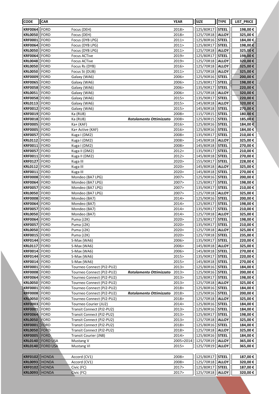| <b>CODE</b>                             | <b>CAR</b>      |                                                        |                         | <b>YEAR</b>    | <b>SIZE</b>            | <b>TYPE</b>                  | LIST_PRICE          |
|-----------------------------------------|-----------------|--------------------------------------------------------|-------------------------|----------------|------------------------|------------------------------|---------------------|
| <b>KRF0064</b>                          | FORD            | Focus (DEH)                                            |                         | 2018>          | 125/80R17              | <b>STEEL</b>                 | 198,00€             |
| <b>KRL0050</b>                          | FORD            | Focus (DEH)                                            |                         | 2018>          | 125/70R18              | <b>ALLOY</b>                 | 325,00€             |
| <b>KRF0001</b>                          | FORD            | Focus (DYB LPG)                                        |                         | 2011>          | 125/80R16              | <b>STEEL</b>                 | 184,00€             |
| <b>KRF0064</b>                          | FORD            | Focus (DYB LPG)                                        |                         | 2011>          | 125/80R17              | <b>STEEL</b>                 | 198,00€             |
| <b>KRL0050</b>                          | FORD            | Focus (DYB LPG)                                        |                         | 2011>          | 125/70R18              | <b>ALLOY</b>                 | 325,00€             |
| <b>KRF0064</b>                          | FORD            | <b>Focus ACTive</b>                                    |                         | 2019>          | 125/80R17              | <b>STEEL</b>                 | 198,00€             |
| <b>KRL0048</b>                          | FORD            | <b>Focus ACTive</b>                                    |                         | 2019>          | 125/70R18              | <b>ALLOY</b>                 | 320,00€             |
| <b>KRL0050</b>                          | FORD            | Focus Rs (DYB)                                         |                         | 2016>          | 125/70R18              | <b>ALLOY</b>                 | 325,00€             |
| <b>KRL0050</b>                          | <b>FORD</b>     | Focus St (DUB)                                         |                         | 2011           | 125/70R18              | <b>ALLOY</b>                 | 325,00€             |
| <b>KRF0009</b>                          | FORD            | Galaxy (WA6)                                           |                         | 2006>          | 125/90R16              | <b>STEEL</b>                 | 200,00€             |
| <b>KRF0065</b>                          | FORD            | Galaxy (WA6)                                           |                         | 2006>          | 125/80R17              | <b>STEEL</b>                 | 198,00€             |
| <b>KRF0058</b>                          | FORD            | Galaxy (WA6)                                           |                         | 2006>          | 135/90R17              | <b>STEEL</b>                 | 220,00€             |
| <b>KRL0051</b>                          | FORD            | Galaxy (WA6)                                           |                         | 2006>          | 125/70R18              | <b>ALLOY</b>                 | 320,00€             |
| <b>KRF0058</b>                          | FORD            | Galaxy (WA6)                                           |                         | 2015>          | 135/90R17              | <b>STEEL</b>                 | 220,00€             |
| <b>KRL0113</b>                          | FORD            | Galaxy (WA6)                                           |                         | 2015>          | 145/80R18              | <b>ALLOY</b>                 | 320,00€             |
| <b>KRF0012</b>                          | FORD            | Galaxy (WA6)                                           |                         | 2015>          | 145/80R18              | <b>STEEL</b>                 | 270,00€             |
| <b>KRF0019</b>                          | FORD            | Ka (RU8)                                               |                         | 2008>          | 115/70R15              | <b>STEEL</b>                 | 180,00€             |
| <b>KRF0018</b><br><b>KRF0005</b>        | FORD<br>FORD    | Ka (RU8)                                               | Rotolamento Ottimizzato | 2008><br>2016> | 125/80R15<br>125/80R16 | <b>STEEL</b><br><b>STEEL</b> | 185,00€<br>184,00€  |
| <b>KRF0005</b>                          | FORD            | Ka+ (KAF)<br>Ka+ Active (KAF)                          |                         | 2016>          | 125/80R16              | <b>STEEL</b>                 | 184,00€             |
| <b>KRF0057</b>                          | <b>FORD</b>     | Kuga I (DM2)                                           |                         | 2008>          | 135/90R17              | <b>STEEL</b>                 | 210,00€             |
| <b>KRL0112</b>                          | FORD            | Kuga I (DM2)                                           |                         | 2008>          | 145/80R18              | <b>ALLOY</b>                 | 325,00€             |
| <b>KRF0011</b>                          | FORD            | Kuga I (DM2)                                           |                         | 2008>          | 145/80R18              | <b>STEEL</b>                 | 270,00€             |
| <b>KRF0057</b>                          | FORD            | Kuga II (DM2)                                          |                         | 2012>          | 135/90R17              | <b>STEEL</b>                 | 210,00€             |
| <b>KRF0011</b>                          | FORD            | Kuga II (DM2)                                          |                         | 2012>          | 145/80R18              | <b>STEEL</b>                 | 270,00€             |
| <b>KRF0127</b>                          | FORD            | Kuga III                                               |                         | 2020>          | 155/90R17              | <b>STEEL</b>                 | 228,00€             |
| <b>KRL0112</b>                          | FORD            | Kuga III                                               |                         | 2020>          | 145/80R18              | <b>ALLOY</b>                 | 325,00€             |
| <b>KRF0011</b>                          | FORD            | Kuga III                                               |                         | 2020>          | 145/80R18              | <b>STEEL</b>                 | 270,00€             |
| <b>KRF0008</b>                          | FORD            | Mondeo (BA7 LPG)                                       |                         | 2007>          | 125/90R16              | <b>STEEL</b>                 | 200,00€             |
| <b>KRF0064</b>                          | FORD            | Mondeo (BA7 LPG)                                       |                         | 2007>          | 125/80R17              | <b>STEEL</b>                 | 198,00€             |
| <b>KRF0057</b>                          | FORD            | Mondeo (BA7 LPG)                                       |                         | 2007>          | 135/90R17              | <b>STEEL</b>                 | 210,00€             |
| <b>KRL0050</b>                          | FORD            | Mondeo (BA7 LPG)                                       |                         | 2007>          | 125/70R18              | <b>ALLOY</b>                 | 325,00€             |
| <b>KRF0008</b>                          | FORD            | Mondeo (BA7)                                           |                         | 2014>          | 125/90R16              | <b>STEEL</b>                 | 200,00€             |
| <b>KRF0064</b>                          | <b>FORD</b>     | Mondeo (BA7)                                           |                         | 2014 >         | 125/80R17              | <b>STEEL</b>                 | 198,00€             |
| <b>KRF0057</b>                          | FORD            | Mondeo (BA7)                                           |                         | 2014>          | 135/90R17              | <b>STEEL</b>                 | 210,00€             |
| <b>KRL0050</b>                          | <b>FORD</b>     | Mondeo (BA7)                                           |                         | 2014>          | 125/70R18              | <b>ALLOY</b>                 | 325,00€             |
| <b>KRF0064</b>                          | FORD            | Puma (J2K)                                             |                         | 2020>          | 125/80R17              | <b>STEEL</b>                 | 198,00€             |
| <b>KRF0057</b>                          | FORD            | Puma (J2K)                                             |                         | 2020>          | 135/90R17              | <b>STEEL</b>                 | 210,00€             |
| <b>KRL0050   FORD</b><br><b>KRF0015</b> | FORD            | Puma (J2K)<br>Puma (J2K)                               |                         | 2020><br>2020> | 125/70R18<br>125/70R18 | <b>ALLOY</b><br><b>STEEL</b> | 325,00 €<br>235,00€ |
| <b>KRF0144</b>                          | FORD            | S-Max (WA6)                                            |                         | 2006>          | 135/90R17              | <b>STEEL</b>                 | 220,00€             |
| <b>KRL0117</b>                          | FORD            | S-Max (WA6)                                            |                         | 2006>          | 145/80R18              | <b>ALLOY</b>                 | 325,00€             |
| <b>KRF0014</b>                          | FORD            | S-Max (WA6)                                            |                         | 2006>          | 145/80R18              | <b>STEEL</b>                 | 270,00€             |
| <b>KRF0144</b>                          | FORD            | S-Max (WA6)                                            |                         | 2015>          | 135/90R17              | <b>STEEL</b>                 | 220,00€             |
| <b>KRF0014</b>                          | FORD            | S-Max (WA6)                                            |                         | 2015>          | 145/80R18              | <b>STEEL</b>                 | 270,00€             |
| <b>KRF0001</b>                          | FORD            | Tourneo Connect (PJ2-PU2)                              |                         | 2013>          | 125/80R16              | <b>STEEL</b>                 | 184,00 €            |
| <b>KRF0008</b>                          | FORD            | Tourneo Connect (PJ2-PU2)                              | Rotolamento Ottimizzato | 2013>          | 125/90R16              | <b>STEEL</b>                 | 200,00 €            |
| <b>KRF0064</b>                          | FORD            | Tourneo Connect (PJ2-PU2)                              |                         | 2013>          | 125/80R17              | <b>STEEL</b>                 | 198,00€             |
| <b>KRL0050</b>                          | FORD            | Tourneo Connect (PJ2-PU2)                              |                         | 2013>          | 125/70R18              | <b>ALLOY</b>                 | 325,00€             |
| <b>KRF0001</b>                          | FORD            | Tourneo Connect (PJ2-PU2)                              |                         | 2018>          | 125/80R16              | <b>STEEL</b>                 | 184,00€             |
| <b>KRF0008</b>                          | FORD            | Tourneo Connect (PJ2-PU2)                              | Rotolamento Ottimizzato | 2018>          | 125/90R16              | <b>STEEL</b>                 | 200,00€             |
| <b>KRL0050</b>                          | FORD            | Tourneo Connect (PJ2-PU2)                              |                         | 2018>          | 125/70R18              | <b>ALLOY</b>                 | 325,00€             |
| <b>KRF0003</b>                          | FORD            | Tourneo Courier (JU2)                                  |                         | 2014>          | 125/80R16              | <b>STEEL</b>                 | 184,00€             |
| <b>KRF0001</b>                          | FORD            | Transit Connect (PJ2-PU2)                              |                         | 2013>          | 125/80R16              | <b>STEEL</b>                 | 184,00€             |
| <b>KRF0064</b>                          | FORD            | Transit Connect (PJ2-PU2)                              |                         | 2013>          | 125/80R17              | <b>STEEL</b>                 | 198,00€             |
| <b>KRL0050</b><br><b>KRF0001</b>        | FORD<br>FORD    | Transit Connect (PJ2-PU2)<br>Transit Connect (PJ2-PU2) |                         | 2013><br>2018> | 125/70R18<br>125/80R16 | <b>ALLOY</b><br><b>STEEL</b> | 325,00€<br>184,00 € |
| <b>KRL0050</b>                          | FORD            | Transit Connect (PJ2-PU2)                              |                         | 2018>          | 125/70R18              | <b>ALLOY</b>                 | 325,00€             |
| <b>KRF0005</b>                          | <b>FORD</b>     | Transit Courier (JN8)                                  |                         | 2014>          | 125/80R16              | <b>STEEL</b>                 | 184,00 €            |
| <b>KRL0140</b>                          | <b>FORD USA</b> | Mustang V                                              |                         | 2005>2014      | 125/70R19              | <b>ALLOY</b>                 | 365,00€             |
| <b>KRL0140</b>                          | <b>FORD USA</b> | <b>Mustang VI</b>                                      |                         | 2015>          | 125/70R19              | <b>ALLOY</b>                 | 365,00€             |
|                                         |                 |                                                        |                         |                |                        |                              |                     |
| <b>KRF0102</b>                          | <b>HONDA</b>    | Accord (CV1)                                           |                         | 2008>          | 125/80R17              | <b>STEEL</b>                 | 187,00€             |
| <b>KRL0093</b>                          | <b>HONDA</b>    | Accord (CV1)                                           |                         | 2008>          | 125/70R18              | <b>ALLOY</b>                 | 320,00€             |
| <b>KRF0102</b>                          | <b>HONDA</b>    | Civic (FC)                                             |                         | 2017>          | 125/80R17              | <b>STEEL</b>                 | 187,00 €            |
| <b>KRL0093</b>                          | <b>HONDA</b>    | Civic (FC)                                             |                         | 2017>          | 125/70R18              | <b>ALLOY</b>                 | 320,00€             |
|                                         |                 |                                                        |                         |                |                        |                              |                     |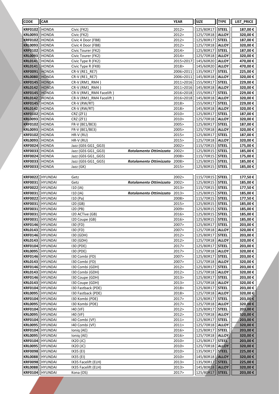| <b>CODE</b>                      | <b>CAR</b>                       |                                          |                               | <b>YEAR</b>    | <b>SIZE</b>            | <b>TYPE</b>                  | <b>LIST PRICE</b>   |
|----------------------------------|----------------------------------|------------------------------------------|-------------------------------|----------------|------------------------|------------------------------|---------------------|
| <b>KRF0102</b>                   | HONDA                            | Civic (FK2)                              |                               | 2012>          | 125/80R17              | <b>STEEL</b>                 | 187,00€             |
| <b>KRL0093</b>                   | <b>HONDA</b>                     | Civic (FK2)                              |                               | 2012>          | 125/70R18              | <b>ALLOY</b>                 | 320,00€             |
| <b>KRF0102</b>                   | <b>HONDA</b>                     | Civic 4 Door (FB8)                       |                               | 2012>          | 125/80R17              | <b>STEEL</b>                 | 187,00€             |
| <b>KRL0093</b>                   | HONDA                            | Civic 4 Door (FB8)                       |                               | 2012>          | 125/70R18              | <b>ALLOY</b>                 | 320,00€             |
| <b>KRF0102</b>                   | <b>HONDA</b>                     | Civic Tourer (FK2)                       |                               | 2014>          | 125/80R17              | <b>STEEL</b>                 | 187,00€             |
| <b>KRL0093</b>                   | <b>HONDA</b>                     | Civic Tourer (FK2)                       |                               | 2014>          | 125/70R18              | <b>ALLOY</b>                 | 320,00€             |
| <b>KRL0141</b>                   | HONDA                            | Civic Type R (FK2)                       |                               | 2015>2017      | 145/60R20              | <b>ALLOY</b>                 | 470,00 €            |
| <b>KRL0141</b>                   | HONDA                            | Civic Type R (FK8)                       |                               | 2018>          | 145/60R20              | <b>ALLOY</b>                 | 470,00 €            |
| <b>KRF0091</b>                   | <b>HONDA</b>                     | CR-V (RE1_RE7)                           |                               | 2006>2011      | 135/90R17              | <b>STEEL</b>                 | 225,00 €            |
| <b>KRL0080</b>                   | HONDA                            | CR-V (RE1 RE7)                           |                               | 2006>2011      | 145/80R18              | <b>ALLOY</b>                 | 320,00€             |
| <b>KRF0145</b>                   | <b>HONDA</b>                     | CR-V (RM1 RM4)                           |                               | 2011>2016      | 155/90R17              | <b>STEEL</b>                 | 229,00€             |
| <b>KRL0142</b>                   | HONDA                            | CR-V (RM1 RM4)                           |                               | 2011>2016      | 145/80R18              | <b>ALLOY</b>                 | 320,00€             |
| <b>KRF0145</b>                   | <b>HONDA</b>                     | CR-V (RM1 RM4 Facelift)                  |                               | 2016>2018      | 155/90R17              | <b>STEEL</b>                 | 229,00€             |
| <b>KRL0142</b>                   | <b>HONDA</b>                     | CR-V (RM1_RM4 Facelift)                  |                               | 2016>2018      | 145/80R18              | <b>ALLOY</b>                 | 320,00€             |
| <b>KRF0145</b>                   | HONDA                            | CR-V (RW/RT)                             |                               | 2018>          | 155/90R17              | <b>STEEL</b>                 | 229,00€             |
| <b>KRL0142</b>                   | HONDA                            | CR-V (RW/RT)                             |                               | 2018>          | 145/80R18              | <b>ALLOY</b>                 | 320,00€             |
| <b>KRF0102</b>                   | <b>HONDA</b>                     | CRZ (ZF1)                                |                               | 2010>          | 125/80R17              | <b>STEEL</b>                 | 187,00€             |
| <b>KRL0093</b>                   | HONDA                            | CRZ (ZF1)                                |                               | 2010>          | 125/70R18              | <b>ALLOY</b>                 | 320,00€             |
| <b>KRF0102</b>                   | HONDA                            | FR-V (BE1/BE3)                           |                               | 2005>          | 125/80R17              | <b>STEEL</b>                 | 187,00€             |
| <b>KRL0093</b>                   | HONDA                            | FR-V (BE1/BE3)                           |                               | 2005>          | 125/70R18              | <b>ALLOY</b>                 | 320,00€             |
| <b>KRF0102</b>                   | HONDA                            | HR-V (RU)                                |                               | 2015>          | 125/80R17              | <b>STEEL</b>                 | 187,00€             |
| <b>KRL0093</b>                   | <b>HONDA</b>                     | HR-V (RU)                                |                               | 2015>          | 125/70R18              | ALLOY                        | 320,00€             |
| <b>KRF0024</b>                   | <b>HONDA</b>                     | Jazz (GE6 GG1 GG3)                       |                               | 2002>          | 115/70R15              | <b>STEEL</b>                 | 175,00€             |
| <b>KRF0033</b>                   | <b>HONDA</b>                     | Jazz (GE6 GG1 GG3)                       | Rotolamento Ottimizzato       | 2002>          | 125/80R15              | <b>STEEL</b>                 | 185,00€             |
| <b>KRF0024</b>                   | <b>HONDA</b>                     | Jazz (GE6 GG1_GG5)                       |                               | 2008>          | 115/70R15              | <b>STEEL</b>                 | 175,00€             |
| <b>KRF0033</b>                   | HONDA                            | Jazz (GE6 GG1 GG5)                       | Rotolamento Ottimizzato 2008> |                | 125/80R15              | <b>STEEL</b>                 | 185,00€             |
| <b>KRF0033</b>                   | HONDA                            | Jazz (GK)                                |                               | 2015>          | 125/80R15              | <b>STEEL</b>                 | 185,00€             |
| <b>KRF0022</b>                   | <b>HYUNDAI</b>                   | Getz                                     |                               | 2002>          | 115/70R15              | <b>STEEL</b>                 | 177,50€             |
| <b>KRF0031</b>                   | HYUNDAI                          | Getz                                     | Rotolamento Ottimizzato       | 2002>          | 125/80R15              | <b>STEEL</b>                 | 185,00€             |
| <b>KRF0022</b>                   | <b>HYUNDAI</b>                   | 110 (IA)                                 |                               | 2013>          | 115/70R15              | <b>STEEL</b>                 | 177,50€             |
| <b>KRF0031</b>                   | <b>HYUNDAI</b>                   | 110 (IA)                                 | Rotolamento Ottimizzato       | 2013>          | 125/80R15              | <b>STEEL</b>                 | 185,00€             |
| <b>KRF0022</b>                   | <b>HYUNDAI</b>                   | 110 (Pa)                                 |                               | 2008>          | 115/70R15              | <b>STEEL</b>                 | 177,50€             |
| <b>KRF0031</b>                   | <b>HYUNDAI</b>                   | 120(GB)                                  |                               | 2015>          | 125/80R15              | <b>STEEL</b>                 | 185,00€             |
| <b>KRF0031</b>                   | HYUNDAI                          | 120 (PB)                                 |                               | 2009>          | 125/80R15              | <b>STEEL</b>                 | 185,00€             |
| <b>KRF0031</b>                   | <b>HYUNDAI</b>                   | I20 ACTive (GB)                          |                               | 2016>          | 125/80R15              | <b>STEEL</b>                 | 185,00€             |
| <b>KRF0031</b>                   | HYUNDAI                          | I20 Coupe (GB)                           |                               | 2016>          | 125/80R15              | <b>STEEL</b>                 | 185,00€             |
| <b>KRF0146</b>                   | <b>HYUNDAI</b>                   | 130 (FD)                                 |                               | 2007>          | 125/80R17              | <b>STEEL</b>                 | 203,00€             |
|                                  | KRL0143 HYUNDAI                  | 130 (FD)                                 |                               | 2007>          | 125/70R18   ALLOY      |                              | 320,00€             |
| <b>KRF0146</b>                   | <b>HYUNDAI</b>                   | 130 (GDH)                                |                               | 2012>          | 125/80R17              | <b>STEEL</b>                 | 203,00 €            |
| <b>KRL0143</b>                   | <b>HYUNDAI</b>                   | 130 (GDH)                                |                               | 2012>          | 125/70R18              | <b>ALLOY</b>                 | 320,00 €            |
| <b>KRF0104</b>                   | <b>HYUNDAI</b>                   | 130 (PDE)                                |                               | 2017>          | 125/80R17              | <b>STEEL</b>                 | 203,00 €            |
| <b>KRL0095</b>                   | <b>HYUNDAI</b>                   | 130 (PDE)                                |                               | 2017>          | 125/70R18              | <b>ALLOY</b>                 | 320,00€             |
| <b>KRF0146</b>                   | <b>HYUNDAI</b>                   | I30 Combi (FD)                           |                               | 2007>          | 125/80R17              | <b>STEEL</b>                 | 203,00€             |
| <b>KRL0143</b>                   | <b>HYUNDAI</b>                   | I30 Combi (FD)                           |                               | 2007>          | 125/70R18              | <b>ALLOY</b>                 | 320,00€             |
| <b>KRF0146</b>                   | <b>HYUNDAI</b>                   | I30 Combi (GDH)                          |                               | 2012 >         | 125/80R17              | <b>STEEL</b>                 | 203,00 €            |
| <b>KRL0143</b>                   | HYUNDAI                          | I30 Combi (GDH)                          |                               | 2012>          | 125/70R18              | <b>ALLOY</b>                 | 320,00€             |
| <b>KRF0146</b>                   | <b>HYUNDAI</b>                   | I30 Coupe (GDH)                          |                               | 2013 >         | 125/80R17              | <b>STEEL</b>                 | 203,00 €            |
| <b>KRL0143</b>                   | HYUNDAI                          | I30 Coupe (GDH)                          |                               | 2013 >         | 125/70R18              | <b>ALLOY</b>                 | 320,00 €            |
| <b>KRF0104</b>                   | <b>HYUNDAI</b><br><b>HYUNDAI</b> | 130 Fastback (PDE)<br>130 Fastback (PDE) |                               | 2018><br>2018> | 125/80R17              | <b>STEEL</b>                 | 203,00 €            |
| <b>KRL0095</b><br><b>KRF0104</b> | <b>HYUNDAI</b>                   | 130 Kombi (PDE)                          |                               | 2017>          | 125/70R18<br>125/80R17 | <b>ALLOY</b><br><b>STEEL</b> | 320,00 €<br>203,00€ |
| <b>KRL0095</b>                   | <b>HYUNDAI</b>                   | 130 Kombi (PDE)                          |                               | 2017>          | 125/70R18              | <b>ALLOY</b>                 | 320,00€             |
| <b>KRF0104</b>                   | <b>HYUNDAI</b>                   | 140 (VF)                                 |                               | 2012>          | 125/80R17              | <b>STEEL</b>                 | 203,00€             |
| <b>KRL0095</b>                   | <b>HYUNDAI</b>                   | 140 (VF)                                 |                               | 2012>          | 125/70R18              | <b>ALLOY</b>                 | 320,00€             |
| <b>KRF0104</b>                   | <b>HYUNDAI</b>                   | 140 Combi (VF)                           |                               | 2011>          | 125/80R17              | <b>STEEL</b>                 | 203,00€             |
| <b>KRL0095</b>                   | HYUNDAI                          | 140 Combi (VF)                           |                               | 2011>          | 125/70R18              | <b>ALLOY</b>                 | 320,00 €            |
| <b>KRF0104</b>                   | HYUNDAI                          | lonig (AE)                               |                               | 2016>          | 125/80R17              | <b>STEEL</b>                 | 203,00 €            |
| <b>KRL0095</b>                   | <b>HYUNDAI</b>                   | Ioniq (AE)                               |                               | 2016>          | 125/70R18              | <b>ALLOY</b>                 | 320,00 €            |
| <b>KRF0104</b>                   | <b>HYUNDAI</b>                   | IX20(JC)                                 |                               | 2010>          | 125/80R17              | <b>STEEL</b>                 | 203,00 €            |
| <b>KRL0095</b>                   | <b>HYUNDAI</b>                   | IX20 (JC)                                |                               | 2010>          | 125/70R18              | <b>ALLOY</b>                 | 320,00€             |
| <b>KRF0098</b>                   | <b>HYUNDAI</b>                   | IX35 (EI)                                |                               | 2010>          | 135/90R17              | <b>STEEL</b>                 | 225,00 €            |
| <b>KRL0088</b>                   | <b>HYUNDAI</b>                   | IX35 (EI)                                |                               | 2010>          | 145/80R18              | <b>ALLOY</b>                 | 320,00€             |
| <b>KRF0098</b>                   | <b>HYUNDAI</b>                   | IX35 Facelift (ELH)                      |                               | 2013>          | 135/90R17              | <b>STEEL</b>                 | 225,00 €            |
| <b>KRL0088</b>                   | <b>HYUNDAI</b>                   | IX35 Facelift (ELH)                      |                               | 2013>          | 145/80R18              | <b>ALLOY</b>                 | 320,00 €            |
| <b>KRF0104</b>                   | <b>HYUNDAI</b>                   | Kona (OS)                                |                               | 2017>          | 125/80R17              | <b>STEEL</b>                 | 203,00 €            |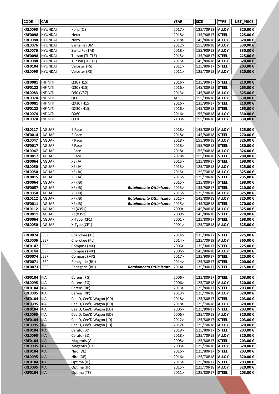| <b>CODE</b>                      | <b>CAR</b>                         |                                        |                               | <b>YEAR</b>         | <b>SIZE</b>            | <b>TYPE</b>                  | LIST_PRICE         |
|----------------------------------|------------------------------------|----------------------------------------|-------------------------------|---------------------|------------------------|------------------------------|--------------------|
| <b>KRL0095</b>                   | <b>HYUNDAI</b>                     | Kona (OS)                              |                               | 2017>               | 125/70R18              | <b>ALLOY</b>                 | 320,00€            |
| <b>KRF0098</b>                   | <b>HYUNDAI</b>                     | Nexo                                   |                               | 2018>               | 135/90R17              | <b>STEEL</b>                 | 225,00€            |
| <b>KRL0088</b>                   | <b>HYUNDAI</b>                     | Nexo                                   |                               | 2018>               | 145/80R18              | <b>ALLOY</b>                 | 320,00€            |
| <b>KRL0076</b>                   | HYUNDAI                            | Santa Fe (DM)                          |                               | 2012>               | 155/90R18              | <b>ALLOY</b>                 | 330,00€            |
| <b>KRL0076</b>                   | HYUNDAI                            | Santa Fe (TM)                          |                               | 2018>               | 155/90R18              | <b>ALLOY</b>                 | 330,00€            |
| <b>KRF0098</b>                   | <b>HYUNDAI</b>                     | Tucson (TL-TLE)                        |                               | 2015>               | 135/90R17              | <b>STEEL</b>                 | 225,00€            |
| <b>KRL0088</b>                   | <b>HYUNDAI</b>                     | Tucson (TL-TLE)                        |                               | 2015>               | 145/80R18              | <b>ALLOY</b>                 | 320,00€            |
| <b>KRF0104</b>                   | HYUNDAI                            | Veloster (FS)                          |                               | 2011>               | 125/80R17              | <b>STEEL</b>                 | 203,00€            |
| <b>KRL0095</b>                   | HYUNDAI                            | Veloster (FS)                          |                               | 2011>               | 125/70R18              | <b>ALLOY</b>                 | 320,00€            |
|                                  |                                    |                                        |                               |                     |                        |                              |                    |
| <b>KRF0081</b>                   | <b>INFINITI</b>                    | Q30 (H15)                              |                               | 2016>               | 135/90R17              | <b>STEEL</b>                 | 210,00€            |
| <b>KRF0122</b>                   | INFINITI                           | Q30 (H15)                              |                               | 2016>               | 145/80R18              | <b>STEEL</b>                 | 265,00€            |
| <b>KRL0083</b>                   | INFINITI                           | Q50 (V37)                              |                               | 2013>               | 145/80R18              | <b>ALLOY</b>                 | 325,00€            |
| <b>KRL0074</b>                   | <b>INFINITI</b>                    | Q60                                    |                               | <b>ALL</b><br>2016> | 155/90R18              | <b>ALLOY</b>                 | 330,00€            |
| <b>KRF0081</b><br><b>KRF0122</b> | <b>INFINITI</b><br><b>INFINITI</b> | QX30 (H15)<br>QX30 (H15)               |                               | 2016>               | 135/90R17<br>145/80R18 | <b>STEEL</b><br><b>STEEL</b> | 210,00€<br>265,00€ |
| <b>KRL0074</b>                   | INFINITI                           | QX60                                   |                               | 2016>               | 155/90R18              | <b>ALLOY</b>                 | 330,00€            |
| <b>KRL0074</b>                   | <b>INFINITI</b>                    | QX70                                   |                               | 2103>               | 155/90R18              | <b>ALLOY</b>                 | 330,00€            |
|                                  |                                    |                                        |                               |                     |                        |                              |                    |
| <b>KRL0117</b>                   | JAGUAR                             | E Pace                                 |                               | 2018>               | 145/80R18              | <b>ALLOY</b>                 | 325,00€            |
| <b>KRF0014</b>                   | JAGUAR                             | E Pace                                 |                               | 2018>               | 145/80R18              | <b>STEEL</b>                 | 270,00€            |
| <b>KRL0047</b>                   | JAGUAR                             | F Pace                                 |                               | 2018>               | 155/90R18              | <b>ALLOY</b>                 | 326,00€            |
| <b>KRF0017</b>                   | JAGUAR                             | F Pace                                 |                               | 2018>               | 155/90R18              | <b>STEEL</b>                 | 280,00€            |
| <b>KRL0047</b>                   | JAGUAR                             | I Pace                                 |                               | 2018>               | 155/90R18              | <b>ALLOY</b>                 | 326,00€            |
| <b>KRF0017</b>                   | JAGUAR                             | I Pace                                 |                               | 2018>               | 155/90R18              | <b>STEEL</b>                 | 280,00€            |
| <b>KRF0064</b>                   | JAGUAR                             | XE (JA)                                |                               | 2015>               | 125/80R17              | <b>STEEL</b>                 | 198,00€            |
| <b>KRL0050</b>                   | JAGUAR                             | XE(JA)                                 |                               | 2015>               | 125/70R18              | <b>ALLOY</b>                 | 325,00€            |
| <b>KRL0050</b>                   | JAGUAR                             | XE (JA)                                |                               | 2015>               | 125/70R18              | <b>ALLOY</b>                 | 325,00€            |
| <b>KRF0015</b>                   | JAGUAR                             | XE (JA)                                |                               | 2015>               | 125/70R18              | <b>STEEL</b>                 | 235,00€            |
| <b>KRF0064</b>                   | JAGUAR                             | XF (JB)                                |                               | 2015>               | 125/80R17              | <b>STEEL</b>                 | 198,00€            |
| <b>KRF0057</b><br><b>KRL0050</b> | JAGUAR<br>JAGUAR                   | XF (JB)<br>$XF$ ( $JB$ )               | Rotolamento Ottimizzato       | 2015><br>2015>      | 135/90R17<br>125/70R18 | <b>STEEL</b><br><b>ALLOY</b> | 210,00€<br>325,00€ |
| <b>KRL0112</b>                   | JAGUAR                             | XF (JB)                                | Rotolamento Ottimizzato       | 2015>               | 145/80R18              | <b>ALLOY</b>                 | 325,00€            |
| <b>KRF0011</b>                   | JAGUAR                             | XF (JB)                                | Rotolamento Ottimizzato       | 2015>               | 145/80R18              | <b>STEEL</b>                 | 270,00€            |
| <b>KRL0112</b>                   | JAGUAR                             | XJ (X351)                              |                               | 2009>               | 145/80R18              | <b>ALLOY</b>                 | 325,00€            |
| <b>KRF0011</b>                   | JAGUAR                             | XJ (X351)                              |                               | 2009>               | 145/80R18              | <b>STEEL</b>                 | 270,00€            |
| <b>KRF0064</b>                   | JAGUAR                             | X-Type (CF1)                           |                               | 2001>               | 125/80R17              | <b>STEEL</b>                 | 198,00€            |
| <b>KRL0050</b>                   | JAGUAR                             | X-Type (CF1)                           |                               | 2001>               | 125/70R18              | <b>ALLOY</b>                 | 325,00€            |
|                                  |                                    |                                        |                               |                     |                        |                              |                    |
| <b>KRF0074</b>                   | JEEP                               | Cherokee (KL)                          |                               | 2014>               | 135/90R17              | <b>STEEL</b>                 | 225,00€            |
| <b>KRL0006</b>                   | JEEP                               | Cherokee (KL)                          |                               | 2014>               | 125/70R19              | <b>ALLOY</b>                 | 365,00€            |
| <b>KRF0147</b>                   | JEEP                               | Compass (MX)                           |                               | 2006>               | 135/90R17              | <b>STEEL</b>                 | 225,00€            |
| <b>KRL0144</b><br><b>KRF0074</b> | JEEP<br>JEEP                       | Compass (MX)                           |                               | 2006><br>2017>      | 145/80R18<br>135/90R17 | <b>ALLOY</b><br><b>STEEL</b> | 320,00€<br>225,00€ |
| <b>KRF0071</b>                   | JEEP                               | Compass (MX)<br>Renegade (BU)          |                               | 2014>               | 125/80R17              | <b>STEEL</b>                 | 200,00€            |
| <b>KRF0073</b>                   | JEEP                               | Renegade (BU)                          | Rotolamento Ottimizzato 2014> |                     | 135/90R17              | <b>STEEL</b>                 | 215,00€            |
|                                  |                                    |                                        |                               |                     |                        |                              |                    |
| <b>KRF0104</b>                   | KIA                                | Carens (FG)                            |                               | 2006>               | 125/80R17              | <b>STEEL</b>                 | 203,00€            |
| <b>KRL0095</b>                   | KIA                                | Carens (FG)                            |                               | 2006>               | 125/70R18              | <b>ALLOY</b>                 | 320,00€            |
| <b>KRF0104</b>                   | KIA                                | Carens (RP)                            |                               | 2013>               | 125/80R17              | <b>STEEL</b>                 | 203,00€            |
| <b>KRL0095</b>                   | KIA                                | Carens (RP)                            |                               | 2013>               | 125/70R18              | <b>ALLOY</b>                 | 320,00€            |
| <b>KRF0104</b>                   | KIA                                | Cee'D, Cee'D Wagon (CD)                |                               | 2018>               | 125/80R17              | <b>STEEL</b>                 | 203,00€            |
| <b>KRL0095</b>                   | KIA                                | Cee'D, Cee'D Wagon (CD)                |                               | 2018>               | 125/70R18              | <b>ALLOY</b>                 | 320,00€            |
| <b>KRF0104</b>                   | KIA                                | Cee'D, Cee'D Wagon (ED)                |                               | 2006>               | 125/80R17              | <b>STEEL</b>                 | 203,00€            |
| <b>KRL0095</b>                   | KIA                                | Cee'D, Cee'D Wagon (ED)                |                               | 2006>               | 125/70R18              | <b>ALLOY</b>                 | 320,00€            |
| <b>KRF0104</b>                   | KIA                                | Cee'D, Cee'D Wagon (JD)                |                               | 2012>               | 125/80R17              | <b>STEEL</b>                 | 203,00 €           |
| <b>KRL0095</b><br><b>KRF0104</b> | KIA<br>KIA                         | Cee'D, Cee'D Wagon (JD)<br>Cerato (BD) |                               | 2012><br>2018>      | 125/70R18<br>125/80R17 | <b>ALLOY</b><br><b>STEEL</b> | 320,00€<br>203,00€ |
| <b>KRL0095</b>                   | KIA                                | Cerato (BD)                            |                               | 2018>               | 125/70R18              | <b>ALLOY</b>                 | 320,00€            |
| <b>KRF0104</b>                   | KIA                                | Magentis (Ge)                          |                               | 2005>               | 125/80R17              | <b>STEEL</b>                 | 203,00€            |
| <b>KRL0095</b>                   | KIA                                | Magentis (Ge)                          |                               | 2005>               | 125/70R18              | <b>ALLOY</b>                 | 320,00€            |
| <b>KRF0104</b>                   | KIA                                | Niro (DE)                              |                               | 2016>               | 125/80R17              | <b>STEEL</b>                 | 203,00€            |
| <b>KRL0095</b>                   | KIA                                | Niro (DE)                              |                               | 2016>               | 125/70R18              | <b>ALLOY</b>                 | 320,00€            |
| <b>KRF0104</b>                   | KIA                                | Optima (JF)                            |                               | 2015>               | 125/80R17              | <b>STEEL</b>                 | 203,00€            |
| <b>KRL0095</b>                   | KIA                                | Optima (JF)                            |                               | 2015>               | 125/70R18              | <b>ALLOY</b>                 | 320,00€            |
| <b>KRF0104</b>                   | KIA                                | Optima (TF)                            |                               | 2011>               | 125/80R17              | <b>STEEL</b>                 | 203,00 €           |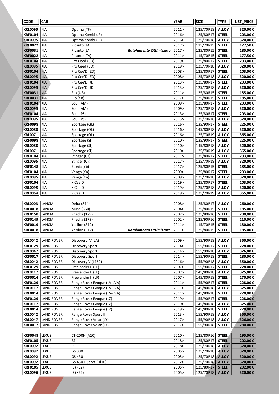| <b>CODE</b>                      | <b>CAR</b>                      |                                                    |                               | <b>YEAR</b>    | <b>SIZE</b>                    | <b>TYPE</b>                  | LIST_PRICE         |
|----------------------------------|---------------------------------|----------------------------------------------------|-------------------------------|----------------|--------------------------------|------------------------------|--------------------|
| <b>KRL0095</b>                   | KIA                             | Optima (TF)                                        |                               | 2011>          | 125/70R18                      | <b>ALLOY</b>                 | 320,00€            |
| <b>KRF0104</b>                   | KIA                             | Optima Kombi (JF)                                  |                               | 2016>          | 125/80R17                      | <b>STEEL</b>                 | 203,00€            |
| <b>KRL0095</b>                   | KIA                             | Optima Kombi (JF)                                  |                               | 2016>          | 125/70R18                      | <b>ALLOY</b>                 | 320,00€            |
| <b>KRF0022</b>                   | KIA                             | Picanto (JA)                                       |                               | 2017>          | 115/70R15                      | <b>STEEL</b>                 | 177,50€            |
| <b>KRF0031</b>                   | KIA                             | Picanto (JA)                                       | Rotolamento Ottimizzato       | 2017>          | 125/80R15                      | <b>STEEL</b>                 | 185,00€            |
| <b>KRF0022</b>                   | KIA                             | Picanto (TA)                                       |                               | 2011>          | 115/70R15                      | <b>STEEL</b>                 | 177,50€            |
| <b>KRF0104</b>                   | <b>KIA</b>                      | Pro Ceed (CD)                                      |                               | 2019>          | 125/80R17                      | <b>STEEL</b>                 | 203,00€            |
| <b>KRL0095</b>                   | KIA                             | Pro Ceed (CD)                                      |                               | 2019>          | 125/70R18                      | <b>ALLOY</b>                 | 320,00€            |
| <b>KRF0104</b>                   | KIA                             | Pro Cee'D (ED)                                     |                               | 2008>          | 125/80R17                      | <b>STEEL</b>                 | 203,00€            |
| <b>KRL0095</b>                   | <b>KIA</b>                      | Pro Cee'D (ED)                                     |                               | 2008>          | 125/70R18                      | <b>ALLOY</b>                 | 320,00€            |
| <b>KRF0104</b><br><b>KRL0095</b> | KIA<br> KIA                     | Pro Cee'D (JD)<br>Pro Cee'D (JD)                   |                               | 2013><br>2013> | 125/80R17<br>125/70R18         | <b>STEEL</b><br><b>ALLOY</b> | 203,00€<br>320,00€ |
| <b>KRF0031</b>                   | KIA                             | Rio (UB)                                           |                               | 2011>          | 125/80R15                      | <b>STEEL</b>                 | 185,00€            |
| <b>KRF0031</b>                   | KIA                             | Rio (YB)                                           |                               | 2017>          | 125/80R15                      | <b>STEEL</b>                 | 185,00€            |
| <b>KRF0104</b>                   | <b>KIA</b>                      | Soul (AM)                                          |                               | 2009>          | 125/80R17                      | <b>STEEL</b>                 | 203,00€            |
| <b>KRL0095</b>                   | <b>KIA</b>                      | Soul (AM)                                          |                               | 2009>          | 125/70R18                      | <b>ALLOY</b>                 | 320,00€            |
| <b>KRF0104</b>                   | KIA                             | Soul (PS)                                          |                               | 2013>          | 125/80R17                      | <b>STEEL</b>                 | 203,00€            |
| <b>KRL0095</b>                   | KIA                             | Soul (PS)                                          |                               | 2013>          | 125/70R18                      | <b>ALLOY</b>                 | 320,00€            |
| <b>KRF0098</b>                   | KIA                             | Sportage (QL)                                      |                               | 2016>          | 135/90R17                      | <b>STEEL</b>                 | 225,00€            |
| <b>KRL0088</b>                   | KIA                             | Sportage (QL)                                      |                               | 2016>          | 145/80R18                      | <b>ALLOY</b>                 | 320,00€            |
| <b>KRL0071</b>                   | KIA                             | Sportage (QL)                                      |                               | 2016>          | 125/70R19                      | <b>ALLOY</b>                 | 365,00€            |
| <b>KRF0098</b>                   | KIA                             | Sportage (SI)                                      |                               | 2010>          | 135/90R17                      | <b>STEEL</b>                 | 225,00€            |
| <b>KRL0088</b>                   | KIA                             | Sportage (SI)                                      |                               | 2010>          | 145/80R18                      | <b>ALLOY</b>                 | 320,00€            |
| <b>KRL0071</b>                   | KIA                             | Sportage (SI)                                      |                               | 2010>          | 125/70R19                      | <b>ALLOY</b>                 | 365,00€            |
| <b>KRF0104</b>                   | KIA                             | Stinger (Ck)                                       |                               | 2017>          | 125/80R17                      | <b>STEEL</b>                 | 203,00€            |
| <b>KRL0095</b><br><b>KRF0148</b> | KIA<br> KIA                     | Stinger (Ck)                                       |                               | 2017><br>2017> | 125/70R18<br>125/80R15         | <b>ALLOY</b><br><b>STEEL</b> | 320,00€<br>185,00€ |
| <b>KRF0104</b>                   | KIA                             | Stonic (Yb)<br>Venga (Yn)                          |                               | 2009>          | 125/80R17                      | <b>STEEL</b>                 | 203,00€            |
| <b>KRL0095</b>                   | KIA                             | Venga (Yn)                                         |                               | 2009>          | 125/70R18                      | <b>ALLOY</b>                 | 320,00€            |
| <b>KRF0104</b>                   | KIA                             | X Cee'D                                            |                               | 2019>          | 125/80R17                      | <b>STEEL</b>                 | 203,00€            |
| <b>KRL0095</b>                   | KIA                             | X Cee'D                                            |                               | 2019>          | 125/70R18                      | <b>ALLOY</b>                 | 320,00€            |
| <b>KRL0064</b>                   | KIA                             | X Cee'D                                            |                               | 2019>          | 125/70R19                      | <b>ALLOY</b>                 | 365,00€            |
|                                  |                                 |                                                    |                               |                |                                |                              |                    |
| <b>KRL0003</b>                   | LANCIA                          | Delta (844)                                        |                               | 2008>          | 125/80R17                      | <b>ALLOY</b>                 | 260,00€            |
| <b>KRF0018</b>                   | LANCIA                          | Musa (350)                                         |                               | 2004>          | 125/80R15                      | <b>STEEL</b>                 | 185,00€            |
| <b>KRF0150</b>                   | LANCIA                          | Phedra (179)                                       |                               | 2002>          | 125/80R16                      | <b>STEEL</b>                 | 200,00€            |
| <b>KRF0149</b>                   | LANCIA                          | Phedra (179)                                       |                               | 2002>          | 125/90R16                      | <b>STEEL</b>                 | 210,00€            |
| <b>KRF0019</b><br>KRF0018 LANCIA | LANCIA                          | Ypsilon (312)<br>Ypsilon (312)                     |                               | 2011>          | 115/70R15<br>125/80R15   STEEL | <b>STEEL</b>                 | 180,00€<br>185,00€ |
|                                  |                                 |                                                    | Rotolamento Ottimizzato 2011> |                |                                |                              |                    |
| <b>KRL0042</b>                   | LAND ROVER                      | Discovery IV (LA)                                  |                               | 2009>          | 155/90R18                      | <b>ALLOY</b>                 | 350,00€            |
| <b>KRF0129</b>                   | LAND ROVER                      | Discovery Sport                                    |                               | 2014>          | 155/90R17                      | <b>STEEL</b>                 | 228,00 €           |
| <b>KRL0047</b>                   | LAND ROVER                      | Discovery Sport                                    |                               | 2014>          | 155/90R18                      | <b>ALLOY</b>                 | 326,00€            |
| <b>KRF0017</b>                   | <b>LAND ROVER</b>               | Discovery Sport                                    |                               | 2014>          | 155/90R18                      | <b>STEEL</b>                 | 280,00 €           |
| <b>KRL0042</b>                   | <b>LAND ROVER</b>               | Discovery V (L462)                                 |                               | 2016>          | 155/90R18                      | <b>ALLOY</b>                 | 350,00€            |
| <b>KRF0129</b>                   | LAND ROVER                      | Freelander II (LF)                                 |                               | 2007>          | 155/90R17                      | <b>STEEL</b>                 | 228,00 €           |
| <b>KRL0117</b>                   | <b>LAND ROVER</b>               | Freelander II (LF)                                 |                               | 2007>          | 145/80R18                      | <b>ALLOY</b>                 | 325,00€            |
| <b>KRF0014</b>                   | <b>LAND ROVER</b>               | Freelander II (LF)                                 |                               | 2007>          | 145/80R18                      | <b>STEEL</b>                 | 270,00€            |
| <b>KRF0129</b>                   | <b>LAND ROVER</b>               | Range Rover Evoque (LV-LVA)                        |                               | 2011>          | 155/90R17                      | <b>STEEL</b>                 | 228,00 €           |
| <b>KRL0117</b>                   | <b>LAND ROVER</b>               | Range Rover Evoque (LV-LVA)                        |                               | 2011>          | 145/80R18                      | <b>ALLOY</b>                 | 325,00€            |
| <b>KRF0014</b>                   | LAND ROVER                      | Range Rover Evoque (LV-LVA)                        |                               | 2011>          | 145/80R18                      | <b>STEEL</b>                 | 270,00 €           |
| <b>KRF0129</b><br><b>KRL0117</b> | LAND ROVER<br><b>LAND ROVER</b> | Range Rover Evoque (LZ)<br>Range Rover Evoque (LZ) |                               | 2019><br>2019> | 155/90R17<br>145/80R18         | <b>STEEL</b><br><b>ALLOY</b> | 228,00€<br>325,00€ |
| <b>KRF0014</b>                   | <b>LAND ROVER</b>               | Range Rover Evoque (LZ)                            |                               | 2019>          | 145/80R18                      | <b>STEEL</b>                 | 270,00€            |
| <b>KRL0042</b>                   | <b>LAND ROVER</b>               | Range Rover Sport II                               |                               | 2013>          | 155/90R18                      | <b>ALLOY</b>                 | 350,00€            |
| <b>KRL0047</b>                   | <b>LAND ROVER</b>               | Range Rover Velar (LY)                             |                               | 2017>          | 155/90R18                      | <b>ALLOY</b>                 | 326,00€            |
| <b>KRF0017</b>                   | <b>LAND ROVER</b>               | Range Rover Velar (LY)                             |                               | 2017>          | 155/90R18                      | <b>STEEL</b>                 | 280,00 €           |
|                                  |                                 |                                                    |                               |                |                                |                              |                    |
| <b>KRF0048</b>                   | <b>LEXUS</b>                    | CT-200H (A10)                                      |                               | 2010>          | 125/80R16                      | <b>STEEL</b>                 | 195,00 €           |
| <b>KRF0105</b>                   | <b>LEXUS</b>                    | ES                                                 |                               | 2018>          | 125/80R17                      | <b>STEEL</b>                 | 202,00€            |
| <b>KRL0092</b>                   | <b>LEXUS</b>                    | ES                                                 |                               | 2018>          | 125/70R18                      | <b>ALLOY</b>                 | 320,00€            |
| <b>KRL0092</b>                   | <b>LEXUS</b>                    | GS 300                                             |                               | 2005>          | 125/70R18                      | <b>ALLOY</b>                 | 320,00€            |
| <b>KRL0092</b>                   | <b>LEXUS</b>                    | GS 430                                             |                               | 2005>          | 125/70R18                      | <b>ALLOY</b>                 | 320,00€            |
| <b>KRL0092</b>                   | <b>LEXUS</b>                    | GS 450 F Sport (HI10)                              |                               | 2012>          | 125/70R18                      | <b>ALLOY</b>                 | 320,00€            |
| <b>KRF0105</b>                   | <b>LEXUS</b>                    | IS(XE2)                                            |                               | 2005>          | 125/80R17                      | <b>STEEL</b>                 | 202,00€            |
| <b>KRL0096</b>                   | <b>LEXUS</b>                    | IS(XE2)                                            |                               | 2005>          | 125/70R18                      | <b>ALLOY</b>                 | 320,00 €           |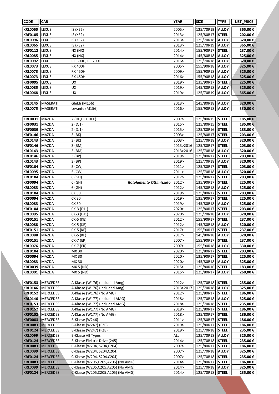| <b>CODE</b>                      | <b>CAR</b>            |                                                                            | <b>YEAR</b>    | <b>SIZE</b>            | <b>TYPE</b>                  | LIST_PRICE          |
|----------------------------------|-----------------------|----------------------------------------------------------------------------|----------------|------------------------|------------------------------|---------------------|
| <b>KRL0065</b>                   | llexus                | IS (XE2)                                                                   | 2005>          | 125/70R19              | <b>ALLOY</b>                 | 365,00€             |
| <b>KRF0105</b>                   | llexus                | IS(XE2)                                                                    | 2013>          | 125/80R17              | <b>STEEL</b>                 | 202,00€             |
| <b>KRL0096</b>                   | <b>LEXUS</b>          | IS(XE2)                                                                    | 2013>          | 125/70R18              | <b>ALLOY</b>                 | 320,00€             |
| <b>KRL0065</b>                   | LEXUS                 | IS(XE2)                                                                    | 2013>          | 125/70R19              | <b>ALLOY</b>                 | 365,00€             |
| <b>KRF0112</b>                   | LEXUS                 | NX (NX)                                                                    | 2014>          | 155/90R17              | <b>STEEL</b>                 | 237,00€             |
| <b>KRL0085</b>                   | LEXUS                 | NX(NX)                                                                     | 2014>          | 145/80R18              | <b>ALLOY</b>                 | 325,00€             |
| <b>KRL0092</b>                   | LEXUS                 | RC 300H, RC 200T                                                           | 2016>          | 125/70R18              | <b>ALLOY</b>                 | 320,00€             |
| <b>KRL0073</b>                   | LEXUS                 | <b>RX 400H</b>                                                             | 2005>          | 155/90R18              | <b>ALLOY</b>                 | 325,00€             |
| <b>KRL0073</b>                   | LEXUS                 | <b>RX 450H</b>                                                             | 2009>          | 155/90R18              | <b>ALLOY</b>                 | 325,00€             |
| <b>KRL0073</b>                   | <b>LEXUS</b>          | <b>RX 450H</b>                                                             | 2016>          | 155/90R18              | <b>ALLOY</b>                 | 325,00€             |
| <b>KRF0095</b>                   | LEXUS                 | UX                                                                         | 2019>          | 135/90R17              | <b>STEEL</b>                 | 225,00€             |
| <b>KRL0085</b>                   | <b>LEXUS</b>          | UX                                                                         | 2019>          | 145/80R18              | <b>ALLOY</b>                 | 325,00€             |
| <b>KRL0068</b>                   | LEXUS                 | UX                                                                         | 2019>          | 125/70R19              | <b>ALLOY</b>                 | 365,00€             |
|                                  |                       |                                                                            |                |                        |                              |                     |
| <b>KRL0145</b>                   | MASERATI              | Ghibli (M156)                                                              | 2013>          | 145/80R18              | <b>ALLOY</b>                 | 320,00€             |
| <b>KRL0075</b>                   | MASERATI              | Levante (M156)                                                             | 2016>          | 155/90R18              | <b>ALLOY</b>                 | 330,00€             |
|                                  |                       |                                                                            |                |                        |                              |                     |
| <b>KRF0031</b><br><b>KRF0031</b> | MAZDA                 | 2 (DE, DE1, DEE)                                                           | 2007><br>2015> | 125/80R15              | <b>STEEL</b><br><b>STEEL</b> | 185,00€             |
| <b>KRF0039</b>                   | MAZDA<br>MAZDA        | 2(DJ1)<br>2(DJ1)                                                           | 2015>          | 125/80R15<br>125/80R16 | <b>STEEL</b>                 | 185,00 €<br>183,00€ |
| <b>KRF0146</b>                   | MAZDA                 | 3 (BK)                                                                     | 2003>          | 125/80R17              | <b>STEEL</b>                 | 203,00€             |
| <b>KRL0143</b>                   | MAZDA                 | $3$ (BK)                                                                   | 2003>          | 125/70R18              | <b>ALLOY</b>                 | 320,00€             |
| <b>KRF0146</b>                   | MAZDA                 | 3 (BM)                                                                     | 2013>2016      | 125/80R17              | <b>STEEL</b>                 | 203,00€             |
| <b>KRL0143</b>                   | MAZDA                 | 3 (BM)                                                                     | 2013>2016      | 125/70R18              | <b>ALLOY</b>                 | 320,00€             |
| <b>KRF0146</b>                   | MAZDA                 | 3 (BP)                                                                     | 2019>          | 125/80R17              | <b>STEEL</b>                 | 203,00€             |
| <b>KRL0143</b>                   | MAZDA                 | 3(BP)                                                                      | 2019>          | 125/70R18              | <b>ALLOY</b>                 | 320,00€             |
| <b>KRF0104</b>                   | MAZDA                 | 5 (CW)                                                                     | 2011           | 125/80R17              | <b>STEEL</b>                 | 203,00€             |
| <b>KRL0095</b>                   | MAZDA                 | 5 (CW)                                                                     | 2011>          | 125/70R18              | <b>ALLOY</b>                 | 320,00€             |
| <b>KRF0104</b>                   | MAZDA                 | 6(GH)                                                                      | 2012>          | 125/80R17              | <b>STEEL</b>                 | 203,00€             |
| <b>KRF0094</b>                   | MAZDA                 | 6(GH)<br>Rotolamento Ottimizzato                                           | 2012>          | 135/90R17              | <b>STEEL</b>                 | 225,00€             |
| <b>KRL0083</b>                   | MAZDA                 | 6(GH)                                                                      | 2012>          | 145/80R18              | <b>ALLOY</b>                 | 325,00€             |
| <b>KRF0104</b>                   | MAZDA                 | CX 30                                                                      | 2019>          | 125/80R17              | <b>STEEL</b>                 | 203,00€             |
| <b>KRF0094</b>                   | MAZDA                 | CX 30                                                                      | 2019>          | 135/90R17              | <b>STEEL</b>                 | 225,00€             |
| <b>KRL0083</b>                   | MAZDA                 | CX 30                                                                      | 2019>          | 145/80R18              | <b>ALLOY</b>                 | 325,00€             |
| <b>KRF0104</b>                   | MAZDA                 | CX-3 (DJ1)                                                                 | 2020>          | 125/80R17              | <b>STEEL</b>                 | 203,00€             |
| <b>KRL0095</b>                   | MAZDA                 | CX-3 (DJ1)                                                                 | 2020>          | 125/70R18              | <b>ALLOY</b>                 | 320,00€             |
| <b>KRF0151</b>                   | MAZDA                 | CX-5 (KE)                                                                  | 2012>          | 155/90R17              | <b>STEEL</b>                 | 237,00€             |
| <b>KRL0088</b>                   | MAZDA                 | CX-5 (KE)                                                                  | 2012>          | 145/80R18              | <b>ALLOY</b>                 | 320,00€             |
| KRF0151   MAZDA                  |                       | CX-5 (KF)                                                                  | 2017>          | 155/90R17   STEEL      |                              | 237,00 €            |
| <b>KRL0088</b>                   | MAZDA                 | $CX-5$ ( $KF$ )                                                            | 2017>          | 145/80R18              | <b>ALLOY</b>                 | 320,00 €            |
| <b>KRF0151</b>                   | MAZDA                 | CX-7 (ER)                                                                  | 2007>          | 155/90R17              | <b>STEEL</b>                 | 237,00 €            |
| <b>KRL0076</b>                   | MAZDA                 | CX-7 (ER)                                                                  | 2007>          | 155/90R18              | <b>ALLOY</b>                 | 330,00 €            |
| <b>KRF0104</b><br><b>KRF0094</b> | MAZDA<br>MAZDA        | MX 30<br>MX 30                                                             | 2020><br>2020> | 125/80R17<br>135/90R17 | <b>STEEL</b><br><b>STEEL</b> | 203,00 €<br>225,00€ |
| <b>KRL0083</b>                   | MAZDA                 | MX 30                                                                      | 2020>          | 145/80R18              | <b>ALLOY</b>                 | 325,00€             |
| <b>KRF0039</b>                   | MAZDA                 | <b>MX 5 (ND)</b>                                                           | 2015>          | 125/80R16              | <b>STEEL</b>                 | 183,00€             |
| <b>KRL0001</b>                   | MAZDA                 | MX 5 (ND)                                                                  | 2015>          | 125/80R17              | <b>ALLOY</b>                 | 260,00€             |
|                                  |                       |                                                                            |                |                        |                              |                     |
| <b>KRF0153</b>                   | MERCEDES              | A-Klasse (W176) (Included Amg)                                             | 2012>          | 125/70R18              | <b>STEEL</b>                 | 235,00€             |
|                                  | KRL0146   MERCEDES    | A-Klasse (W176) (Included Amg)                                             | 2013>2017      | 125/70R18              | <b>ALLOY</b>                 | 325,00€             |
| <b>KRF0152</b>                   | MERCEDES              | A-Klasse (W176) (No AMG)                                                   | 2012>          | 125/80R17              | <b>STEEL</b>                 | 186,00 €            |
| <b>KRL0146</b>                   | MERCEDES              | A-Klasse (W177) (Included AMG)                                             | 2018>          | 125/70R18              | <b>ALLOY</b>                 | 325,00€             |
| <b>KRF0153</b>                   | MERCEDES              | A-Klasse (W177) (Included AMG)                                             | 2018>          | 125/70R18              | <b>STEEL</b>                 | 235,00€             |
| <b>KRF0152</b>                   | MERCEDES              | A-Klasse (W177) (No AMG)                                                   | 2018>          | 125/80R17              | <b>STEEL</b>                 | 186,00€             |
| <b>KRF0152</b>                   | MERCEDES              | A-Klasse (W177) (No AMG)                                                   | 2018>          | 125/80R17              | <b>STEEL</b>                 | 186,00€             |
| <b>KRF0083</b>                   | MERCEDES              | B-Klasse (W246)                                                            | 2011>          | 125/80R17              | <b>STEEL</b>                 | 186,00 €            |
| <b>KRF0083</b>                   | MERCEDES              | B-Klasse (W247) (F2B)                                                      | 2019>          | 125/80R17              | <b>STEEL</b>                 | 186,00 €            |
| <b>KRF0124</b>                   | MERCEDES              | B-Klasse (W247) (F2B)                                                      | 2019>          | 125/70R18              | <b>STEEL</b>                 | 235,00 €            |
| <b>KRL0099</b>                   | MERCEDES              | <b>B-Klasse All Types</b>                                                  | ALL            | 125/70R18              | <b>ALLOY</b>                 | 325,00 €            |
| <b>KRF0124</b>                   | MERCEDES              | B-Klasse Elektric Drive (245)                                              | 2014>          | 125/70R18              | <b>STEEL</b>                 | 235,00 €            |
| <b>KRF0083</b>                   | MERCEDES              | C-Klasse (W204, S204, C204)                                                | 2007>          | 125/80R17              | <b>STEEL</b>                 | 186,00€             |
| <b>KRL0099</b>                   | MERCEDES              | C-Klasse (W204, S204, C204)                                                | 2007>          | 125/70R18              | <b>ALLOY</b>                 | 325,00€             |
| <b>KRF0124</b>                   | MERCEDES              | C-Klasse (W204, S204, C204)                                                | 2007>          | 125/70R18              | <b>STEEL</b>                 | 235,00€             |
| <b>KRF0083</b>                   | MERCEDES              | C-Klasse (W205,C205,A205) (No AMG)                                         | 2014>          | 125/80R17              | <b>STEEL</b>                 | 186,00 €            |
| <b>KRL0099</b>                   | MERCEDES <br>MERCEDES | C-Klasse (W205,C205,A205) (No AMG)<br>C-Klasse (W205, C205, A205) (No AMG) | 2014><br>2014> | 125/70R18              | <b>ALLOY</b>                 | 325,00 €            |
| <b>KRF0124</b>                   |                       |                                                                            |                | 125/70R18              | <b>STEEL</b>                 | 235,00 €            |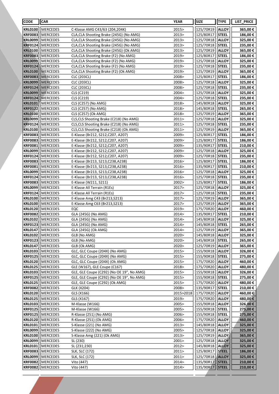| <b>CODE</b>                      | <b>CAR</b>                  |                                                                          | <b>YEAR</b>    | <b>SIZE</b>            | <b>TYPE</b>                  | LIST_PRICE           |
|----------------------------------|-----------------------------|--------------------------------------------------------------------------|----------------|------------------------|------------------------------|----------------------|
| <b>KRL0100</b>                   | MERCEDES                    | C-Klasse AMG C43/63 (204,204K)                                           | 2015>          | 125/70R19              | <b>ALLOY</b>                 | 365,00€              |
| <b>KRF0083</b>                   | MERCEDES                    | CLA, CLA Shooting Brake (245G) (No AMG)                                  | 2013>          | 125/80R17              | <b>STEEL</b>                 | 186,00€              |
| <b>KRL0099</b>                   | MERCEDES                    | CLA, CLA Shooting Brake (245G) (No AMG)                                  | 2013>          | 125/70R18              | <b>ALLOY</b>                 | 325,00€              |
| <b>KRF0124</b>                   | MERCEDES                    | CLA, CLA Shooting Brake (245G) (No AMG)                                  | 2013>          | 125/70R18              | <b>STEEL</b>                 | 235,00€              |
| <b>KRL0100</b>                   | MERCEDES                    | CLA, CLA Shooting Brake (245G) (Ok AMG)                                  | 2013>          | 125/70R19              | <b>ALLOY</b>                 | 365,00€              |
| <b>KRF0083</b>                   | MERCEDES                    | CLA, CLA Shooting Brake (F2) (No AMG)                                    | 2019>          | 125/80R17              | <b>STEEL</b>                 | 186,00€              |
| <b>KRL0099</b>                   | MERCEDES                    | CLA, CLA Shooting Brake (F2) (No AMG)                                    | 2019>          | 125/70R18              | <b>ALLOY</b>                 | 325,00€              |
| <b>KRF0124</b><br><b>KRL0100</b> | MERCEDES                    | CLA, CLA Shooting Brake (F2) (No AMG)                                    | 2019>          | 125/70R18              | <b>STEEL</b>                 | 235,00€              |
| <b>KRF0083</b>                   | MERCEDES<br><b>MERCEDES</b> | CLA, CLA Shooting Brake (F2) (Ok AMG)<br><b>CLC (203CL)</b>              | 2019><br>2008> | 125/70R19<br>125/80R17 | <b>ALLOY</b><br><b>STEEL</b> | 365,00€<br>186,00€   |
| <b>KRL0099</b>                   | <b>MERCEDES</b>             | CLC (203CL)                                                              | 2008>          | 125/70R18              | <b>ALLOY</b>                 | 325,00€              |
| <b>KRF0124</b>                   | MERCEDES                    | <b>CLC (203CL)</b>                                                       | 2008>          | 125/70R18              | <b>STEEL</b>                 | 235,00€              |
| <b>KRL0099</b>                   | MERCEDES                    | CLS (C219)                                                               | 2004>          | 125/70R18              | <b>ALLOY</b>                 | 325,00€              |
| <b>KRF0124</b>                   | <b>MERCEDES</b>             | CLS (C219)                                                               | 2004>          | 125/70R18              | <b>STEEL</b>                 | 235,00€              |
| <b>KRL0101</b>                   | MERCEDES                    | CLS (C257) (No AMG)                                                      | 2018>          | 145/80R18              | <b>ALLOY</b>                 | 325,00€              |
| <b>KRF0122</b>                   | MERCEDES                    | CLS (C257) (No AMG)                                                      | 2018>          | 145/80R18              | <b>STEEL</b>                 | 265,00€              |
| <b>KRL0100</b>                   | MERCEDES                    | CLS (C257) (Ok AMG)                                                      | 2018>          | 125/70R19              | <b>ALLOY</b>                 | 365,00€              |
| <b>KRL0099</b>                   | MERCEDES                    | CLS, CLS Shooting Brake (C218) (No AMG)                                  | 2011>          | 125/70R18              | <b>ALLOY</b>                 | 325,00€              |
| <b>KRF0124</b>                   | MERCEDES                    | CLS, CLS Shooting Brake (C218) (No AMG)                                  | 2011>          | 125/70R18              | <b>STEEL</b>                 | 235,00€              |
| <b>KRL0100</b>                   | MERCEDES                    | CLS, CLS Shooting Brake (C218) (Ok AMG)                                  | 2011>          | 125/70R19              | <b>ALLOY</b>                 | 365,00€              |
| <b>KRF0083</b>                   | MERCEDES                    | E-Klasse (Br212, S212, C207, A207)                                       | 2009>          | 125/80R17              | <b>STEEL</b>                 | 186,00€              |
| <b>KRF0083</b><br><b>KRF0081</b> | MERCEDES<br>MERCEDES        | E-Klasse (Br212, S212, C207, A207)<br>E-Klasse (Br212, S212, C207, A207) | 2009><br>2009> | 125/80R17<br>135/90R17 | <b>STEEL</b><br><b>STEEL</b> | 186,00€<br>210,00€   |
| <b>KRL0099</b>                   | MERCEDES                    | E-Klasse (Br212, S212, C207, A207)                                       | 2009>          | 125/70R18              | <b>ALLOY</b>                 | 325,00€              |
| <b>KRF0124</b>                   | MERCEDES                    | E-Klasse (Br212, S212, C207, A207)                                       | 2009>          | 125/70R18              | <b>STEEL</b>                 | 235,00€              |
| <b>KRF0083</b>                   | MERCEDES                    | E-Klasse (Br213, S213, C238, A238)                                       | 2016>          | 125/80R17              | <b>STEEL</b>                 | 186,00€              |
| <b>KRF0081</b>                   | MERCEDES                    | E-Klasse (Br213, S213, C238, A238)                                       | 2016>          | 135/90R17              | <b>STEEL</b>                 | 210,00€              |
| <b>KRL0099</b>                   | MERCEDES                    | E-Klasse (Br213, S213, C238, A238)                                       | 2016>          | 125/70R18              | <b>ALLOY</b>                 | 325,00€              |
| <b>KRF0124</b>                   | MERCEDES                    | E-Klasse (Br213, S213, C238, A238)                                       | 2016>          | 125/70R18              | <b>STEEL</b>                 | 235,00€              |
| <b>KRF0083</b>                   | MERCEDES                    | E-Klasse (W211, S211)                                                    | 2002>          | 125/80R17              | <b>STEEL</b>                 | 186,00€              |
| <b>KRL0099</b>                   | MERCEDES                    | E-Klasse All Terrain (R1Es)                                              | 2017>          | 125/70R18              | <b>ALLOY</b>                 | 325,00€              |
| <b>KRF0124</b>                   | MERCEDES                    | E-Klasse All Terrain (R1Es)                                              | 2017>          | 125/70R18              | <b>STEEL</b>                 | 235,00€              |
| <b>KRL0100</b>                   | MERCEDES                    | E-Klasse Amg C43 (Br213, S213)                                           | 2017>          | 125/70R19              | <b>ALLOY</b>                 | 365,00€              |
| <b>KRL0100</b><br><b>KRL0120</b> | MERCEDES<br>MERCEDES        | E-Klasse Amg C63 (Br213, S213)<br>EQC                                    | 2017><br>2019> | 125/70R19<br>175/70R20 | <b>ALLOY</b><br><b>ALLOY</b> | 365,00€<br>460,00€   |
| <b>KRF0082</b>                   | MERCEDES                    | GLA (245G) (No AMG)                                                      | 2014>          | 135/90R17              | <b>STEEL</b>                 | 210,00€              |
| <b>KRL0102</b>                   | MERCEDES                    | GLA (245G) (No AMG)                                                      | 2014>          | 145/80R18              | <b>ALLOY</b>                 | 325,00€              |
| <b>KRF0123</b>                   | MERCEDES                    | GLA (245G) (No AMG)                                                      | 2014>          | 145/80R18              | <b>STEEL</b>                 | 265,00€              |
|                                  | KRL0147   MERCEDES          | GLA (245G) (Ok AMG)                                                      | 2014>          | 125/70R19   ALLOY      |                              | 365,00€              |
| <b>KRL0102</b>                   | <b>MERCEDES</b>             | GLB (No AMG)                                                             | 2020>          | 145/80R18              | <b>ALLOY</b>                 | 325,00€              |
| KRF0123                          | <b>MERCEDES</b>             | GLB (No AMG)                                                             | 2020>          | 145/80R18              | <b>STEEL</b>                 | 265,00€              |
| <b>KRL0147</b>                   | MERCEDES                    | GLB (Ok AMG)                                                             | 2020>          | 125/70R19              | <b>ALLOY</b>                 | 365,00€              |
| <b>KRL0103</b>                   | MERCEDES                    | GLC, GLC Coupe (204X) (No AMG)                                           | 2015>          | 155/90R18              | <b>ALLOY</b>                 | 326,00€              |
| <b>KRF0125</b>                   | MERCEDES                    | GLC, GLC Coupe (204X) (No AMG)                                           | 2015>          | 155/90R18              | <b>STEEL</b>                 | 275,00€              |
| <b>KRL0120</b><br><b>KRL0125</b> | MERCEDES<br>MERCEDES        | GLC, GLC Coupe (204X) (Ok AMG)<br>GLE (W167), GLE Coupe (C167)           | 2015><br>2018> | 175/70R20<br>175/70R20 | <b>ALLOY</b><br><b>ALLOY</b> | 460,00 €<br>480,00 € |
| <b>KRL0103</b>                   | MERCEDES                    | GLE, GLE Coupe (C292) (No OE 19", No AMG)                                | 2015>          | 155/90R18              | <b>ALLOY</b>                 | 326,00€              |
| <b>KRF0125</b>                   | MERCEDES                    | GLE, GLE Coupe (C292) (No OE 19", No AMG)                                | 2015>          | 155/90R18              | <b>STEEL</b>                 | 275,00 €             |
| <b>KRL0125</b>                   | MERCEDES                    | GLE, GLE Coupe (C292) (Ok AMG)                                           | 2015>          | 175/70R20              | <b>ALLOY</b>                 | 480,00 €             |
| <b>KRF0082</b>                   | MERCEDES                    | GLK (X204)                                                               | 2008>          | 135/90R17              | <b>STEEL</b>                 | 210,00€              |
| <b>KRL0120</b>                   | MERCEDES                    | GLS (X166)                                                               | 2015>2018      | 175/70R20              | <b>ALLOY</b>                 | 460,00 €             |
| <b>KRL0125</b>                   | MERCEDES                    | GLS (X167)                                                               | 2019>          | 175/70R20              | <b>ALLOY</b>                 | 480,00€              |
| <b>KRL0103</b>                   | MERCEDES                    | M-Klasse (W166)                                                          | 2005>          | 155/90R18              | <b>ALLOY</b>                 | 326,00€              |
| KRF0125                          | MERCEDES                    | M-Klasse (W166)                                                          | 2005>          | 155/90R18              | <b>STEEL</b>                 | 275,00€              |
| KRF0125                          | MERCEDES                    | R-Klasse (251) (No AMG)                                                  | 2006>          | 155/90R18              | <b>STEEL</b>                 | 275,00 €             |
| <b>KRL0120</b>                   | MERCEDES                    | R-Klasse (251) (Ok AMG)<br>S-Klasse (221) (No AMG)                       | 2006><br>2013> | 175/70R20<br>145/80R18 | <b>ALLOY</b>                 | 460,00 €             |
| <b>KRL0101</b><br><b>KRL0099</b> | MERCEDES<br>MERCEDES        | S-Klasse (222) (No AMG)                                                  | 2005>          | 125/70R18              | <b>ALLOY</b><br><b>ALLOY</b> | 325,00 €<br>325,00€  |
| <b>KRL0100</b>                   | MERCEDES                    | S-Klasse Amg (221) (Ok AMG)                                              | 2013>          | 125/70R19              | <b>ALLOY</b>                 | 365,00€              |
| <b>KRL0099</b>                   | MERCEDES                    | SL (230)                                                                 | 2001>          | 125/70R18              | <b>ALLOY</b>                 | 325,00€              |
| <b>KRL0101</b>                   | MERCEDES                    | SL (231;230)                                                             | 2012>          | 145/80R18              | <b>ALLOY</b>                 | 325,00€              |
| <b>KRF0083</b>                   | MERCEDES                    | SLK, SLC (172)                                                           | 2011>          | 125/80R17              | <b>STEEL</b>                 | 186,00€              |
| <b>KRL0099</b>                   | MERCEDES                    | SLK, SLC (172)                                                           | 2011>          | 125/70R18              | <b>ALLOY</b>                 | 325,00 €             |
| <b>KRF0082</b>                   | MERCEDES                    | Vito (447)                                                               | 2014>          | 135/90R17              | <b>STEEL</b>                 | 210,00 €             |
| <b>KRF0082</b>                   | MERCEDES                    | Vito (447)                                                               | 2014>          | 135/90R17              | <b>STEEL</b>                 | 210,00 €             |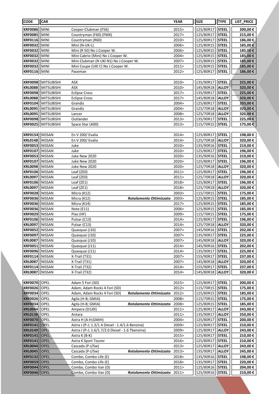| <b>CODE</b>                      | <b>CAR</b>                             |                                                  |                         | <b>YEAR</b>    | <b>SIZE</b>            | <b>TYPE</b>                  | LIST_PRICE         |
|----------------------------------|----------------------------------------|--------------------------------------------------|-------------------------|----------------|------------------------|------------------------------|--------------------|
| <b>KRF0086</b>                   | MINI                                   | Cooper-Clubman (F56)                             |                         | 2015>          | 125/80R17              | <b>STEEL</b>                 | 200,00€            |
| <b>KRF0085</b>                   | <b>MINI</b>                            | Countryman (F60) (FMX)                           |                         | 2017>          | 125/80R17              | <b>STEEL</b>                 | 215,00€            |
| <b>KRF0116</b>                   | MINI)                                  | Countryman (R60)                                 |                         | 2010>          | 125/80R17              | <b>STEEL</b>                 | 186,00€            |
| <b>KRF0032</b>                   | <b>MINI</b>                            | Mini (N-UK-L)                                    |                         | 2006>          | 125/80R15              | <b>STEEL</b>                 | 185,00€            |
| <b>KRF0032</b>                   | MINI                                   | Mini (R 50) No J.Cooper W.                       |                         | 2006>          | 125/80R15              | <b>STEEL</b>                 | 185,00€            |
| <b>KRF0032</b>                   | MINI                                   | Mini Cabrio (Mini) No J.Cooper W.                |                         | 2004>          | 125/80R15              | <b>STEEL</b>                 | 185,00€            |
| <b>KRF0032</b>                   | MINI                                   | Mini Clubman (N UKl N1) No J.Cooper W.           |                         | 2007>          | 125/80R15              | <b>STEEL</b>                 | 185,00€            |
| <b>KRF0032</b>                   | MINI                                   | Mini Coupe (UKI C) No J.Cooper W.                |                         | 2011           | 125/80R15              | <b>STEEL</b>                 | 185,00€            |
| <b>KRF0116</b>                   | MINI                                   | Paceman                                          |                         | 2012>          | 125/80R17              | <b>STEEL</b>                 | 186,00€            |
|                                  |                                        |                                                  |                         |                |                        |                              |                    |
| <b>KRF0098</b>                   | <b>MITSUBISHI</b>                      | ASX                                              |                         | 2010>          | 135/90R17              | <b>STEEL</b>                 | 225,00 €           |
| <b>KRL0088</b>                   | <b>MITSUBISHI</b>                      | ASX                                              |                         | 2010>          | 145/80R18              | <b>ALLOY</b>                 | 320,00€            |
| <b>KRF0098</b>                   | <b>MITSUBISHI</b>                      | <b>Eclipse Cross</b>                             |                         | 2017>          | 135/90R17              | <b>STEEL</b>                 | 225,00€            |
| <b>KRL0088</b>                   | <b>MITSUBISHI</b>                      | <b>Eclipse Cross</b>                             |                         | 2017>          | 145/80R18              | <b>ALLOY</b>                 | 320,00€            |
| <b>KRF0104</b>                   | <b>MITSUBISHI</b>                      | Grandis                                          |                         | 2004><br>2004> | 125/80R17              | <b>STEEL</b>                 | 203,00€            |
| <b>KRL0095</b><br><b>KRL0095</b> | <b>MITSUBISHI</b><br><b>MITSUBISHI</b> | Grandis                                          |                         | 2008>          | 125/70R18<br>125/70R18 | <b>ALLOY</b><br><b>ALLOY</b> | 320,00€<br>320,00€ |
| <b>KRF0098</b>                   | MITSUBISHI                             | Lancer<br>Outlander                              |                         | 2013>          | 135/90R17              | <b>STEEL</b>                 | 225,00€            |
| <b>KRF0025</b>                   | <b>MITSUBISHI</b>                      | Space Star (A00)                                 |                         | 2013>          | 115/70R15              | <b>STEEL</b>                 | 175,00€            |
|                                  |                                        |                                                  |                         |                |                        |                              |                    |
| <b>KRF0154</b>                   | NISSAN                                 | En V 200/ Evalia                                 |                         | 2014>          | 125/80R17              | <b>STEEL</b>                 | 198,00 €           |
| <b>KRL0148</b>                   | NISSAN                                 | En V 200/ Evalia                                 |                         | 2014>          | 125/70R18              | <b>ALLOY</b>                 | 320,00€            |
| <b>KRF0053</b>                   | NISSAN                                 | Juke                                             |                         | 2010>          | 135/90R16              | <b>STEEL</b>                 | 219,00€            |
| <b>KRF0107</b>                   | NISSAN                                 | Juke                                             |                         | 2010>          | 125/80R17              | <b>STEEL</b>                 | 196,00€            |
| <b>KRF0053</b>                   | NISSAN                                 | Juke New 2020                                    |                         | 2020>          | 135/90R16              | <b>STEEL</b>                 | 219,00€            |
| <b>KRF0107</b>                   | NISSAN                                 | Juke New 2020                                    |                         | 2020>          | 125/80R17              | <b>STEEL</b>                 | 196,00€            |
| <b>KRL0098</b>                   | NISSAN                                 | Juke New 2020                                    |                         | 2020>          | 125/70R18              | <b>ALLOY</b>                 | 320,00€            |
| <b>KRF0106</b>                   | NISSAN                                 | Leaf (ZEO)                                       |                         | 2011>          | 125/80R17              | <b>STEEL</b>                 | 196,00€            |
| <b>KRL0097</b>                   | NISSAN                                 | Leaf (ZEO)                                       |                         | 2011           | 125/70R18              | <b>ALLOY</b>                 | 320,00€            |
| <b>KRF0106</b>                   | NISSAN                                 | Leaf (ZE1)                                       |                         | 2018>          | 125/80R17              | <b>STEEL</b>                 | 196,00€            |
| <b>KRL0097</b>                   | NISSAN                                 | Leaf (ZE1)                                       |                         | 2018>          | 125/70R18              | <b>ALLOY</b>                 | 320,00€            |
| <b>KRF0028</b>                   | NISSAN                                 | Micra (K12)                                      |                         | 2003>          | 115/70R15              | <b>STEEL</b>                 | 175,00€            |
| <b>KRF0036</b><br><b>KRF0036</b> | NISSAN<br>NISSAN                       | Micra (K12)<br>Micra (K14)                       | Rotolamento Ottimizzato | 2003><br>2017> | 125/80R15<br>125/80R15 | <b>STEEL</b><br><b>STEEL</b> | 185,00€            |
| <b>KRF0036</b>                   | NISSAN                                 | Note $(E11)$                                     |                         | 2006>          | 125/80R15              | <b>STEEL</b>                 | 185,00€<br>185,00€ |
| <b>KRF0029</b>                   | NISSAN                                 | Pixo (HF)                                        |                         | 2009>          | 115/70R15              | <b>STEEL</b>                 | 175,00 €           |
| <b>KRF0106</b>                   | <b>INISSAN</b>                         | Pulsar (C13)                                     |                         | 2014>          | 125/80R17              | <b>STEEL</b>                 | 196,00 €           |
| <b>KRL0097</b>                   | NISSAN                                 | Pulsar (C13)                                     |                         | 2014>          | 125/70R18              | <b>ALLOY</b>                 | 320,00 €           |
| KRF0052 NISSAN                   |                                        | Quasquai (J10)                                   |                         | 2007>          | 145/90R16              | <b>STEEL</b>                 | 202,00€            |
| <b>KRF0097</b>                   | NISSAN                                 | Quasquai (J10)                                   |                         | 2007>          | 135/90R17              | <b>STEEL</b>                 | 225,00€            |
| <b>KRL0087</b>                   | NISSAN                                 | Quasquai (J10)                                   |                         | 2007>          | 145/80R18              | <b>ALLOY</b>                 | 320,00€            |
| <b>KRF0051</b>                   | NISSAN                                 | Quasquai (J11)                                   |                         | 2014>          | 145/90R16              | <b>STEEL</b>                 | 202,00€            |
| <b>KRF0096</b>                   | NISSAN                                 | Quasquai (J11)                                   |                         | 2014 >         | 135/90R17              | <b>STEEL</b>                 | 225,00€            |
| <b>KRF0114</b>                   | NISSAN                                 | X-Trail (T31)                                    |                         | 2007>          | 155/90R17              | <b>STEEL</b>                 | 237,00€            |
| <b>KRL0087</b>                   | NISSAN                                 | X-Trail (T31)                                    |                         | 2007>          | 145/80R18              | <b>ALLOY</b>                 | 320,00€            |
| <b>KRF0114</b>                   | NISSAN                                 | X-Trail (T32)                                    |                         | 2014>          | 155/90R17              | <b>STEEL</b>                 | 237,00€            |
| <b>KRL0087</b>                   | NISSAN                                 | X-Trail (T32)                                    |                         | 2014>          | 145/80R18              | <b>ALLOY</b>                 | 320,00€            |
|                                  |                                        |                                                  |                         |                |                        |                              |                    |
| <b>KRF0070</b><br><b>KRF0026</b> | OPEL<br><b>OPEL</b>                    | Adam 5 Fori (SD)<br>Adam, Adam Rocks 4 Fori (SD) |                         | 2015><br>2012> | 125/80R17<br>115/70R15 | <b>STEEL</b><br><b>STEEL</b> | 200,00€<br>175,00€ |
| <b>KRF0034</b>                   | OPEL                                   | Adam, Adam Rocks 4 Fori (SD)                     | Rotolamento Ottimizzato | 2012>          | 125/80R15              | <b>STEEL</b>                 | 185,00€            |
| <b>KRF0026</b>                   | OPEL                                   | Agila (H-B; GMIA)                                |                         | 2008>          | 115/70R15              | <b>STEEL</b>                 | 175,00€            |
| <b>KRF0034</b>                   | OPEL                                   | Agila (H-B; GMIA)                                | Rotolamento Ottimizzato | 2008>          | 125/80R15              | <b>STEEL</b>                 | 185,00 €           |
| <b>KRL0044</b>                   | OPEL                                   | Ampera (D1J0I)                                   |                         | 2011           | 125/80R17              | <b>ALLOY</b>                 | 243,00€            |
| <b>KRL0138</b>                   | OPEL                                   | Antara                                           |                         | 2011>          | 135/90R17              | <b>ALLOY</b>                 | 250,00€            |
| <b>KRF0070</b>                   | <b>OPEL</b>                            | Astra H (A-H;GMIH)                               |                         | 2004>          | 125/80R17              | <b>STEEL</b>                 | 200,00€            |
| <b>KRF0141</b>                   | OPEL                                   | Astra J (P-J; 1.3/1.4 Diesel - 1.4/1.6 Benzina)  |                         | 2009>          | 125/80R17              | <b>STEEL</b>                 | 210,00€            |
| <b>KRL0149</b>                   | OPEL                                   | Astra J (P-J; 1.6/1.7/2.0 Diesel - 1.6 Tbenzina) |                         | 2009>          | 125/80R17              | <b>ALLOY</b>                 | 243,00€            |
| <b>KRF0141</b>                   | <b>OPEL</b>                            | Astra K (B-K)                                    |                         | 2015>          | 125/80R17              | <b>STEEL</b>                 | 210,00€            |
| <b>KRF0141</b>                   | <b>OPEL</b>                            | Astra K Sport Tourer                             |                         | 2016>          | 125/80R17              | <b>STEEL</b>                 | 210,00€            |
| <b>KRL0044</b>                   | <b>OPEL</b>                            | Cascada (P-J/Sw)                                 |                         | 2013>          | 125/80R17              | <b>ALLOY</b>                 | 243,00€            |
| <b>KRL0045</b>                   | <b>OPEL</b>                            | Cascada (P-J/Sw)                                 | Rotolamento Ottimizzato | 2013>          | 135/90R17              | <b>ALLOY</b>                 | 245,00 €           |
| <b>KRF0132</b>                   | <b>OPEL</b>                            | Combo, Combo Life (E)                            |                         | 2018>          | 135/90R16              | <b>STEEL</b>                 | 198,00 €           |
| <b>KRF0059</b>                   | <b>OPEL</b>                            | Combo, Combo Life (E)                            |                         | 2018>          | 135/90R17              | <b>STEEL</b>                 | 220,00 €           |
| <b>KRF0044</b>                   | OPEL                                   | Combo, Combo Van (D)                             |                         | 2011><br>2011  | 125/80R16              | <b>STEEL</b>                 | 204,00€            |
| <b>KRF0046</b>                   | <b>OPEL</b>                            | Combo, Combo Van (D)                             | Rotolamento Ottimizzato |                | 125/90R16              | <b>STEEL</b>                 | 210,00€            |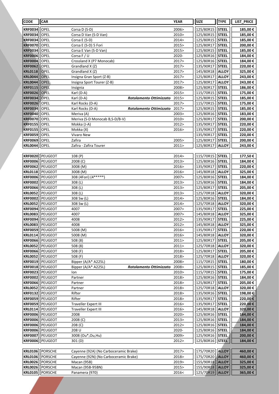| <b>CODE</b>                      | <b>CAR</b>         |                                                | <b>YEAR</b>    | <b>SIZE</b>            | <b>TYPE</b>                  | LIST_PRICE         |
|----------------------------------|--------------------|------------------------------------------------|----------------|------------------------|------------------------------|--------------------|
| <b>KRF0034</b>                   | OPEL               | Corsa D (S-D)                                  | 2006>          | 125/80R15              | <b>STEEL</b>                 | 185,00€            |
| <b>KRF0034</b>                   | <b>OPEL</b>        | Corsa D Van (S-D Van)                          | 2010>          | 125/80R15              | <b>STEEL</b>                 | 185,00€            |
| <b>KRF0034</b>                   | <b>OPEL</b>        | Corsa E (S-D)                                  | 2014>          | 125/80R15              | <b>STEEL</b>                 | 185,00€            |
| <b>KRF0070</b>                   | <b>OPEL</b>        | Corsa E (S-D) 5 Fori                           | 2015>          | 125/80R17              | <b>STEEL</b>                 | 200,00€            |
| <b>KRF0034</b>                   | OPEL               | Corsa E Van (S-D Van)                          | 2015>          | 125/80R15              | <b>STEEL</b>                 | 185,00€            |
| <b>KRF0006</b>                   | OPEL               | Corsa F / U                                    | 2020-          | 125/80R16              | <b>STEEL</b>                 | 184,00€            |
| <b>KRF0004</b>                   | OPEL               | Crossland X (P7 Monocab)                       | 2017>          | 125/80R16              | <b>STEEL</b>                 | 184,00€            |
| <b>KRF0062</b>                   | <b>OPEL</b>        | Grandland X (Z)                                | 2017>          | 135/90R17              | <b>STEEL</b>                 | 220,00€            |
| <b>KRL0118</b>                   | OPEL               | Grandland X (Z)                                | 2017>          | 145/80R18              | <b>ALLOY</b>                 | 325,00€            |
| <b>KRL0044</b>                   | <b>OPEL</b>        | Insigna Gran Sport (Z-B)                       | 2017>          | 125/80R17              | <b>ALLOY</b>                 | 243,00€            |
| <b>KRL0044</b>                   | <b>OPEL</b>        | Insigna Sport Tourer (Z-B)                     | 2017>          | 125/80R17              | <b>ALLOY</b>                 | 243,00€            |
| <b>KRF0115</b>                   | <b>OPEL</b>        | Insignia                                       | 2008>          | 125/80R17              | <b>STEEL</b>                 | 186,00€            |
| <b>KRF0026</b>                   | <b>OPEL</b>        | Karl (D-A)                                     | 2015>          | 115/70R15              | <b>STEEL</b>                 | 175,00€            |
| <b>KRF0034</b>                   | OPEL               | Karl (D-A)<br>Rotolamento Ottimizzato          | 2015>          | 125/80R15              | <b>STEEL</b>                 | 185,00€            |
| <b>KRF0026</b>                   | OPEL               | Karl Rocks (D-A)                               | 2017>          | 115/70R15              | <b>STEEL</b>                 | 175,00€            |
| <b>KRF0034</b>                   | OPEL               | Karl Rocks (D-A)<br>Rotolamento Ottimizzato    | 2017>          | 125/80R15              | <b>STEEL</b>                 | 185,00€            |
| <b>KRF0040</b>                   | OPEL               | Meriva (A)                                     | 2003>          | 125/80R16              | <b>STEEL</b>                 | 183,00€            |
| <b>KRF0070</b>                   | OPEL               | Meriva (S-D Monocab B,S-D/B-V)                 | 2010>          | 125/80R17              | <b>STEEL</b><br><b>STEEL</b> | 200,00€            |
| <b>KRF0155</b><br><b>KRF0155</b> | OPEL <br>OPEL      | Mokka (J-A)<br>Mokka (X)                       | 2012><br>2016> | 135/90R17<br>135/90R17 | <b>STEEL</b>                 | 220,00€            |
| <b>KRF0059</b>                   | <b>OPEL</b>        | Vivaro New                                     |                | 135/90R17              | <b>STEEL</b>                 | 220,00€<br>220,00€ |
| <b>KRF0069</b>                   | OPEL               | Zafira                                         | 2005>          | 125/80R17              | <b>STEEL</b>                 | 200,00€            |
| <b>KRL0044</b>                   | OPEL               | Zafira - Zafira Tourer                         | 2011>          | 125/80R17              | <b>ALLOY</b>                 | 243,00 €           |
|                                  |                    |                                                |                |                        |                              |                    |
| <b>KRF0020</b>                   | PEUGEOT            | 108 (P)                                        | 2014>          | 115/70R15              | <b>STEEL</b>                 | 177,50€            |
| <b>KRF0006</b>                   | PEUGEOT            | 2008 (C)                                       | 2013>          | 125/80R16              | <b>STEEL</b>                 | 184,00€            |
| <b>KRF0062</b>                   | PEUGEOT            | 3008 (M)                                       | 2016>          | 135/90R17              | <b>STEEL</b>                 | 220,00€            |
| <b>KRL0118</b>                   | PEUGEOT            | 3008 (M)                                       | 2016>          | 145/80R18              | <b>ALLOY</b>                 | 325,00€            |
| <b>KRF0006</b>                   | PEUGEOT            | 308 (4Fori) (4*****)                           | 2007>          | 125/80R16              | <b>STEEL</b>                 | 184,00€            |
| <b>KRF0002</b>                   | PEUGEOT            | 308 (L)                                        | 2013>          | 125/80R16              | <b>STEEL</b>                 | 184,00€            |
| <b>KRF0066</b>                   | PEUGEOT            | 308 (L)                                        | 2013>          | 125/80R17              | <b>STEEL</b>                 | 205,00€            |
| <b>KRL0052</b>                   | PEUGEOT            | 308 (L)                                        | 2013>          | 125/70R18              | <b>ALLOY</b>                 | 320,00€            |
| <b>KRF0002</b>                   | PEUGEOT            | 308 Sw (L)                                     | 2014>          | 125/80R16              | <b>STEEL</b>                 | 184,00€            |
| <b>KRL0052</b>                   | PEUGEOT            | 308 Sw (L)                                     | 2014>          | 125/70R18              | <b>ALLOY</b>                 | 320,00€            |
| <b>KRF0094</b>                   | PEUGEOT            | 4007                                           | 2007>          | 135/90R17              | <b>STEEL</b>                 | 225,00€            |
| <b>KRL0083</b>                   | PEUGEOT            | 4007                                           | 2007>          | 145/80R18              | <b>ALLOY</b>                 | 325,00€            |
| <b>KRF0094</b>                   | PEUGEOT            | 4008                                           | 2012>          | 135/90R17              | <b>STEEL</b>                 | 225,00€            |
| <b>KRL0083</b>                   | PEUGEOT            | 4008                                           | 2012>          | 145/80R18              | <b>ALLOY</b>                 | 325,00€            |
|                                  | KRF0059  PEUGEOT   | 5008 (M)                                       | 2016>          | 135/90R17              | <b>STEEL</b>                 | 220,00€            |
| <b>KRL0114</b><br><b>KRF0066</b> | PEUGEOT<br>PEUGEOT | 5008 (M)                                       | 2016><br>2011> | 145/80R18<br>125/80R17 | <b>ALLOY</b><br><b>STEEL</b> | 320,00€<br>205,00€ |
| <b>KRL0052</b>                   | PEUGEOT            | 508(8)<br>508 (8)                              | 2011>          | 125/70R18              | <b>ALLOY</b>                 | 320,00€            |
| <b>KRF0066</b>                   | PEUGEOT            | 508 (F)                                        | 2018>          | 125/80R17              | <b>STEEL</b>                 | 205,00€            |
| <b>KRL0052</b>                   | PEUGEOT            | 508 (F)                                        | 2018>          | 125/70R18              | <b>ALLOY</b>                 | 320,00€            |
| <b>KRF0019</b>                   | PEUGEOT            | Bipper (A/A* A225L)                            | 2008>          | 115/70R15              | <b>STEEL</b>                 | 180,00€            |
| <b>KRF0018</b>                   | PEUGEOT            | Bipper (A/A* A225L)<br>Rotolamento Ottimizzato | 2008>          | 125/80R15              | <b>STEEL</b>                 | 185,00€            |
| <b>KRF0023</b>                   | PEUGEOT            | lon                                            | 2010>          | 115/70R15              | <b>STEEL</b>                 | 175,00€            |
| <b>KRF0002</b>                   | PEUGEOT            | Partner                                        | 2018>          | 125/80R16              | <b>STEEL</b>                 | 184,00€            |
| <b>KRF0066</b>                   | PEUGEOT            | Partner                                        | 2018>          | 125/80R17              | <b>STEEL</b>                 | 205,00€            |
| <b>KRL0052</b>                   | PEUGEOT            | Partner                                        | 2018>          | 125/70R18              | <b>ALLOY</b>                 | 320,00€            |
| <b>KRF0132</b>                   | PEUGEOT            | Rifter                                         | 2018>          | 135/90R16              | <b>STEEL</b>                 | 198,00€            |
| <b>KRF0059</b>                   | PEUGEOT            | Rifter                                         | 2018>          | 135/90R17              | <b>STEEL</b>                 | 220,00€            |
| <b>KRF0059</b>                   | PEUGEOT            | <b>Traveller Expert III</b>                    | 2016>          | 135/90R17              | <b>STEEL</b>                 | 220,00€            |
| <b>KRL0114</b>                   | PEUGEOT            | <b>Traveller Expert III</b>                    | 2016>          | 145/80R18              | <b>ALLOY</b>                 | 320,00€            |
| <b>KRF0006</b>                   | PEUGEOT            | 2008                                           | 2020>          | 125/80R16              | <b>STEEL</b>                 | 184,00 €           |
| <b>KRF0006</b>                   | PEUGEOT            | 2008 (C)                                       | 2013>          | 125/80R16              | <b>STEEL</b>                 | 184,00 €           |
| <b>KRF0006</b>                   | PEUGEOT            | 208 (C)                                        | 2012>          | 125/80R16              | <b>STEEL</b>                 | 184,00 €           |
| <b>KRF0006</b>                   | PEUGEOT            | 208 U                                          | 2020-          | 125/80R16              | <b>STEEL</b>                 | 184,00 €           |
| <b>KRF0007</b>                   | PEUGEOT            | 3008 (Ou*, Ou, Hu)                             | 2009>          | 125/90R16              | <b>STEEL</b>                 | 200,00 €           |
| <b>KRF0006</b>                   | PEUGEOT            | 301 (D)                                        | 2012>          | 125/80R16              | <b>STEEL</b>                 | 184,00€            |
| <b>KRL0106</b>                   | PORSCHE            | Cayenne (92A) (No Carboceramic Brake)          | 2017>          | 175/70R20              | <b>ALLOY</b>                 | 460,00€            |
| <b>KRL0106</b>                   | PORSCHE            | Cayenne (92N) (No Carboceramic Brake)          | 2018>          | 175/70R20              | <b>ALLOY</b>                 | 460,00€            |
| <b>KRL0026</b>                   | PORSCHE            | Macan (95B)                                    | 2019>          | 155/90R18              | <b>ALLOY</b>                 | 325,00 €           |
| <b>KRL0026</b>                   | PORSCHE            | Macan (95B-95BN)                               | 2015>          | 155/90R18              | <b>ALLOY</b>                 | 325,00 €           |
| <b>KRL0105</b>                   | PORSCHE            | Panamera (970)                                 | 2016<          | 125/70R19              | <b>ALLOY</b>                 | 365,00 €           |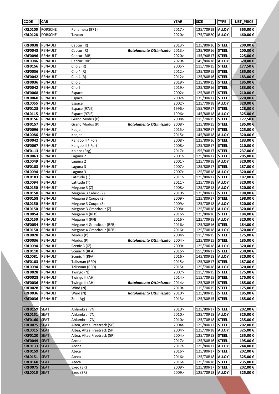| <b>CODE</b>                      | <b>CAR</b>                 |                                                            |                         | <b>YEAR</b>     | <b>SIZE</b>            | <b>TYPE</b>                  | LIST_PRICE          |
|----------------------------------|----------------------------|------------------------------------------------------------|-------------------------|-----------------|------------------------|------------------------------|---------------------|
| <b>KRL0105</b>                   | PORSCHE                    | Panamera (971)                                             |                         | 2017>           | 125/70R19              | <b>ALLOY</b>                 | 365,00€             |
| <b>KRL0128</b>                   | PORSCHE                    | Taycan                                                     |                         | 2020>           | 175/70R20              | <b>ALLOY</b>                 | 460,00€             |
|                                  |                            |                                                            |                         |                 |                        |                              |                     |
| <b>KRF0038</b>                   | RENAULT                    | Captur (R)                                                 |                         | 2013>           | 125/80R16              | <b>STEEL</b>                 | 200,00€             |
| <b>KRF0043</b>                   | RENAULT                    | Captur (R)                                                 | Rotolamento Ottimizzato | 2013>           | 125/90R16              | <b>STEEL</b>                 | 200,00€             |
| <b>KRF0096</b>                   | RENAULT                    | Captur (RJB)                                               |                         | 2020>           | 135/90R17              | <b>STEEL</b>                 | 225,00€             |
| <b>KRL0086</b>                   | RENAULT                    | Captur (RJB)                                               |                         | 2020>           | 145/80R18              | <b>ALLOY</b>                 | 320,00€             |
| <b>KRF0156</b>                   | RENAULT                    | Clio 3(R)                                                  |                         | 2005>           | 115/70R15              | <b>STEEL</b>                 | 177,50€             |
| <b>KRF0036</b>                   | RENAULT                    | Clio $4(R)$                                                |                         | 2012>           | 125/80R15              | <b>STEEL</b>                 | 185,00 €            |
| <b>KRF0042</b>                   | RENAULT                    | Clio $4(R)$                                                |                         | 2012>           | 125/80R16              | STEEL                        | 183,00 €            |
| <b>KRF0036</b>                   | RENAULT                    | Clio 5                                                     |                         | 2019>           | 125/80R15              | <b>STEEL</b>                 | 185,00 €            |
| <b>KRF0042</b>                   | RENAULT                    | Clio 5                                                     |                         | 2019>           | 125/80R16              | <b>STEEL</b>                 | 183,00€             |
| <b>KRF0068</b>                   | RENAULT                    | Espace                                                     |                         | 2002>           | 125/80R17              | <b>STEEL</b>                 | 210,00€             |
| <b>KRF0060</b>                   | RENAULT                    | Espace                                                     |                         | 2002>           | 135/90R17              | <b>STEEL</b>                 | 220,00€             |
| <b>KRL0055</b>                   | RENAULT                    | Espace                                                     |                         | 2002>           | 125/70R18              | <b>ALLOY</b>                 | 320,00€             |
| <b>KRF0128</b>                   | RENAULT                    | Espace (97JE)                                              |                         | 1996>           | 155/90R17              | <b>STEEL</b>                 | 228,00€             |
| <b>KRL0115</b>                   | RENAULT                    | Espace (97JE)                                              |                         | 1996>           | 145/80R18              | <b>ALLOY</b>                 | 325,00€             |
| <b>KRF0156</b>                   | RENAULT                    | Grand Modus (P)                                            |                         | 2008>           | 115/70R15              | <b>STEEL</b>                 | 177,50€             |
| <b>KRF0157</b>                   | RENAULT                    | Grand Modus (P)                                            | Rotolamento Ottimizzato | 2008            | 125/80R15              | <b>STEEL</b>                 | 185,00€             |
| <b>KRF0096</b>                   | RENAULT                    | Kadjar                                                     |                         | 2015>           | 135/90R17              | <b>STEEL</b>                 | 225,00€             |
| <b>KRL0086</b><br><b>KRF0042</b> | <b>RENAULT</b><br>RENAULT  | Kadjar<br>Kangoo II 4 Fori                                 |                         | 2015><br>2008>  | 145/80R18<br>125/80R16 | <b>ALLOY</b><br><b>STEEL</b> | 320,00€<br>183,00€  |
| <b>KRF0067</b>                   | RENAULT                    | Kangoo II 5 Fori                                           |                         | 2008>           | 125/80R17              | <b>STEEL</b>                 | 210,00€             |
| <b>KRF0113</b>                   | RENAULT                    | Koleos (Rzg)                                               |                         | 2017>           | 155/90R17              | <b>STEEL</b>                 | 237,00 €            |
| <b>KRF0063</b>                   | RENAULT                    | Laguna 2                                                   |                         | 2001>           | 125/80R17              | <b>STEEL</b>                 | 205,00 €            |
| <b>KRL0049</b>                   | RENAULT                    | Laguna 2                                                   |                         | 2001>           | 125/70R18              | <b>ALLOY</b>                 | 320,00€             |
| <b>KRF0103</b>                   | RENAULT                    | Laguna 3                                                   |                         | 2007>           | 125/80R17              | <b>STEEL</b>                 | 187,00€             |
| <b>KRL0094</b>                   | RENAULT                    | Laguna 3                                                   |                         | 2007>           | 125/70R18              | <b>ALLOY</b>                 | 320,00€             |
| <b>KRF0103</b>                   | RENAULT                    | Latitude (T)                                               |                         | 2011            | 125/80R17              | <b>STEEL</b>                 | 187,00€             |
| <b>KRL0094</b>                   | RENAULT                    | Latitude (T)                                               |                         | 2011>           | 125/70R18              | <b>ALLOY</b>                 | 320,00€             |
| <b>KRL0150</b>                   | RENAULT                    | Megane 3 (Z)                                               |                         | 2008>           | 125/70R18              | <b>ALLOY</b>                 | 320,00€             |
| <b>KRF0158</b>                   | RENAULT                    | Megane 3 Cabrio (Z)                                        |                         | 2010>           | 125/80R17              | <b>STEEL</b>                 | 198,00€             |
| <b>KRF0158</b>                   | RENAULT                    | Megane 3 Coupe (Z)                                         |                         | 2009>           | 125/80R17              | <b>STEEL</b>                 | 198,00 €            |
| <b>KRL0150</b>                   | RENAULT                    | Megane 3 Coupe (Z)                                         |                         | 2009>           | 125/70R18              | <b>ALLOY</b>                 | 320,00€             |
| <b>KRL0150</b>                   | RENAULT                    | Megane 3 Grandtour (Z)                                     |                         | 2008>           | 125/70R18              | <b>ALLOY</b>                 | 320,00€             |
| <b>KRF0054</b>                   | RENAULT                    | Megane 4 (RFB)                                             |                         | 2016>           | 125/80R16              | <b>STEEL</b>                 | 184,00€             |
| <b>KRL0150</b>                   | RENAULT                    | Megane 4 (RFB)                                             |                         | 2016>           | 125/70R18              | <b>ALLOY</b>                 | 320,00€             |
| <b>KRF0054</b>                   | RENAULT                    | Megane 4 Grandtour (RFB)                                   |                         | 2016>           | 125/80R16              | <b>STEEL</b>                 | 184,00€             |
|                                  | KRL0150  RENAULT           | Megane 4 Grandtour (RFB)                                   |                         | 2016>           | 125/70R18   ALLOY      |                              | 320,00€             |
| <b>KRF0028</b>                   | RENAULT                    | Modus (P)                                                  |                         | 2004>           | 115/70R15              | <b>STEEL</b>                 | 175,00€             |
| <b>KRF0036</b><br><b>KRL0094</b> | RENAULT<br>RENAULT         | Modus (P)<br>Scenic 3 (JZ)                                 | Rotolamento Ottimizzato | 2004><br>2009>  | 125/80R15<br>125/70R18 | <b>STEEL</b><br><b>ALLOY</b> | 185,00 €<br>320,00€ |
| <b>KRF0110</b>                   | RENAULT                    | Scenic 4 (RFA)                                             |                         | 2016>           | 155/90R17              | <b>STEEL</b>                 | 230,00€             |
| <b>KRL0081</b>                   | RENAULT                    | Scenic 4 (RFA)                                             |                         | 2016>           | 145/80R18              | <b>ALLOY</b>                 | 320,00 €            |
| <b>KRF0103</b>                   | RENAULT                    | Talisman (RFD)                                             |                         | 2015>           | 125/80R17              | <b>STEEL</b>                 | 187,00 €            |
| <b>KRL0094</b>                   | RENAULT                    | Talisman (RFD)                                             |                         | 2015>           | 125/70R18              | <b>ALLOY</b>                 | 320,00€             |
| <b>KRF0028</b>                   | RENAULT                    | Twingo (N)                                                 |                         | 2007>           | 115/70R15              | <b>STEEL</b>                 | 175,00€             |
| <b>KRF0028</b>                   | RENAULT                    | Twingo II (AH)                                             |                         | 2014>           | 115/70R15              | <b>STEEL</b>                 | 175,00 €            |
| <b>KRF0036</b>                   | RENAULT                    | Twingo II (AH)                                             | Rotolamento Ottimizzato | 2014>           | 125/80R15              | <b>STEEL</b>                 | 185,00 €            |
| <b>KRF0028</b>                   | RENAULT                    | Wind (N)                                                   |                         | 2010>           | 115/70R15              | <b>STEEL</b>                 | 175,00 €            |
| <b>KRF0036</b>                   | RENAULT                    | Wind (N)                                                   | Rotolamento Ottimizzato | 2010>           | 125/80R15              | <b>STEEL</b>                 | 185,00 €            |
| <b>KRF0036</b>                   | RENAULT                    | Zoe (Ag)                                                   |                         | 2013>           | 125/80R15              | <b>STEEL</b>                 | 185,00 €            |
|                                  |                            |                                                            |                         |                 |                        |                              |                     |
| <b>KRF0159 SEAT</b>              |                            | Ahlambra (7N)                                              |                         | 2010>           | 125/80R17              | <b>STEEL</b>                 | 202,00€             |
| <b>KRL0151</b>                   | SEAT                       | Ahlambra (7N)                                              |                         | 2010>           | 125/70R18              | <b>ALLOY</b>                 | 325,00€             |
| <b>KRF0160 SEAT</b>              |                            | Ahlambra (7N)                                              |                         | 2010><br>2004 > | 125/70R18              | <b>STEEL</b>                 | 235,00€             |
| <b>KRF0075</b>                   | <b>SEAT</b>                | Altea, Altea Freetrack (5P)                                |                         |                 | 125/80R17              | <b>STEEL</b>                 | 202,00 €            |
| <b>KRL0015</b><br><b>KRF0120</b> | <b>SEAT</b><br><b>SEAT</b> | Altea, Altea Freetrack (5P)<br>Altea, Altea Freetrack (5P) |                         | 2004><br>2004>  | 125/70R18<br>125/70R18 | <b>ALLOY</b><br><b>STEEL</b> | 325,00 €<br>235,00€ |
| <b>KRF0049</b>                   | <b>SEAT</b>                | Arona                                                      |                         | 2017>           | 125/80R16              | <b>STEEL</b>                 | 195,00 €            |
| <b>KRL0133</b>                   | <b>SEAT</b>                | Arona                                                      |                         | 2017>           | 125/80R17              | <b>ALLOY</b>                 | 244,00 €            |
| <b>KRF0159</b>                   | <b>SEAT</b>                | Ateca                                                      |                         | 2016>           | 125/80R17              | <b>STEEL</b>                 | 202,00 €            |
| <b>KRL0151</b>                   | <b>SEAT</b>                | Ateca                                                      |                         | 2016>           | 125/70R18              | <b>ALLOY</b>                 | 325,00€             |
| <b>KRF0160</b>                   | <b>SEAT</b>                | Ateca                                                      |                         | 2016>           | 125/70R18              | <b>STEEL</b>                 | 235,00€             |
| <b>KRF0075</b>                   | <b>SEAT</b>                | Exeo (3R)                                                  |                         | 2009>           | 125/80R17              | <b>STEEL</b>                 | 202,00 €            |
| <b>KRL0015</b>                   | <b>SEAT</b>                | Exeo (3R)                                                  |                         | 2009>           | 125/70R18              | <b>ALLOY</b>                 | 325,00 €            |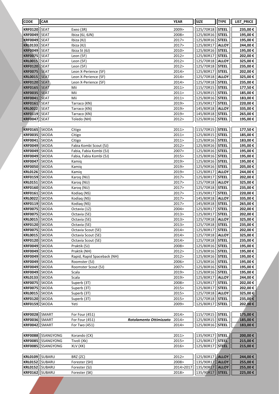| <b>CODE</b>                      | <b>CAR</b>                   |                                                    |                         | <b>YEAR</b>    | <b>SIZE</b>            | <b>TYPE</b>                  | LIST_PRICE           |
|----------------------------------|------------------------------|----------------------------------------------------|-------------------------|----------------|------------------------|------------------------------|----------------------|
| <b>KRF0120</b>                   | <b>SEAT</b>                  | Exeo (3R)                                          |                         | 2009>          | 125/70R18              | <b>STEEL</b>                 | 235,00€              |
| <b>KRF0049</b>                   | <b>SEAT</b>                  | Ibiza (6J, 6JN)                                    |                         | 2008>          | 125/80R16              | <b>STEEL</b>                 | 195,00€              |
| <b>KRF0049</b>                   | <b>SEAT</b>                  | Ibiza (KJ)                                         |                         | 2017>          | 125/80R16              | <b>STEEL</b>                 | 195,00€              |
| <b>KRL0133</b>                   | <b>SEAT</b>                  | Ibiza (KJ)                                         |                         | 2017>          | 125/80R17              | <b>ALLOY</b>                 | 244,00€              |
| <b>KRF0049</b>                   | <b>SEAT</b>                  | Ibiza St (6J)                                      |                         | 2010>          | 125/80R16              | <b>STEEL</b>                 | 195,00€              |
| <b>KRF0075</b>                   | <b>SEAT</b>                  | Leon (5F)                                          |                         | 2012>          | 125/80R17              | <b>STEEL</b>                 | 202,00€              |
| <b>KRL0015</b>                   | <b>SEAT</b>                  | Leon (5F)                                          |                         | 2012>          | 125/70R18              | <b>ALLOY</b>                 | 325,00€              |
| <b>KRF0120</b>                   | SEAT                         | Leon (5F)                                          |                         | 2012>          | 125/70R18              | <b>STEEL</b>                 | 235,00€              |
| <b>KRF0075</b><br><b>KRL0015</b> | SEAT<br><b>SEAT</b>          | Leon X-Perience (5F)<br>Leon X-Perience (5F)       |                         | 2014><br>2014  | 125/80R17<br>125/70R18 | <b>STEEL</b><br>ALLOY        | 202,00€<br>325,00€   |
| <b>KRF0120</b>                   | <b>SEAT</b>                  | Leon X-Perience (5F)                               |                         | 2014>          | 125/70R18              | <b>STEEL</b>                 | 235,00€              |
| <b>KRF0165</b>                   | <b>SEAT</b>                  | Mii                                                |                         | 2011           | 115/70R15              | <b>STEEL</b>                 | 177,50€              |
| <b>KRF0035</b>                   | <b>SEAT</b>                  | Mii                                                |                         | 2011>          | 125/80R15              | <b>STEEL</b>                 | 185,00€              |
| <b>KRF0041</b>                   | <b>SEAT</b>                  | Mii                                                |                         | 2011           | 125/80R16              | <b>STEEL</b>                 | 183,00€              |
| <b>KRF0161</b>                   | <b>SEAT</b>                  | Tarraco (KN)                                       |                         | 2019>          | 135/90R17              | <b>STEEL</b>                 | 220,00€              |
| <b>KRL0022</b>                   | <b>SEAT</b>                  | Tarraco (KN)                                       |                         | 2019>          | 145/80R18              | <b>ALLOY</b>                 | 335,00€              |
| <b>KRF0119</b>                   | SEAT                         | Tarraco (KN)                                       |                         | 2019>          | 145/80R18              | <b>STEEL</b>                 | 265,00€              |
| <b>KRF0047</b>                   | <b>SEAT</b>                  | Toledo (NH)                                        |                         | 2012>          | 125/80R16              | <b>STEEL</b>                 | 195,00€              |
|                                  |                              |                                                    |                         |                |                        |                              |                      |
| <b>KRF0165</b>                   | <b>SKODA</b>                 | Citigo                                             |                         | 2011>          | 115/70R15              | <b>STEEL</b>                 | 177,50€              |
| <b>KRF0035</b>                   | <b>SKODA</b>                 | Citigo                                             |                         | 2011           | 125/80R15              | <b>STEEL</b>                 | 185,00€              |
| <b>KRF0041</b>                   | <b>SKODA</b>                 | Citigo                                             |                         | 2011>          | 125/80R16              | <b>STEEL</b>                 | 183,00€              |
| <b>KRF0049</b>                   | SKODA                        | Fabia Kombi Scout (5J)                             |                         | 2012>          | 125/80R16              | <b>STEEL</b>                 | 195,00€              |
| <b>KRF0049</b><br><b>KRF0049</b> | <b>SKODA</b><br><b>SKODA</b> | Fabia, Fabia Kombi (5J)<br>Fabia, Fabia Kombi (5J) |                         | 2007><br>2015> | 125/80R16<br>125/80R16 | <b>STEEL</b><br><b>STEEL</b> | 195,00€              |
| <b>KRF0047</b>                   | <b>SKODA</b>                 | Kamig                                              |                         | 2019>          | 125/80R16              | <b>STEEL</b>                 | 195,00€<br>195,00€   |
| <b>KRF0050</b>                   | SKODA                        | Kamig                                              |                         | 2019>          | 125/90R16              | <b>STEEL</b>                 | 205,00€              |
| <b>KRL0126</b>                   | SKODA                        | Kamig                                              |                         | 2019>          | 125/80R17              | <b>ALLOY</b>                 | 244,00€              |
| <b>KRF0159</b>                   | <b>SKODA</b>                 | Karoq (NU)                                         |                         | 2017>          | 125/80R17              | <b>STEEL</b>                 | 202,00€              |
| <b>KRL0151</b>                   | <b>SKODA</b>                 | Karoq (NU)                                         |                         | 2017>          | 125/70R18              | <b>ALLOY</b>                 | 325,00€              |
| <b>KRF0160</b>                   | SKODA                        | Karog (NU)                                         |                         | 2017>          | 125/70R18              | <b>STEEL</b>                 | 235,00€              |
| <b>KRF0161</b>                   | SKODA                        | Kodiag (NS)                                        |                         | 2017>          | 135/90R17              | <b>STEEL</b>                 | 220,00€              |
| <b>KRL0022</b>                   | <b>SKODA</b>                 | Kodiaq (NS)                                        |                         | 2017>          | 145/80R18              | <b>ALLOY</b>                 | 335,00€              |
| <b>KRF0119</b>                   | <b>SKODA</b>                 | Kodiaq (NS)                                        |                         | 2017>          | 145/80R18              | <b>STEEL</b>                 | 265,00€              |
| <b>KRF0075</b>                   | <b>SKODA</b>                 | Octavia (1Z)                                       |                         | 2004>          | 125/80R17              | <b>STEEL</b>                 | 202,00€              |
| <b>KRF0075</b>                   | <b>SKODA</b>                 | Octavia (5E)                                       |                         | 2013>          | 125/80R17              | <b>STEEL</b>                 | 202,00€              |
| <b>KRL0015</b>                   | <b>SKODA</b>                 | Octavia (5E)                                       |                         | 2013>          | 125/70R18              | <b>ALLOY</b>                 | 325,00€              |
| <b>KRF0120</b>                   | <b>SKODA</b>                 | Octavia (5E)                                       |                         | 2013>          | 125/70R18              | <b>STEEL</b>                 | 235,00€              |
| KRF0075   SKODA                  |                              | Octavia Scout (5E)                                 |                         | 2014>          | 125/80R17              | <b>STEEL</b>                 | 202,00€              |
| <b>KRL0015</b>                   | <b>SKODA</b>                 | Octavia Scout (5E)<br>Octavia Scout (5E)           |                         | 2014><br>2014> | 125/70R18              | <b>ALLOY</b>                 | 325,00€              |
| <b>KRF0120</b><br><b>KRF0049</b> | <b>SKODA</b><br><b>SKODA</b> | Praktik (5J)                                       |                         | 2008>          | 125/70R18<br>125/80R16 | <b>STEEL</b><br><b>STEEL</b> | 235,00€<br>195,00€   |
| <b>KRF0049</b>                   | <b>SKODA</b>                 | Praktik (NH)                                       |                         | 2012>          | 125/80R16              | <b>STEEL</b>                 | 195,00€              |
| <b>KRF0049</b>                   | <b>SKODA</b>                 | Rapid, Rapid Spaceback (NH)                        |                         | 2012>          | 125/80R16              | <b>STEEL</b>                 | 195,00€              |
| <b>KRF0049</b>                   | <b>SKODA</b>                 | Roomster (5J)                                      |                         | 2006>          | 125/80R16              | <b>STEEL</b>                 | 195,00€              |
| <b>KRF0049</b>                   | <b>SKODA</b>                 | Roomster Scout (5J)                                |                         | 2007>          | 125/80R16              | <b>STEEL</b>                 | 195,00€              |
| <b>KRF0049</b>                   | <b>SKODA</b>                 | Scala                                              |                         | 2019>          | 125/80R16              | <b>STEEL</b>                 | 195,00€              |
| <b>KRL0133</b>                   | <b>SKODA</b>                 | Scala                                              |                         | 2019>          | 125/80R17              | <b>ALLOY</b>                 | 244,00€              |
| <b>KRF0075</b>                   | SKODA                        | Superb (3T)                                        |                         | 2008>          | 125/80R17              | <b>STEEL</b>                 | 202,00€              |
| <b>KRF0075</b>                   | <b>SKODA</b>                 | Superb (3T)                                        |                         | 2015>          | 125/80R17              | <b>STEEL</b>                 | 202,00 €             |
| <b>KRL0015</b>                   | <b>SKODA</b>                 | Superb (3T)                                        |                         | 2015>          | 125/70R18              | <b>ALLOY</b>                 | 325,00 €             |
| <b>KRF0120</b>                   | <b>SKODA</b>                 | Superb (3T)                                        |                         | 2015>          | 125/70R18              | <b>STEEL</b>                 | 235,00€              |
| <b>KRF0159</b>                   | <b>SKODA</b>                 | Yeti                                               |                         | 2009>          | 125/80R17              | <b>STEEL</b>                 | 202,00 €             |
|                                  |                              |                                                    |                         |                |                        |                              |                      |
| KRF0028 SMART<br><b>KRF0036</b>  | SMART                        | For Four (451)<br>For Four (451)                   | Rotolamento Ottimizzato | 2014><br>2014> | 115/70R15<br>125/80R15 | <b>STEEL</b><br><b>STEEL</b> | 175,00 €<br>185,00 € |
| <b>KRF0042</b>                   | <b>SMART</b>                 | For Two (451)                                      |                         | 2014>          | 125/80R16              | <b>STEEL</b>                 | 183,00 €             |
|                                  |                              |                                                    |                         |                |                        |                              |                      |
| <b>KRF0088</b>                   | SSANGYONG                    | Korando (CK)                                       |                         | 2011>          | 135/90R17              | <b>STEEL</b>                 | 200,00€              |
| <b>KRF0085</b>                   | SSANGYONG                    | Tivoli (Xk)                                        |                         | 2015>          | 125/80R17              | <b>STEEL</b>                 | 215,00 €             |
| <b>KRF0085</b>                   | <b>SSANGYONG</b>             | XLV (XK)                                           |                         | 2016>          | 125/80R17              | <b>STEEL</b>                 | 215,00 €             |
|                                  |                              |                                                    |                         |                |                        |                              |                      |
| KRL0109   SUBARU                 |                              | BRZ (ZC)                                           |                         | 2012>          | 125/80R17              | <b>ALLOY</b>                 | 244,00€              |
| <b>KRL0152</b>                   | SUBARU                       | Forester (SH)                                      |                         | 2008>          | 135/90R17              | <b>ALLOY</b>                 | 255,00 €             |
| <b>KRL0152</b>                   | SUBARU                       | Forester (SJ)                                      |                         | 2014>2017      | 135/90R17              | <b>ALLOY</b>                 | 255,00 €             |
| KRF0162   SUBARU                 |                              | Forester (SK)                                      |                         | 2018>          | 135/90R17              | <b>STEEL</b>                 | 225,00 €             |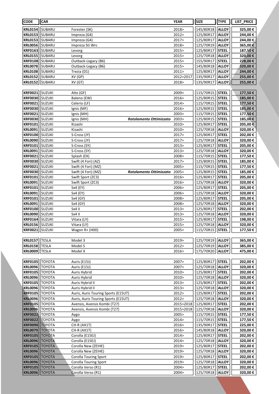| <b>CODE</b>                      | <b>CAR</b>              |                                                | <b>YEAR</b>    | <b>SIZE</b>            | <b>TYPE</b>                  | LIST_PRICE         |
|----------------------------------|-------------------------|------------------------------------------------|----------------|------------------------|------------------------------|--------------------|
| <b>KRL0154</b>                   | SUBARU                  | Forester (SK)                                  | 2018>          | 145/80R18              | <b>ALLOY</b>                 | 325,00€            |
| <b>KRL0153</b>                   | SUBARU                  | Impreza (G4)                                   | 2012>          | 125/80R17              | <b>ALLOY</b>                 | 244,00€            |
| <b>KRL0153</b>                   | <b>SUBARU</b>           | Impreza (G4)                                   | 2017>          | 125/80R17              | <b>ALLOY</b>                 | 244,00€            |
| <b>KRL0056</b>                   | SUBARU                  | Impreza Sti Wrc                                | 2018>          | 125/70R19              | <b>ALLOY</b>                 | 365,00€            |
| <b>KRF0163</b>                   | SUBARU                  | Levorg                                         | 2015>          | 125/80R17              | <b>STEEL</b>                 | 187,50€            |
| <b>KRL0155</b>                   | SUBARU                  | Levorg                                         | 2015>          | 125/70R18              | <b>ALLOY</b>                 | 320,00€            |
| <b>KRF0108</b>                   | SUBARU                  | Outback-Legacy (B6)                            | 2015>          | 155/90R17              | <b>STEEL</b>                 | 228,00€            |
| <b>KRL0078</b>                   | SUBARU                  | Outback-Legacy (B6)                            | 2015>          | 145/80R18              | <b>ALLOY</b>                 | 320,00€            |
| <b>KRL0108</b>                   | SUBARU                  | Trezia (D1)                                    | 2011>          | 125/80R17              | <b>ALLOY</b>                 | 244,00€            |
| <b>KRL0152</b>                   | SUBARU                  | XV (GP)                                        | 2012>2017      | 135/90R17              | <b>ALLOY</b>                 | 255,00€            |
| <b>KRL0152</b>                   | SUBARU                  | XV (GT)                                        | 2018>          | 135/90R17              | <b>ALLOY</b>                 | 255,00€            |
|                                  |                         |                                                |                |                        |                              |                    |
| <b>KRF0021</b>                   | SUZUKI                  | Alto (GF)                                      | 2009>          | 115/70R15              | <b>STEEL</b>                 | 177,50€            |
| <b>KRF0030</b>                   | <b>SUZUKI</b>           | Baleno (EW)                                    | 2016>          | 125/80R15              | <b>STEEL</b>                 | 185,00€            |
| <b>KRF0021</b>                   | <b>SUZUKI</b>           | Celerio (LF)                                   | 2014>          | 115/70R15              | <b>STEEL</b>                 | 177,50€            |
| <b>KRF0030</b>                   | <b>SUZUKI</b>           | Ignis (MF)                                     | 2016>          | 125/80R15              | <b>STEEL</b>                 | 185,00€            |
| <b>KRF0021</b>                   | <b>SUZUKI</b>           | Ignis (MH)                                     | 2003>          | 115/70R15              | <b>STEEL</b>                 | 177,50€            |
| <b>KRF0030</b>                   | SUZUKI                  | Ignis (MH)<br>Rotolamento Ottimizzato          | 2003>          | 125/80R15              | <b>STEEL</b>                 | 185,00€            |
| <b>KRF0101</b>                   | SUZUKI                  | Kizashi                                        | 2010>          | 125/80R17              | <b>STEEL</b>                 | 205,00€            |
| <b>KRL0091</b>                   | SUZUKI                  | Kizashi                                        | 2010>          | 125/70R18              | <b>ALLOY</b>                 | 320,00€            |
| <b>KRF0100</b>                   | SUZUKI                  | S-Cross (JY)                                   | 2017>          | 125/80R17              | <b>STEEL</b>                 | 202,00€            |
| <b>KRL0090</b>                   | <b>SUZUKI</b>           | S-Cross (JY)<br>S-Cross (SY)                   | 2017>          | 125/70R18              | <b>ALLOY</b>                 | 320,00€            |
| <b>KRF0101</b><br><b>KRL0091</b> | <b>SUZUKI</b><br>SUZUKI | S-Cross (SY)                                   | 2013><br>2013> | 125/80R17<br>125/70R18 | <b>STEEL</b><br><b>ALLOY</b> | 205,00€<br>320,00€ |
| <b>KRF0021</b>                   | SUZUKI                  | Splash (EX)                                    | 2008>          | 115/70R15              | <b>STEEL</b>                 | 177,50€            |
| <b>KRF0030</b>                   | SUZUKI                  | Swift (4 Fori) (AZ)                            | 2017>          | 125/80R15              | <b>STEEL</b>                 | 185,00€            |
| <b>KRF0021</b>                   | SUZUKI                  | Swift (4 Fori) (MZ)                            | 2005>          | 115/70R15              | <b>STEEL</b>                 | 177,50€            |
| <b>KRF0030</b>                   | SUZUKI                  | Swift (4 Fori) (MZ)<br>Rotolamento Ottimizzato | 2005>          | 125/80R15              | <b>STEEL</b>                 | 185,00€            |
| <b>KRF0101</b>                   | SUZUKI                  | Swift Sport (ZC3)                              | 2016>          | 125/80R17              | <b>STEEL</b>                 | 205,00€            |
| <b>KRL0091</b>                   | <b>SUZUKI</b>           | Swift Sport (ZC3)                              | 2016>          | 125/70R18              | <b>ALLOY</b>                 | 320,00€            |
| <b>KRF0101</b>                   | <b>SUZUKI</b>           | Sx4 (EY)                                       | 2006>          | 125/80R17              | <b>STEEL</b>                 | 205,00€            |
| <b>KRL0091</b>                   | <b>SUZUKI</b>           | Sx4 (EY)                                       | 2006>          | 125/70R18              | <b>ALLOY</b>                 | 320,00€            |
| <b>KRF0101</b>                   | <b>SUZUKI</b>           | Sx4 (GY)                                       | 2008>          | 125/80R17              | <b>STEEL</b>                 | 205,00€            |
| <b>KRL0091</b>                   | <b>SUZUKI</b>           | Sx4 (GY)                                       | 2008>          | 125/70R18              | <b>ALLOY</b>                 | 320,00€            |
| <b>KRF0100</b>                   | SUZUKI                  | Sx4 II                                         | 2013>          | 125/80R17              | <b>STEEL</b>                 | 202,00€            |
| <b>KRL0090</b>                   | <b>SUZUKI</b>           | Sx4 II                                         | 2013>          | 125/70R18              | <b>ALLOY</b>                 | 320,00€            |
| <b>KRF0164</b>                   | SUZUKI                  | Vitara (LY)                                    | 2015>          | 125/80R17              | <b>STEEL</b>                 | 198,00€            |
| <b>KRL0156</b>                   | <b>SUZUKI</b>           | Vitara (LY)                                    | 2015>          | 125/70R18              | <b>ALLOY</b>                 | 320,00€            |
| KRF0021  SUZUKI                  |                         | Wagon R+ (H00)                                 | 2005>          | 115/70R15   STEEL      |                              | 177,50 €           |
|                                  |                         |                                                |                |                        |                              |                    |
| KRL0157                          | <b>TESLA</b>            | Model 3                                        | 2019>          | 125/70R19              | <b>ALLOY</b>                 | 365,00€            |
| <b>KRL0158</b>                   | <b>TESLA</b>            | Model S                                        | 2012>          | 125/70R19<br>175/70R20 | <b>ALLOY</b>                 | 385,00€            |
| <b>KRL0009</b>                   | <b>TESLA</b>            | Model X                                        | 2016>          |                        | <b>ALLOY</b>                 | 475,00€            |
| <b>KRF0105</b>                   | <b>TOYOTA</b>           | Auris (E15J)                                   | 2007>          | 125/80R17              | <b>STEEL</b>                 | 202,00€            |
| <b>KRL0096</b>                   | <b>TOYOTA</b>           | Auris (E15J)                                   | 2007>          | 125/70R18              | <b>ALLOY</b>                 | 320,00€            |
| <b>KRF0105</b>                   | <b>TOYOTA</b>           | Auris Hybrid                                   | 2010>          | 125/80R17              | <b>STEEL</b>                 | 202,00€            |
| <b>KRL0096</b>                   | <b>TOYOTA</b>           | Auris Hybrid                                   | 2010>          | 125/70R18              | <b>ALLOY</b>                 | 320,00€            |
| <b>KRF0105</b>                   | <b>TOYOTA</b>           | Auris Hybrid II                                | 2013>          | 125/80R17              | <b>STEEL</b>                 | 202,00 €           |
| KRL0096                          | <b>TOYOTA</b>           | Auris Hybrid II                                | 2013>          | 125/70R18              | <b>ALLOY</b>                 | 320,00€            |
| <b>KRF0105</b>                   | <b>TOYOTA</b>           | Auris, Auris Touring Sports (E15UT)            | 2012>          | 125/80R17              | <b>STEEL</b>                 | 202,00 €           |
| <b>KRL0096</b>                   | <b>TOYOTA</b>           | Auris, Auris Touring Sports (E15UT)            | 2012>          | 125/70R18              | <b>ALLOY</b>                 | 320,00€            |
| <b>KRF0105</b>                   | <b>TOYOTA</b>           | Avensis, Avensis Kombi (T27)                   | 2015>2018      | 125/80R17              | <b>STEEL</b>                 | 202,00€            |
| <b>KRL0096</b>                   | <b>TOYOTA</b>           | Avensis, Avensis Kombi (T27)                   | 2015>2018      | 125/70R18              | <b>ALLOY</b>                 | 320,00€            |
| <b>KRF0022</b>                   | <b>TOYOTA</b>           | Aygo                                           | 2005>          | 115/70R15              | <b>STEEL</b>                 | 177,50€            |
| <b>KRF0022</b>                   | <b>TOYOTA</b>           | Aygo                                           | 2014>          | 115/70R15              | <b>STEEL</b>                 | 177,50€            |
| <b>KRF0090</b>                   | <b>TOYOTA</b>           | CH-R (AX1T)                                    | 2016>          | 135/90R17              | <b>STEEL</b>                 | 225,00 €           |
| <b>KRL0079</b>                   | <b>TOYOTA</b>           | CH-R (AX1T)                                    | 2016>          | 145/80R18              | <b>ALLOY</b>                 | 320,00€            |
| <b>KRF0105</b>                   | <b>TOYOTA</b>           | Corolla (E15EJ)                                | 2014>          | 125/80R17              | <b>STEEL</b>                 | 202,00€            |
| <b>KRL0096</b>                   | <b>TOYOTA</b>           | Corolla (E15EJ)                                | 2014>          | 125/70R18              | <b>ALLOY</b>                 | 320,00€            |
| <b>KRF0105</b>                   | TOYOTA                  | Corolla New (ZEIHE)                            | 2019>          | 125/80R17              | <b>STEEL</b>                 | 202,00€            |
| <b>KRL0096</b>                   | <b>TOYOTA</b>           | Corolla New (ZEIHE)                            | 2019>          | 125/70R18              | <b>ALLOY</b>                 | 320,00€            |
| <b>KRF0105</b>                   | <b>TOYOTA</b>           | Corolla Touring Sport                          | 2019>          | 125/80R17              | <b>STEEL</b>                 | 202,00€            |
| <b>KRL0096</b>                   | <b>TOYOTA</b>           | Corolla Touring Sport<br>Corolla Verso (R1)    | 2019><br>2004> | 125/70R18              | <b>ALLOY</b>                 | 320,00€            |
| <b>KRF0105</b><br><b>KRL0096</b> | <b>TOYOTA</b>           | Corolla Verso (R1)                             | 2004>          | 125/80R17<br>125/70R18 | <b>STEEL</b><br><b>ALLOY</b> | 202,00 €           |
|                                  | <b>TOYOTA</b>           |                                                |                |                        |                              | 320,00€            |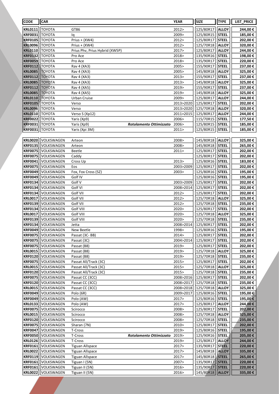| <b>CODE</b>                      | <b>CAR</b>               |                                |                         | <b>YEAR</b>    | <b>SIZE</b>            | <b>TYPE</b>                  | LIST_PRICE          |
|----------------------------------|--------------------------|--------------------------------|-------------------------|----------------|------------------------|------------------------------|---------------------|
| <b>KRL0111</b>                   | <b>TOYOTA</b>            | GT86                           |                         | 2012>          | 125/80R17              | <b>ALLOY</b>                 | 244,00€             |
| <b>KRF0031</b>                   | TOYOTA                   | lq                             |                         | 2009>          | 125/80R15              | <b>STEEL</b>                 | 185,00€             |
| <b>KRF0105</b>                   | <b>TOYOTA</b>            | Prius + (XW4)                  |                         | 2012>          | 125/80R17              | <b>STEEL</b>                 | 202,00€             |
| <b>KRL0096</b>                   | <b>TOYOTA</b>            | Prius + (XW4)                  |                         | 2012>          | 125/70R18              | <b>ALLOY</b>                 | 320,00€             |
| <b>KRL0110</b>                   | <b>TOYOTA</b>            | Prius Phv, Prius Hybrid (XW5P) |                         | 2017>          | 125/80R17              | <b>ALLOY</b>                 | 244,00€             |
| <b>KRF0132</b>                   | <b>TOYOTA</b>            | Pro Ace                        |                         | 2018>          | 135/90R16              | <b>STEEL</b>                 | 198,00€             |
| <b>KRF0059</b>                   | TOYOTA                   | Pro Ace                        |                         | 2018>          | 135/90R17              | <b>STEEL</b>                 | 220,00€             |
| <b>KRF0112</b>                   | <b>TOYOTA</b>            | Rav 4 (XA3)                    |                         | 2005>          | 155/90R17              | <b>STEEL</b>                 | 237,00€             |
| <b>KRL0085</b>                   | <b>TOYOTA</b>            | Rav 4 (XA3)                    |                         | 2005>          | 145/80R18              | <b>ALLOY</b>                 | 325,00€             |
| <b>KRF0112</b>                   | <b>TOYOTA</b>            | Rav 4 (XA3)                    |                         | 2013>          | 155/90R17              | <b>STEEL</b>                 | 237,00€             |
| <b>KRL0085</b>                   | <b>TOYOTA</b>            | Rav 4 (XA3)                    |                         | 2013>          | 145/80R18              | <b>ALLOY</b>                 | 325,00€             |
| <b>KRF0112</b>                   | <b>TOYOTA</b>            | Rav 4 (XA5)                    |                         | 2019>          | 155/90R17              | <b>STEEL</b>                 | 237,00€             |
| <b>KRL0085</b>                   | <b>TOYOTA</b>            | Rav 4 (XA5)                    |                         | 2019>          | 145/80R18              | <b>ALLOY</b>                 | 325,00€             |
| <b>KRL0110</b>                   | <b>TOYOTA</b>            | Urban Cruise                   |                         | 2009>          | 125/80R17              | <b>ALLOY</b>                 | 244,00€             |
| <b>KRF0105</b>                   | ΤΟΥΟΤΑ                   | Verso                          |                         | 2013>2020      | 125/80R17              | <b>STEEL</b>                 | 202,00€             |
| <b>KRL0096</b>                   | ТОҮОТА                   | Verso                          |                         | 2013>2020      | 125/70R18              | <b>ALLOY</b>                 | 320,00€             |
| <b>KRL0110</b>                   | <b>TOYOTA</b>            | Verso S (Xp12)                 |                         | 2011>2015      | 125/80R17              | <b>ALLOY</b>                 | 244,00€             |
| <b>KRF0022</b>                   | <b>TOYOTA</b>            | Yaris (Xp9)                    |                         | 2006>          | 115/70R15              | <b>STEEL</b>                 | 177,50€             |
| <b>KRF0031</b>                   | TOYOTA                   | Yaris (Xp9)                    | Rotolamento Ottimizzato | 2006>          | 125/80R15              | <b>STEEL</b>                 | 185,00€             |
| <b>KRF0031</b>                   | <b>TOYOTA</b>            | Yaris (Xpi 3M)                 |                         | 2011>          | 125/80R15              | <b>STEEL</b>                 | 185,00€             |
| <b>KRL0020</b>                   | VOLKSWAGEN               |                                |                         | 2008>          | 145/80R18              | <b>ALLOY</b>                 |                     |
| <b>KRF0135</b>                   | VOLKSWAGEN               | Arteon<br>Arteon               |                         | 2008>          | 145/80R18              | <b>STEEL</b>                 | 325,00€<br>265,00€  |
| <b>KRF0075</b>                   | VOLKSWAGEN               | Beetle                         |                         | 2011           | 125/80R17              | <b>STEEL</b>                 | 202,00€             |
| <b>KRF0075</b>                   | VOLKSWAGEN               | Caddy                          |                         |                | 125/80R17              | <b>STEEL</b>                 | 202,00€             |
| <b>KRF0041</b>                   | VOLKSWAGEN               | Cross Up                       |                         | 2013>          | 125/80R16              | <b>STEEL</b>                 | 183,00€             |
| <b>KRF0075</b>                   | VOLKSWAGEN               | Eos                            |                         | 2003>2009      | 125/80R17              | <b>STEEL</b>                 | 202,00€             |
| <b>KRF0049</b>                   | VOLKSWAGEN               | Fox, Fox Cross (5Z)            |                         | 2003>          | 125/80R16              | <b>STEEL</b>                 | 195,00€             |
| <b>KRF0049</b>                   | VOLKSWAGEN               | Golf IV                        |                         |                | 125/80R16              | <b>STEEL</b>                 | 195,00€             |
| <b>KRF0134</b>                   | VOLKSWAGEN               | Golf V                         |                         | 2003>2009      | 125/80R17              | <b>STEEL</b>                 | 202,00€             |
| <b>KRF0134</b>                   | VOLKSWAGEN               | Golf VI                        |                         | 2008>2014      | 125/80R17              | <b>STEEL</b>                 | 202,00€             |
| <b>KRF0134</b>                   | VOLKSWAGEN               | Golf VII                       |                         | 2012>          | 125/80R17              | <b>STEEL</b>                 | 202,00€             |
| <b>KRL0017</b>                   | VOLKSWAGEN               | Golf VII                       |                         | 2012>          | 125/70R18              | <b>ALLOY</b>                 | 325,00€             |
| <b>KRF0139</b>                   | VOLKSWAGEN               | Golf VII                       |                         | 2012>          | 125/70R18              | <b>STEEL</b>                 | 235,00€             |
| <b>KRF0134</b>                   | VOLKSWAGEN               | Golf VIII                      |                         | 2020>          | 125/80R17              | <b>STEEL</b>                 | 202,00€             |
| <b>KRL0017</b>                   | VOLKSWAGEN               | Golf VIII                      |                         | 2020>          | 125/70R18              | <b>ALLOY</b>                 | 325,00€             |
| <b>KRF0139</b>                   | VOLKSWAGEN               | Golf VIII                      |                         | 2020>          | 125/70R18              | <b>STEEL</b>                 | 235,00€             |
| <b>KRF0134</b>                   | VOLKSWAGEN               | Jetta                          |                         | 2008>2014      | 125/80R17              | <b>STEEL</b>                 | 202,00€             |
|                                  | KRF0049  VOLKSWAGEN      | New Beetle                     |                         | 1998>          | 125/80R16              | <b>STEEL</b>                 | 195,00 €            |
| <b>KRF0075</b>                   | VOLKSWAGEN               | Passat (3C-BB)                 |                         | 2014>          | 125/80R17              | <b>STEEL</b>                 | 202,00€             |
| <b>KRF0075</b>                   | VOLKSWAGEN               | Passat (3C)                    |                         | 2004>2014      | 125/80R17              | <b>STEEL</b>                 | 202,00 €            |
| <b>KRF0075</b>                   | VOLKSWAGEN               | Passat (B8)                    |                         | 2019>          | 125/80R17              | <b>STEEL</b>                 | 202,00 €            |
| <b>KRL0015</b>                   | VOLKSWAGEN               | Passat (B8)                    |                         | 2019>          | 125/70R18              | <b>ALLOY</b>                 | 325,00€             |
| <b>KRF0120</b>                   | VOLKSWAGEN               | Passat (B8)                    |                         | 2019>          | 125/70R18              | <b>STEEL</b>                 | 235,00€             |
| <b>KRF0075</b>                   | VOLKSWAGEN               | Passat All/Track (3C)          |                         | 2015>          | 125/80R17              | <b>STEEL</b>                 | 202,00€             |
| <b>KRL0015</b>                   | VOLKSWAGEN               | Passat All/Track (3C)          |                         | 2015>          | 125/70R18              | <b>ALLOY</b>                 | 325,00€             |
| <b>KRF0120</b>                   | VOLKSWAGEN               | Passat All/Track (3C)          |                         | 2015>          | 125/70R18              | <b>STEEL</b>                 | 235,00€             |
| <b>KRF0075</b>                   | VOLKSWAGEN               | Passat CC (3CC)                |                         | 2008>2016      | 125/80R17              | <b>STEEL</b>                 | 202,00€             |
| <b>KRF0120</b>                   | VOLKSWAGEN               | Passat CC (3CC)                |                         | 2008>2017      | 125/70R18              | <b>STEEL</b>                 | 235,00€             |
| <b>KRL0015</b>                   | VOLKSWAGEN               | Passat CC (3CC)                |                         | 2008>2018      | 125/70R18              | <b>ALLOY</b>                 | 325,00€             |
| <b>KRF0049</b>                   | VOLKSWAGEN               | Polo (6R)                      |                         | 2009>2017      | 125/80R16              | <b>STEEL</b>                 | 195,00 €            |
| <b>KRF0049</b>                   | VOLKSWAGEN               | Polo (AW)                      |                         | 2017>          | 125/80R16              | <b>STEEL</b>                 | 195,00€             |
| <b>KRL0133</b>                   | VOLKSWAGEN               | Polo (AW)                      |                         | 2017>          | 125/80R17<br>125/80R17 | <b>ALLOY</b>                 | 244,00€             |
| <b>KRF0075</b><br><b>KRL0015</b> | VOLKSWAGEN<br>VOLKSWAGEN | Scirocco                       |                         | 2008><br>2008> | 125/70R18              | <b>STEEL</b><br><b>ALLOY</b> | 202,00 €<br>325,00€ |
| <b>KRF0120</b>                   | VOLKSWAGEN               | Scirocco<br>Scirocco           |                         | 2008>          | 125/70R18              | <b>STEEL</b>                 | 235,00€             |
| <b>KRF0075</b>                   | VOLKSWAGEN               | Sharan (7N)                    |                         | 2010>          | 125/80R17              | <b>STEEL</b>                 | 202,00 €            |
| <b>KRF0047</b>                   | VOLKSWAGEN               | T-Cross                        |                         | 2019>          | 125/80R16              | <b>STEEL</b>                 | 195,00 €            |
| <b>KRF0050</b>                   | VOLKSWAGEN               | T-Cross                        | Rotolamento Ottimizzato | 2019>          | 125/90R16              | STEEL                        | 205,00€             |
| <b>KRL0126</b>                   | VOLKSWAGEN               | T-Cross                        |                         | 2019>          | 125/80R17              | <b>ALLOY</b>                 | 244,00€             |
| <b>KRF0161</b>                   | VOLKSWAGEN               | <b>Tiguan Allspace</b>         |                         | 2017>          | 135/90R17              | <b>STEEL</b>                 | 220,00€             |
| <b>KRL0022</b>                   | VOLKSWAGEN               | <b>Tiguan Allspace</b>         |                         | 2017>          | 145/80R18              | <b>ALLOY</b>                 | 335,00€             |
| <b>KRF0119</b>                   | VOLKSWAGEN               | <b>Tiguan Allspace</b>         |                         | 2017>          | 145/80R18              | <b>STEEL</b>                 | 265,00€             |
| <b>KRF0161</b>                   | VOLKSWAGEN               | Tiguan I (5N)                  |                         | 2007>          | 135/90R17              | <b>STEEL</b>                 | 220,00€             |
| <b>KRF0161</b>                   | VOLKSWAGEN               | Tiguan II (5N)                 |                         | 2016>          | 135/90R17              | <b>STEEL</b>                 | 220,00 €            |
| <b>KRL0022</b>                   | VOLKSWAGEN               | Tiguan II (5N)                 |                         | 2016>          | 145/80R18              | <b>ALLOY</b>                 | 335,00 €            |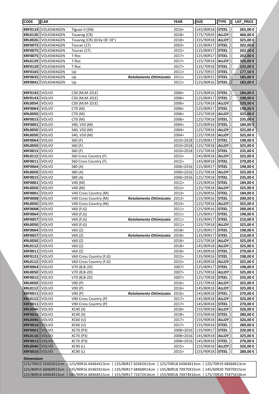| <b>CODE</b>          | <b>CAR</b>           |                            |                                                                    | <b>YEAR</b>                                 | <b>SIZE</b> | <b>TYPE</b>  | LIST_PRICE |
|----------------------|----------------------|----------------------------|--------------------------------------------------------------------|---------------------------------------------|-------------|--------------|------------|
| KRF0119              | VOLKSWAGEN           | Tiguan II (5N)             |                                                                    | 2016>                                       | 145/80R18   | <b>STEEL</b> | 265,00€    |
| <b>KRL0120</b>       | VOLKSWAGEN           | Touareg (CR)               |                                                                    | 2018>                                       | 175/70R20   | <b>ALLOY</b> | 460,00€    |
| <b>KRL0026</b>       | VOLKSWAGEN           | Touareg (CR) (Only OE 18") |                                                                    | 2018>                                       | 155/90R18   | <b>ALLOY</b> | 325,00€    |
| <b>KRF0075</b>       | <b>VOLKSWAGEN</b>    | Touran (1T)                |                                                                    | 2003>                                       | 125/80R17   | <b>STEEL</b> | 202,00€    |
| <b>KRF0075</b>       | VOLKSWAGEN           | Touran (1T)                |                                                                    | 2015>                                       | 125/80R17   | <b>STEEL</b> | 202,00€    |
| <b>KRF0075</b>       | VOLKSWAGEN           | T-Roc                      |                                                                    | 2017>                                       | 125/80R17   | <b>STEEL</b> | 202,00€    |
| <b>KRL0129</b>       | VOLKSWAGEN           | T-Roc                      |                                                                    | 2017>                                       | 125/70R18   | <b>ALLOY</b> | 320,00€    |
| <b>KRF0120</b>       | VOLKSWAGEN           | T-Roc                      |                                                                    | 2017>                                       | 125/70R18   | <b>STEEL</b> | 235,00€    |
| KRF0165              | VOLKSWAGEN           | Up                         |                                                                    | 2011                                        | 115/70R15   | <b>STEEL</b> | 177,50€    |
| <b>KRF0035</b>       | VOLKSWAGEN           | Up                         | Rotolamento Ottimizzato                                            | 2011>                                       | 125/80R15   | <b>STEEL</b> | 185,00€    |
| <b>KRF0041</b>       | VOLKSWAGEN           | Up                         |                                                                    | 2011>                                       | 125/80R16   | <b>STEEL</b> | 183,00 €   |
|                      |                      |                            |                                                                    |                                             |             |              |            |
| KRF0142              | VOLVO                | C30 (M;M-2D;E)             |                                                                    | 2006>                                       | 125/80R16   | <b>STEEL</b> | 184,00 €   |
| <b>KRF0143</b>       | VOLVO                | C30 (M;M-2D;E)             |                                                                    | 2006>                                       | 125/80R17   | <b>STEEL</b> | 198,00€    |
| <b>KRL0054</b>       | VOLVO                | C30 (M;M-2D;E)             |                                                                    | 2006>                                       | 125/70R18   | <b>ALLOY</b> | 320,00€    |
| <b>KRF0064</b>       | VOLVO                | C70 (M)                    |                                                                    | 2006>                                       | 125/80R17   | <b>STEEL</b> | 198,00€    |
| <b>KRL0050</b>       | VOLVO                | C70 (M)                    |                                                                    | 2006>                                       | 125/70R18   | <b>ALLOY</b> | 325,00€    |
| <b>KRF0015</b>       | VOLVO                | C70(M)                     |                                                                    | 2006>                                       | 125/70R18   | <b>STEEL</b> | 235,00€    |
| <b>KRF0001</b>       | <b>VOLVO</b>         | S40, V50 (M)               |                                                                    | 2004>                                       | 125/80R16   | <b>STEEL</b> | 184,00€    |
| <b>KRL0050</b>       | volvo                | S40, V50 (M)               |                                                                    | 2004>                                       | 125/70R18   | <b>ALLOY</b> | 325,00€    |
| <b>KRL0050</b>       | VOLVO                | S40, V50 (M)               |                                                                    | 2004>                                       | 125/70R18   | <b>ALLOY</b> | 325,00€    |
| <b>KRF0064</b>       | VOLVO                | S60 (F)                    |                                                                    | 2010>2018                                   | 125/80R17   | <b>STEEL</b> | 198,00€    |
| <b>KRL0050</b>       | VOLVO                | S60 (F)                    |                                                                    | 2010>2018                                   | 125/70R18   | <b>ALLOY</b> | 325,00€    |
| <b>KRF0015</b>       | VOLVO                | S60 (F)                    |                                                                    | 2010>2018                                   | 125/70R18   | <b>STEEL</b> | 235,00€    |
| <b>KRL0112</b>       | VOLVO                | S60 Cross Country (F)      |                                                                    | 2015>                                       | 145/80R18   | <b>ALLOY</b> | 325,00€    |
| <b>KRF0011</b>       | VOLVO                | S60 Cross Country (F)      |                                                                    | 2015>                                       | 145/80R18   | <b>STEEL</b> | 270,00€    |
| <b>KRF0064</b>       | volvo                | S80 (A)                    |                                                                    | 2006>2016                                   | 125/80R17   | <b>STEEL</b> | 198,00€    |
| <b>KRL0050</b>       | VOLVO                | S80 (A)                    |                                                                    | 2006>2016                                   | 125/70R18   | <b>ALLOY</b> | 325,00€    |
| <b>KRF0015</b>       | VOLVO                | S80 (A)                    |                                                                    | 2006>2016                                   | 125/70R18   | <b>STEEL</b> | 235,00€    |
| <b>KRF0001</b>       | VOLVO                | V40 (M)                    |                                                                    | 2012>                                       | 125/80R16   | <b>STEEL</b> | 184,00€    |
| <b>KRL0050</b>       | VOLVO                | V40 (M)                    |                                                                    | 2012>                                       | 125/70R18   | <b>ALLOY</b> | 325,00€    |
| <b>KRF0001</b>       | VOLVO                | V40 Cross Country (M)      |                                                                    | 2013>                                       | 125/80R16   | <b>STEEL</b> | 184,00€    |
| <b>KRF0008</b>       | VOLVO                | V40 Cross Country (M)      | Rotolamento Ottimizzato                                            | 2013>                                       | 125/90R16   | <b>STEEL</b> | 200,00€    |
| <b>KRL0050</b>       | VOLVO                | V40 Cross Country (M)      |                                                                    | 2013>                                       | 125/70R18   | <b>ALLOY</b> | 325,00€    |
| <b>KRF0008</b>       | VOLVO                | V60(F;G)                   |                                                                    | 2011>                                       | 125/90R16   | <b>STEEL</b> | 200,00€    |
| <b>KRF0064</b>       | volvo                | V60 (F;G)                  |                                                                    | 2011>                                       | 125/80R17   | <b>STEEL</b> | 198,00 €   |
| <b>KRF0057</b>       | <b>VOLVO</b>         | V60(F;G)                   | Rotolamento Ottimizzato                                            | 2011>                                       | 135/90R17   | <b>STEEL</b> | 210,00€    |
| <b>KRL0050 VOLVO</b> |                      | V60(F;G)                   |                                                                    | 2011>                                       | 125/70R18   | <b>ALLOY</b> | 325,00€    |
| <b>KRF0064 VOLVO</b> |                      | V60(Z)                     |                                                                    | 2018>                                       | 125/80R17   | <b>STEEL</b> | 198,00€    |
| <b>KRF0057</b>       | <b>VOLVO</b>         | V60(Z)                     | Rotolamento Ottimizzato                                            | 2018>                                       | 135/90R17   | <b>STEEL</b> | 210,00€    |
| <b>KRL0050</b>       | VOLVO                | V60(Z)                     |                                                                    | 2018>                                       | 125/70R18   | <b>ALLOY</b> | 325,00€    |
| <b>KRL0112</b>       | VOLVO                | V60(Z)                     |                                                                    | 2018>                                       | 145/80R18   | <b>ALLOY</b> | 325,00€    |
| <b>KRF0011</b>       | VOLVO                | V60(Z)                     |                                                                    | 2018>                                       | 145/80R18   | <b>STEEL</b> | 270,00€    |
| KRF0131              | VOLVO                | V60 Cross Country (F;G)    |                                                                    | 2015>                                       | 135/90R16   | <b>STEEL</b> | 198,00 €   |
| <b>KRL0112</b>       | VOLVO                | V60 Cross Country (F;G)    |                                                                    | 2015>                                       | 145/80R18   | <b>ALLOY</b> | 325,00 €   |
| <b>KRF0064</b>       | VOLVO                | V70 (B;B-2D)               |                                                                    | 2007>                                       | 125/80R17   | <b>STEEL</b> | 198,00€    |
| <b>KRL0050</b>       | VOLVO                | V70 (B;B-2D)               |                                                                    | 2007>                                       | 125/70R18   | <b>ALLOY</b> | 325,00€    |
| <b>KRF0015</b>       | <b>VOLVO</b>         | V70 (B;B-2D)               |                                                                    | 2007>                                       | 125/70R18   | <b>STEEL</b> | 235,00€    |
| <b>KRL0050</b>       | VOLVO                | V90(P)                     |                                                                    | 2016>                                       | 125/70R18   | <b>ALLOY</b> | 325,00€    |
| <b>KRL0112</b>       | VOLVO                | V90 (P)                    |                                                                    | 2016>                                       | 145/80R18   | <b>ALLOY</b> | 325,00€    |
| <b>KRF0011</b>       | VOLVO                | V90 (P)                    | Rotolamento Ottimizzato                                            | 2016>                                       | 145/80R18   | <b>STEEL</b> | 270,00€    |
| <b>KRL0112</b>       | <b>VOLVO</b>         | V90 Cross Country (P)      |                                                                    | 2017>                                       | 145/80R18   | <b>ALLOY</b> | 325,00 €   |
| <b>KRF0011</b>       | VOLVO                | V90 Cross Country (P)      |                                                                    | 2017>                                       | 145/80R18   | <b>STEEL</b> | 270,00€    |
| <b>KRL0046</b>       | VOLVO                | XC40(X)                    |                                                                    | 2018>                                       | 155/90R18   | <b>ALLOY</b> | 326,00€    |
| <b>KRF0016</b>       | VOLVO                | XC40 (X)                   |                                                                    | 2018>                                       | 155/90R18   | <b>STEEL</b> | 280,00€    |
| <b>KRL0046</b>       | VOLVO                | XC60 (U)                   |                                                                    | 2017>                                       | 155/90R18   | <b>ALLOY</b> | 326,00€    |
| <b>KRF0016</b>       | <b>VOLVO</b>         | XC60 (U)                   |                                                                    | 2017>                                       | 155/90R18   | <b>STEEL</b> | 280,00€    |
| <b>KRF0061</b>       | <b>VOLVO</b>         | XC70 (P3)                  |                                                                    | 2008>2016                                   | 135/90R17   | <b>STEEL</b> | 220,00€    |
| <b>KRL0116</b>       | <b>VOLVO</b>         | XC70 (P3)                  |                                                                    | 2008>2016                                   | 145/80R18   | <b>ALLOY</b> | 325,00€    |
| <b>KRF0013</b>       | VOLVO                | XC70 (P3)                  |                                                                    | 2008>2016                                   | 145/80R18   | <b>STEEL</b> | 270,00€    |
| <b>KRL0046</b>       | <b>VOLVO</b>         | XC90 (L)                   |                                                                    | 2015>                                       | 155/90R18   | <b>ALLOY</b> | 326,00€    |
| <b>KRF0016</b>       | VOLVO                | XC90 (L)                   |                                                                    | 2015>                                       | 155/90R18   | <b>STEEL</b> | 280,00€    |
|                      |                      |                            |                                                                    |                                             |             |              |            |
| <b>Dimensioni</b>    |                      |                            |                                                                    |                                             |             |              |            |
|                      | 115/70R15 55X55X12cm |                            | 125/90R16 64X64X13cm   125/80R17 65X65X13cm                        | 125/70R18 64X64X13cm   125/70R19 68X68X13cm |             |              |            |
|                      |                      |                            | 125/80R15 60X60X13cm   135/90R16 65X65X14cm   135/90R17 68X68X14cm | 145/80R18 70X70X15cm   145/60R20 70X70X15cm |             |              |            |

125/80R16 64X64X13cm | 145/90R16 68X68X15cm | 155/90R17 72X72X16cm | 155/90R18 74X74X16cm | 175/70R20 75X75X18cm